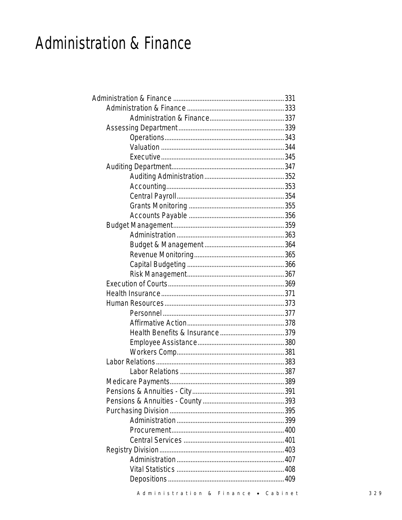## **Administration & Finance**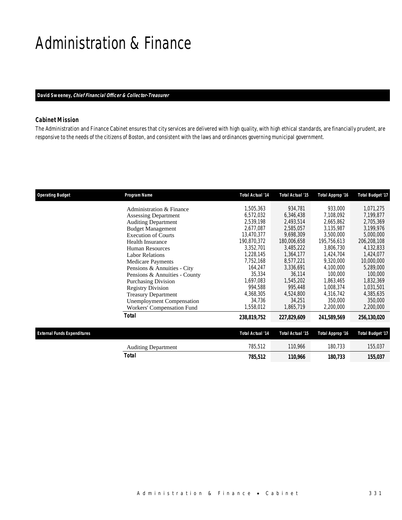## Administration & Finance

#### *David Sweeney, Chief Financial Officer & Collector-Treasurer*

### *Cabinet Mission*

The Administration and Finance Cabinet ensures that city services are delivered with high quality, with high ethical standards, are financially prudent, are responsive to the needs of the citizens of Boston, and consistent with the laws and ordinances governing municipal government.

| <b>Operating Budget</b>            | Program Name                     | <b>Total Actual '14</b> | <b>Total Actual '15</b> | Total Approp '16 | <b>Total Budget '17</b> |
|------------------------------------|----------------------------------|-------------------------|-------------------------|------------------|-------------------------|
|                                    | Administration & Finance         | 1,505,363               | 934,781                 | 933,000          | 1,071,275               |
|                                    | <b>Assessing Department</b>      | 6,572,032               | 6,346,438               | 7,108,092        | 7,199,877               |
|                                    | <b>Auditing Department</b>       | 2,539,198               | 2,493,514               | 2,665,862        | 2,705,369               |
|                                    | <b>Budget Management</b>         | 2,677,087               | 2,585,057               | 3,135,987        | 3,199,976               |
|                                    | <b>Execution of Courts</b>       | 13,470,377              | 9,698,309               | 3,500,000        | 5,000,000               |
|                                    | <b>Health Insurance</b>          | 190,870,372             | 180,006,658             | 195,756,613      | 206,208,108             |
|                                    | Human Resources                  | 3,352,701               | 3,485,222               | 3,806,730        | 4,132,833               |
|                                    | <b>Labor Relations</b>           | 1,228,145               | 1,364,177               | 1,424,704        | 1,424,077               |
|                                    | <b>Medicare Payments</b>         | 7,752,168               | 8,577,221               | 9,320,000        | 10,000,000              |
|                                    | Pensions & Annuities - City      | 164,247                 | 3,336,691               | 4,100,000        | 5,289,000               |
|                                    | Pensions & Annuities - County    | 35,334                  | 36.114                  | 100,000          | 100,000                 |
|                                    | <b>Purchasing Division</b>       | 1,697,083               | 1,545,202               | 1,863,465        | 1,832,369               |
|                                    | <b>Registry Division</b>         | 994,588                 | 995,448                 | 1,008,374        | 1,031,501               |
|                                    | <b>Treasury Department</b>       | 4,368,305               | 4,524,800               | 4,316,742        | 4,385,635               |
|                                    | <b>Unemployment Compensation</b> | 34,736                  | 34,251                  | 350,000          | 350,000                 |
|                                    | Workers' Compensation Fund       | 1,558,012               | 1,865,719               | 2,200,000        | 2,200,000               |
|                                    | <b>Total</b>                     | 238,819,752             | 227,829,609             | 241,589,569      | 256,130,020             |
| <b>External Funds Expenditures</b> |                                  | <b>Total Actual '14</b> | <b>Total Actual '15</b> | Total Approp '16 | <b>Total Budget '17</b> |
|                                    | <b>Auditing Department</b>       | 785,512                 | 110,966                 | 180,733          | 155,037                 |
|                                    | <b>Total</b>                     | 785,512                 | 110,966                 | 180,733          | 155,037                 |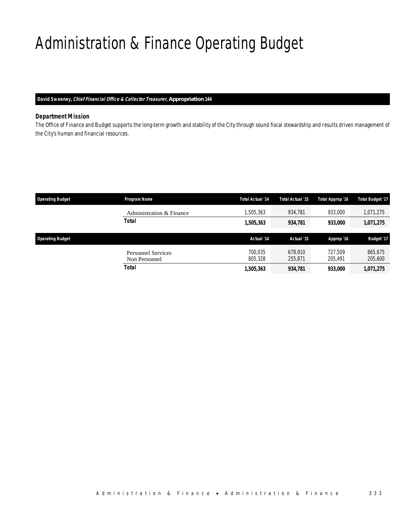# Administration & Finance Operating Budget

*David Sweeney, Chief Financial Office & Collector Treasurer, Appropriation 144* 

### *Department Mission*

The Office of Finance and Budget supports the long-term growth and stability of the City through sound fiscal stewardship and results driven management of the City's human and financial resources.

| <b>Operating Budget</b> | Program Name                               | <b>Total Actual '14</b> | Total Actual '15   | Total Approp '16   | <b>Total Budget '17</b> |
|-------------------------|--------------------------------------------|-------------------------|--------------------|--------------------|-------------------------|
|                         | <b>Administration &amp; Finance</b>        | ,505,363                | 934.781            | 933,000            | 1,071,275               |
|                         | Total                                      | 1,505,363               | 934,781            | <i>933,000</i>     | 1,071,275               |
| <b>Operating Budget</b> |                                            | Actual '14              | Actual '15         | Approp '16         | Budget '17              |
|                         | <b>Personnel Services</b><br>Non Personnel | 700.035<br>805,328      | 678.910<br>255,871 | 727.509<br>205.491 | 865,675<br>205,600      |
|                         | Total                                      | 1,505,363               | 934,781            | <i>933,000</i>     | 1,071,275               |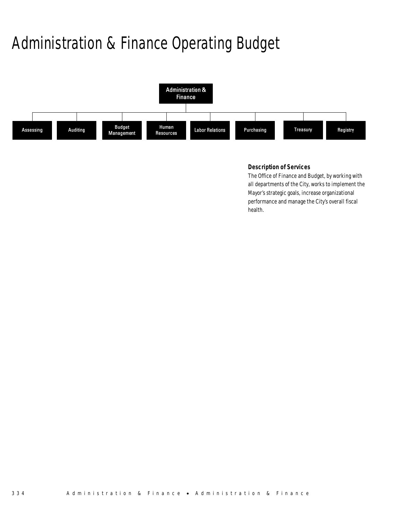# Administration & Finance Operating Budget



### *Description of Services*

The Office of Finance and Budget, by working with all departments of the City, works to implement the Mayor's strategic goals, increase organizational performance and manage the City's overall fiscal health.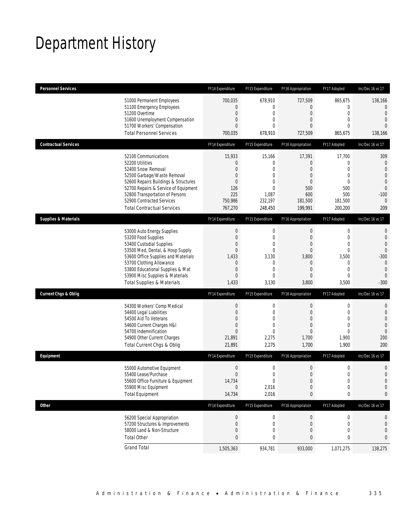## Department History

| <b>Personnel Services</b>       |                                                                                                                                                                                                                                                                                                      | FY14 Expenditure                                                                                                 | FY15 Expenditure                                                                                   | FY16 Appropriation                                                                                                     | FY17 Adopted                                                                                                           | Inc/Dec 16 vs 17                                                                                                      |
|---------------------------------|------------------------------------------------------------------------------------------------------------------------------------------------------------------------------------------------------------------------------------------------------------------------------------------------------|------------------------------------------------------------------------------------------------------------------|----------------------------------------------------------------------------------------------------|------------------------------------------------------------------------------------------------------------------------|------------------------------------------------------------------------------------------------------------------------|-----------------------------------------------------------------------------------------------------------------------|
|                                 | 51000 Permanent Employees<br>51100 Emergency Employees<br>51200 Overtime<br>51600 Unemployment Compensation<br>51700 Workers' Compensation<br><b>Total Personnel Services</b>                                                                                                                        | 700,035<br>$\mathbf{0}$<br>$\boldsymbol{0}$<br>0<br>0<br>700,035                                                 | 678,910<br>0<br>$\mathbf 0$<br>0<br>$\theta$<br>678,910                                            | 727,509<br>$\overline{0}$<br>$\mathbf{0}$<br>$\theta$<br>$\overline{0}$<br>727,509                                     | 865,675<br>0<br>$\mathbf 0$<br>$\overline{0}$<br>$\Omega$<br>865,675                                                   | 138,166<br>0<br>$\theta$<br>$\overline{0}$<br>$\Omega$<br>138,166                                                     |
| <b>Contractual Services</b>     |                                                                                                                                                                                                                                                                                                      | FY14 Expenditure                                                                                                 | FY15 Expenditure                                                                                   | FY16 Appropriation                                                                                                     | FY17 Adopted                                                                                                           | Inc/Dec 16 vs 17                                                                                                      |
|                                 | 52100 Communications<br>52200 Utilities<br>52400 Snow Removal<br>52500 Garbage/Waste Removal<br>52600 Repairs Buildings & Structures<br>52700 Repairs & Service of Equipment<br>52800 Transportation of Persons<br>52900 Contracted Services<br><b>Total Contractual Services</b>                    | 15,933<br>$\mathbf 0$<br>0<br>0<br>0<br>126<br>225<br>750,986<br>767,270                                         | 15,166<br>0<br>$\theta$<br>0<br>0<br>$\overline{0}$<br>1,087<br>232,197<br>248,450                 | 17,391<br>$\overline{0}$<br>$\overline{0}$<br>$\overline{0}$<br>$\overline{0}$<br>500<br>600<br>181,500<br>199,991     | 17,700<br>0<br>$\Omega$<br>$\overline{0}$<br>$\overline{0}$<br>500<br>500<br>181,500<br>200,200                        | 309<br>$\mathbf 0$<br>$\overline{0}$<br>$\overline{0}$<br>$\overline{0}$<br>$\mathbf{0}$<br>$-100$<br>$\theta$<br>209 |
| <b>Supplies &amp; Materials</b> |                                                                                                                                                                                                                                                                                                      | FY14 Expenditure                                                                                                 | FY15 Expenditure                                                                                   | FY16 Appropriation                                                                                                     | FY17 Adopted                                                                                                           | Inc/Dec 16 vs 17                                                                                                      |
|                                 | 53000 Auto Energy Supplies<br>53200 Food Supplies<br>53400 Custodial Supplies<br>53500 Med, Dental, & Hosp Supply<br>53600 Office Supplies and Materials<br>53700 Clothing Allowance<br>53800 Educational Supplies & Mat<br>53900 Misc Supplies & Materials<br><b>Total Supplies &amp; Materials</b> | $\boldsymbol{0}$<br>$\boldsymbol{0}$<br>0<br>$\overline{0}$<br>1,433<br>$\mathbf 0$<br>$\mathbf 0$<br>0<br>1,433 | 0<br>$\overline{0}$<br>0<br>$\overline{0}$<br>3,130<br>$\mathbf 0$<br>$\overline{0}$<br>0<br>3,130 | $\theta$<br>$\mathbf{0}$<br>$\overline{0}$<br>$\mathbf{0}$<br>3,800<br>$\theta$<br>$\theta$<br>$\overline{0}$<br>3,800 | 0<br>$\overline{0}$<br>$\overline{0}$<br>$\overline{0}$<br>3,500<br>$\mathbf 0$<br>$\overline{0}$<br>$\Omega$<br>3,500 | 0<br>$\mathbf 0$<br>$\overline{0}$<br>$\overline{0}$<br>$-300$<br>$\theta$<br>$\theta$<br>$\theta$<br>$-300$          |
| <b>Current Chgs &amp; Oblig</b> |                                                                                                                                                                                                                                                                                                      | FY14 Expenditure                                                                                                 | FY15 Expenditure                                                                                   | FY16 Appropriation                                                                                                     | FY17 Adopted                                                                                                           | Inc/Dec 16 vs 17                                                                                                      |
|                                 | 54300 Workers' Comp Medical<br>54400 Legal Liabilities<br>54500 Aid To Veterans<br>54600 Current Charges H&I<br>54700 Indemnification<br>54900 Other Current Charges<br>Total Current Chgs & Oblig                                                                                                   | $\boldsymbol{0}$<br>$\boldsymbol{0}$<br>0<br>$\mathbf 0$<br>$\overline{0}$<br>21,891<br>21,891                   | 0<br>$\mathbf 0$<br>0<br>$\overline{0}$<br>$\overline{0}$<br>2,275<br>2,275                        | $\theta$<br>$\mathbf{0}$<br>$\theta$<br>$\theta$<br>$\overline{0}$<br>1,700<br>1,700                                   | $\mathbf 0$<br>$\overline{0}$<br>$\overline{0}$<br>$\overline{0}$<br>$\overline{0}$<br>1,900<br>1,900                  | 0<br>$\mathbf 0$<br>$\overline{0}$<br>$\overline{0}$<br>$\mathbf 0$<br>200<br>200                                     |
| Equipment                       |                                                                                                                                                                                                                                                                                                      | FY14 Expenditure                                                                                                 | FY15 Expenditure                                                                                   | FY16 Appropriation                                                                                                     | FY17 Adopted                                                                                                           | Inc/Dec 16 vs 17                                                                                                      |
|                                 | 55000 Automotive Equipment<br>55400 Lease/Purchase<br>55600 Office Furniture & Equipment<br>55900 Misc Equipment<br><b>Total Equipment</b>                                                                                                                                                           | $\boldsymbol{0}$<br>$\mathbf{0}$<br>14,734<br>$\mathbf 0$<br>14,734                                              | 0<br>$\mathbf 0$<br>$\boldsymbol{0}$<br>2,016<br>2,016                                             | $\mathbf{0}$<br>$\mathbf{0}$<br>$\boldsymbol{0}$<br>$\mathbf 0$<br>0                                                   | $\mathbf 0$<br>$\mathbf 0$<br>$\boldsymbol{0}$<br>$\mathbf 0$<br>0                                                     | 0<br>$\overline{0}$<br>$\mathbf 0$<br>0<br>0                                                                          |
| <b>Other</b>                    |                                                                                                                                                                                                                                                                                                      | FY14 Expenditure                                                                                                 | FY15 Expenditure                                                                                   | FY16 Appropriation                                                                                                     | FY17 Adopted                                                                                                           | Inc/Dec 16 vs 17                                                                                                      |
|                                 | 56200 Special Appropriation<br>57200 Structures & Improvements<br>58000 Land & Non-Structure<br><b>Total Other</b>                                                                                                                                                                                   | $\boldsymbol{0}$<br>$\mathbf 0$<br>0<br>$\pmb{0}$                                                                | $\boldsymbol{0}$<br>$\mathbf 0$<br>$\mathbf 0$<br>0                                                | $\boldsymbol{0}$<br>$\theta$<br>$\mathbf 0$<br>0                                                                       | 0<br>0<br>$\mathbf 0$<br>0                                                                                             | 0<br>0<br>0<br>0                                                                                                      |
|                                 | <b>Grand Total</b>                                                                                                                                                                                                                                                                                   | 1,505,363                                                                                                        | 934,781                                                                                            | 933,000                                                                                                                | 1,071,275                                                                                                              | 138,275                                                                                                               |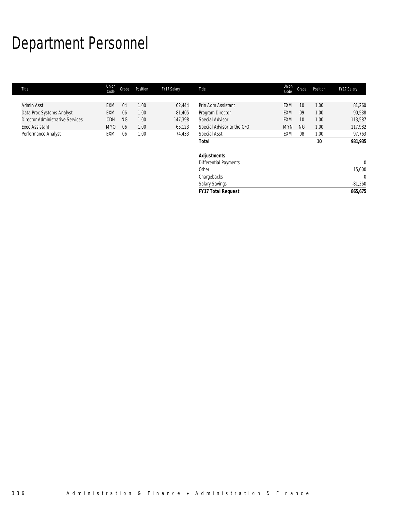# Department Personnel

| Title                                   | Union           | Grade     | Position | FY17 Salary | Title                        | Union<br>Code | Grade | Position | FY17 Salary  |
|-----------------------------------------|-----------------|-----------|----------|-------------|------------------------------|---------------|-------|----------|--------------|
|                                         | Code            |           |          |             |                              |               |       |          |              |
| Admin Asst                              | <b>EXM</b>      | 04        | 1.00     | 62,444      | Prin Adm Assistant           | <b>EXM</b>    | 10    | 1.00     | 81,260       |
| Data Proc Systems Analyst               | <b>EXM</b>      | 06        | 1.00     | 81,405      | Program Director             | <b>EXM</b>    | 09    | 1.00     | 90,538       |
| <b>Director Administrative Services</b> | <b>CDH</b>      | <b>NG</b> | 1.00     | 147,398     | Special Advisor              | EXM           | 10    | 1.00     | 113,587      |
| <b>Exec Assistant</b>                   | MY <sub>0</sub> | 06        | 1.00     | 65,123      | Special Advisor to the CFO   | <b>MYN</b>    | NG.   | 1.00     | 117,982      |
| Performance Analyst                     | EXM             | 06        | 1.00     | 74,433      | Special Asst                 | EXM           | 08    | 1.00     | 97,763       |
|                                         |                 |           |          |             | <b>Total</b>                 |               |       | 10       | 931,935      |
|                                         |                 |           |          |             | <b>Adjustments</b>           |               |       |          |              |
|                                         |                 |           |          |             | <b>Differential Payments</b> |               |       |          | $\mathbf{0}$ |
|                                         |                 |           |          |             | Other                        |               |       |          | 15,000       |
|                                         |                 |           |          |             | Chargebacks                  |               |       |          | $\Omega$     |
|                                         |                 |           |          |             | Salary Savings               |               |       |          | $-81,260$    |
|                                         |                 |           |          |             | <b>FY17 Total Request</b>    |               |       |          | 865,675      |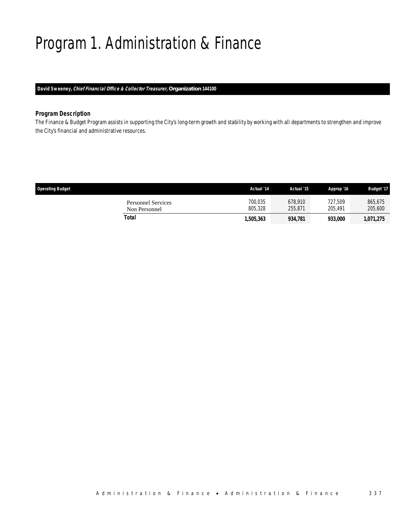# Program 1. Administration & Finance

*David Sweeney, Chief Financial Office & Collector Treasurer, Organization 144100* 

### *Program Description*

The Finance & Budget Program assists in supporting the City's long-term growth and stability by working with all departments to strengthen and improve the City's financial and administrative resources.

| <b>Operating Budget</b>                    | Actual '14         | Actual '15         | Approp '16         | <b>Budget '17</b>  |
|--------------------------------------------|--------------------|--------------------|--------------------|--------------------|
| <b>Personnel Services</b><br>Non Personnel | 700,035<br>805,328 | 678.910<br>255.871 | 727.509<br>205.491 | 865,675<br>205,600 |
| Total                                      | 505,363            | 934,781            | 933,000            | 1,071,275          |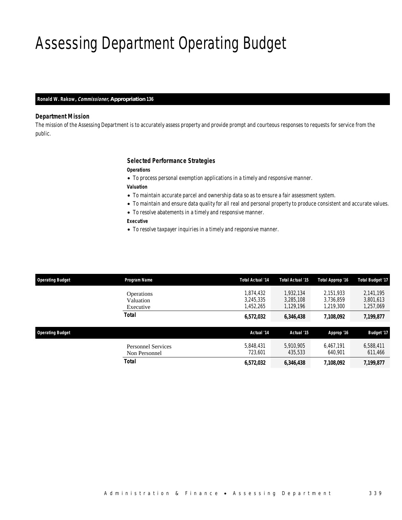# Assessing Department Operating Budget

#### *Ronald W. Rakow, Commissioner, Appropriation 136*

#### *Department Mission*

The mission of the Assessing Department is to accurately assess property and provide prompt and courteous responses to requests for service from the public.

#### *Selected Performance Strategies*

*Operations* 

• To process personal exemption applications in a timely and responsive manner.

*Valuation* 

- To maintain accurate parcel and ownership data so as to ensure a fair assessment system.
- To maintain and ensure data quality for all real and personal property to produce consistent and accurate values.
- To resolve abatements in a timely and responsive manner.

### *Executive*

• To resolve taxpayer inquiries in a timely and responsive manner.

| <b>Operating Budget</b> | Program Name                                | Total Actual '14                    | <b>Total Actual '15</b>             | Total Approp '16                    | <b>Total Budget '17</b>             |
|-------------------------|---------------------------------------------|-------------------------------------|-------------------------------------|-------------------------------------|-------------------------------------|
|                         | <b>Operations</b><br>Valuation<br>Executive | 1,874,432<br>3.245.335<br>1,452,265 | 1.932.134<br>3.285.108<br>1,129,196 | 2.151.933<br>3.736.859<br>1,219,300 | 2,141,195<br>3,801,613<br>1,257,069 |
|                         | <b>Total</b>                                | 6,572,032                           | 6,346,438                           | 7,108,092                           | 7,199,877                           |
| <b>Operating Budget</b> |                                             | Actual '14                          | Actual '15                          | Approp '16                          | <b>Budget '17</b>                   |
|                         | <b>Personnel Services</b><br>Non Personnel  | 5.848.431<br>723.601                | 5.910.905<br>435,533                | 6.467.191<br>640,901                | 6,588,411<br>611,466                |
|                         | <b>Total</b>                                | 6,572,032                           | 6,346,438                           | 7,108,092                           | 7,199,877                           |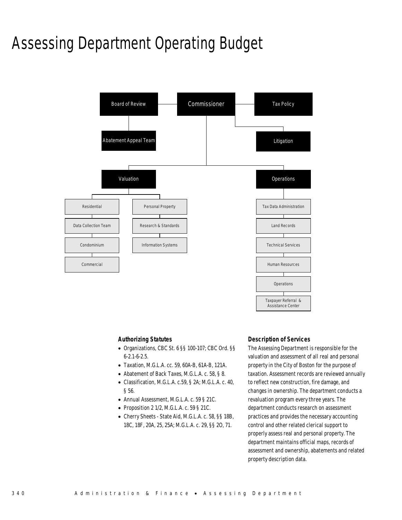## Assessing Department Operating Budget



### *Authorizing Statutes*

- Organizations, CBC St. 6 §§ 100-107; CBC Ord. §§ 6-2.1-6-2.5.
- Taxation, M.G.L.A. cc. 59, 60A-B, 61A-B, 121A.
- Abatement of Back Taxes, M.G.L.A. c. 58, § 8.
- Classification, M.G.L.A. c.59, § 2A; M.G.L.A. c. 40, § 56.
- Annual Assessment, M.G.L.A. c. 59 § 21C.
- Proposition 2 1/2, M.G.L.A. c. 59 § 21C.
- Cherry Sheets State Aid, M.G.L.A. c. 58, §§ 18B, 18C, 18F, 20A, 25, 25A; M.G.L.A. c. 29, §§ 2O, 71.

### *Description of Services*

The Assessing Department is responsible for the valuation and assessment of all real and personal property in the City of Boston for the purpose of taxation. Assessment records are reviewed annually to reflect new construction, fire damage, and changes in ownership. The department conducts a revaluation program every three years. The department conducts research on assessment practices and provides the necessary accounting control and other related clerical support to properly assess real and personal property. The department maintains official maps, records of assessment and ownership, abatements and related property description data.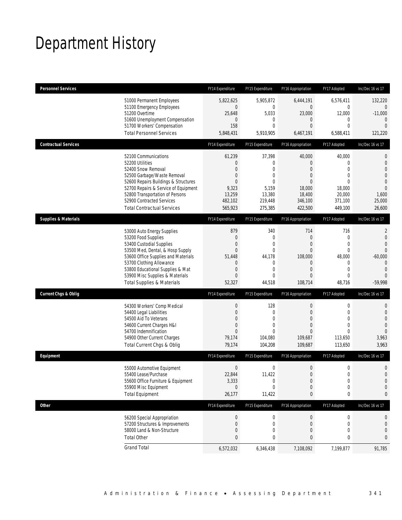## Department History

| <b>Personnel Services</b>       |                                       | FY14 Expenditure | FY15 Expenditure | FY16 Appropriation | FY17 Adopted   | Inc/Dec 16 vs 17 |
|---------------------------------|---------------------------------------|------------------|------------------|--------------------|----------------|------------------|
|                                 | 51000 Permanent Employees             | 5,822,625        | 5,905,872        | 6,444,191          | 6,576,411      | 132,220          |
|                                 | 51100 Emergency Employees             | $\overline{0}$   | 0                | $\overline{0}$     | 0              | $\theta$         |
|                                 | 51200 Overtime                        | 25,648           | 5,033            | 23,000             | 12,000         | $-11,000$        |
|                                 | 51600 Unemployment Compensation       | 0                | $\mathbf 0$      | $\theta$           | 0              | $\theta$         |
|                                 | 51700 Workers' Compensation           | 158              | $\mathbf{0}$     | $\theta$           | $\mathbf{0}$   | $\theta$         |
|                                 | <b>Total Personnel Services</b>       | 5,848,431        | 5,910,905        | 6,467,191          | 6,588,411      | 121,220          |
| <b>Contractual Services</b>     |                                       | FY14 Expenditure | FY15 Expenditure | FY16 Appropriation | FY17 Adopted   | Inc/Dec 16 vs 17 |
|                                 | 52100 Communications                  | 61,239           | 37,398           | 40,000             | 40,000         | $\mathbf 0$      |
|                                 | 52200 Utilities                       | 0                | $\mathbf{0}$     | $\theta$           | 0              | $\mathbf 0$      |
|                                 | 52400 Snow Removal                    | 0                | $\mathbf{0}$     | $\theta$           | $\Omega$       | $\overline{0}$   |
|                                 | 52500 Garbage/Waste Removal           | 0                | $\mathbf{0}$     | $\overline{0}$     | $\overline{0}$ | $\overline{0}$   |
|                                 | 52600 Repairs Buildings & Structures  | $\Omega$         | $\Omega$         | $\Omega$           | $\Omega$       | $\mathbf 0$      |
|                                 | 52700 Repairs & Service of Equipment  | 9,323            | 5,159            | 18,000             | 18,000         | $\Omega$         |
|                                 | 52800 Transportation of Persons       | 13,259           | 13,380           | 18,400             | 20,000         | 1,600            |
|                                 | 52900 Contracted Services             | 482,102          | 219,448          | 346,100            | 371,100        | 25,000           |
|                                 | <b>Total Contractual Services</b>     | 565,923          | 275,385          | 422,500            | 449,100        | 26,600           |
| <b>Supplies &amp; Materials</b> |                                       | FY14 Expenditure | FY15 Expenditure | FY16 Appropriation | FY17 Adopted   | Inc/Dec 16 vs 17 |
|                                 | 53000 Auto Energy Supplies            | 879              | 340              | 714                | 716            | $\overline{2}$   |
|                                 | 53200 Food Supplies                   | $\mathbf 0$      | $\mathbf 0$      | $\theta$           | 0              | $\theta$         |
|                                 | 53400 Custodial Supplies              | 0                | $\mathbf{0}$     | $\overline{0}$     | $\overline{0}$ | $\overline{0}$   |
|                                 | 53500 Med, Dental, & Hosp Supply      | $\overline{0}$   | $\mathbf{0}$     | $\overline{0}$     | $\mathbf{0}$   | $\Omega$         |
|                                 | 53600 Office Supplies and Materials   | 51,448           | 44,178           | 108,000            | 48,000         | $-60,000$        |
|                                 | 53700 Clothing Allowance              | 0                | $\mathbf 0$      | $\theta$           | 0              | $\mathbf{0}$     |
|                                 | 53800 Educational Supplies & Mat      | 0                | $\mathbf{0}$     | $\overline{0}$     | $\mathbf{0}$   | $\overline{0}$   |
|                                 | 53900 Misc Supplies & Materials       | $\Omega$         | $\mathbf{0}$     | $\overline{0}$     | $\mathbf{0}$   | $\Omega$         |
|                                 | <b>Total Supplies &amp; Materials</b> | 52,327           | 44,518           | 108,714            | 48,716         | $-59,998$        |
| <b>Current Chgs &amp; Oblig</b> |                                       | FY14 Expenditure | FY15 Expenditure | FY16 Appropriation | FY17 Adopted   | Inc/Dec 16 vs 17 |
|                                 | 54300 Workers' Comp Medical           | $\boldsymbol{0}$ | 128              | $\mathbf 0$        | 0              | 0                |
|                                 | 54400 Legal Liabilities               | $\mathbf 0$      | $\mathbf 0$      | $\overline{0}$     | $\mathbf 0$    | $\mathbf 0$      |
|                                 | 54500 Aid To Veterans                 | 0                | $\mathbf 0$      | $\overline{0}$     | $\mathbf{0}$   | $\overline{0}$   |
|                                 | 54600 Current Charges H&I             | 0                | $\mathbf 0$      | $\overline{0}$     | $\mathbf{0}$   | $\overline{0}$   |
|                                 | 54700 Indemnification                 | $\overline{0}$   | $\Omega$         | $\overline{0}$     | $\Omega$       | $\overline{0}$   |
|                                 | 54900 Other Current Charges           | 79,174           | 104,080          | 109,687            | 113,650        | 3,963            |
|                                 | Total Current Chgs & Oblig            | 79,174           | 104,208          | 109,687            | 113,650        | 3,963            |
| Equipment                       |                                       | FY14 Expenditure | FY15 Expenditure | FY16 Appropriation | FY17 Adopted   | Inc/Dec 16 vs 17 |
|                                 | 55000 Automotive Equipment            | $\boldsymbol{0}$ | 0                | $\boldsymbol{0}$   | $\mathbf 0$    | $\mathbf 0$      |
|                                 | 55400 Lease/Purchase                  | 22,844           | 11,422           | $\mathbf{0}$       | $\overline{0}$ | $\overline{0}$   |
|                                 | 55600 Office Furniture & Equipment    | 3,333            | $\boldsymbol{0}$ | $\boldsymbol{0}$   | 0              | $\mathbf 0$      |
|                                 | 55900 Misc Equipment                  | 0                | $\overline{0}$   | $\theta$           | $\mathbf 0$    | $\mathbf 0$      |
|                                 | <b>Total Equipment</b>                | 26,177           | 11,422           | 0                  | 0              | 0                |
| <b>Other</b>                    |                                       | FY14 Expenditure | FY15 Expenditure | FY16 Appropriation | FY17 Adopted   | Inc/Dec 16 vs 17 |
|                                 | 56200 Special Appropriation           | 0                | 0                | $\boldsymbol{0}$   | 0              | 0                |
|                                 | 57200 Structures & Improvements       | 0                | 0                | $\theta$           | 0              | 0                |
|                                 | 58000 Land & Non-Structure            | 0                | $\mathbf 0$      | $\overline{0}$     | $\mathbf{0}$   | 0                |
|                                 | <b>Total Other</b>                    | 0                | 0                | 0                  | 0              | 0                |
|                                 | <b>Grand Total</b>                    | 6,572,032        | 6,346,438        | 7,108,092          | 7,199,877      | 91,785           |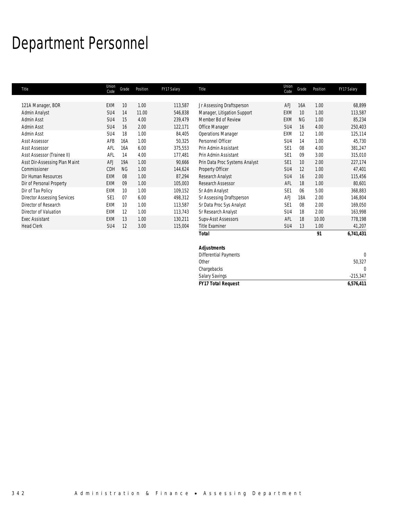## Department Personnel

I.

| Title                              | Union<br>Code   | Grade     | Position | FY17 Salary | Title                          | Union<br>Code   | Grade     | Position | FY17 Salary |
|------------------------------------|-----------------|-----------|----------|-------------|--------------------------------|-----------------|-----------|----------|-------------|
|                                    |                 |           |          |             |                                |                 |           |          |             |
| 121A Manager, BOR                  | <b>EXM</b>      | 10        | 1.00     | 113,587     | Jr Assessing Draftsperson      | AFJ             | 16A       | 1.00     | 68,899      |
| Admin Analyst                      | SU4             | 14        | 11.00    | 546,838     | Manager, Litigation Support    | <b>EXM</b>      | 10        | 1.00     | 113,587     |
| Admin Asst                         | SU4             | 15        | 4.00     | 239,479     | Member Bd of Review            | <b>EXM</b>      | <b>NG</b> | 1.00     | 85,234      |
| Admin Asst                         | SU4             | 16        | 2.00     | 122,171     | Office Manager                 | SU4             | 16        | 4.00     | 250,403     |
| Admin Asst                         | SU4             | 18        | 1.00     | 84,405      | <b>Operations Manager</b>      | EXM             | 12        | 1.00     | 125,114     |
| <b>Asst Assessor</b>               | AFB             | 16A       | 1.00     | 50,325      | Personnel Officer              | SU <sub>4</sub> | 14        | 1.00     | 45,730      |
| <b>Asst Assessor</b>               | AFL             | 16A       | 6.00     | 375,553     | Prin Admin Assistant           | SE <sub>1</sub> | 08        | 4.00     | 381,247     |
| Asst Assessor (Trainee II)         | AFL             | 14        | 4.00     | 177,481     | Prin Admin Assistant           | SE <sub>1</sub> | 09        | 3.00     | 315,010     |
| Asst Dir-Assessing Plan Maint      | <b>AFJ</b>      | 19A       | 1.00     | 90,666      | Prin Data Proc Systems Analyst | SE <sub>1</sub> | 10        | 2.00     | 227,174     |
| Commissioner                       | CDH             | <b>NG</b> | 1.00     | 144,624     | Property Officer               | SU4             | 12        | 1.00     | 47,401      |
| Dir Human Resources                | <b>EXM</b>      | 08        | 1.00     | 87,294      | Research Analyst               | SU4             | 16        | 2.00     | 115,456     |
| Dir of Personal Property           | <b>EXM</b>      | 09        | 1.00     | 105,003     | Research Assessor              | AFL             | 18        | 1.00     | 80,601      |
| Dir of Tax Policy                  | <b>EXM</b>      | 10        | 1.00     | 109,152     | Sr Adm Analyst                 | SE <sub>1</sub> | 06        | 5.00     | 368,883     |
| <b>Director Assessing Services</b> | SE <sub>1</sub> | 07        | 6.00     | 498,312     | Sr Assessing Draftsperson      | <b>AFJ</b>      | 18A       | 2.00     | 146,804     |
| Director of Research               | EXM             | 10        | 1.00     | 113,587     | Sr Data Proc Sys Analyst       | SE <sub>1</sub> | 08        | 2.00     | 169,050     |
| Director of Valuation              | <b>EXM</b>      | 12        | 1.00     | 113,743     | Sr Research Analyst            | SU4             | 18        | 2.00     | 163,998     |
| <b>Exec Assistant</b>              | <b>EXM</b>      | 13        | 1.00     | 130,211     | Supv-Asst Assessors            | AFL             | 18        | 10.00    | 778,198     |
| <b>Head Clerk</b>                  | SU4             | 12        | 3.00     | 115,004     | <b>Title Examiner</b>          | SU4             | 13        | 1.00     | 41,207      |
|                                    |                 |           |          |             | <b>Total</b>                   |                 |           | 91       | 6,741,431   |
|                                    |                 |           |          |             |                                |                 |           |          |             |
|                                    |                 |           |          |             | <b>Adjustments</b>             |                 |           |          |             |

| <b>FY17 Total Request</b> | 6.576.411  |
|---------------------------|------------|
| <b>Salary Savings</b>     | $-215.347$ |
| Chargebacks               | 0          |
| Other                     | 50.327     |
| Differential Payments     | $\Omega$   |
| Aujustments               |            |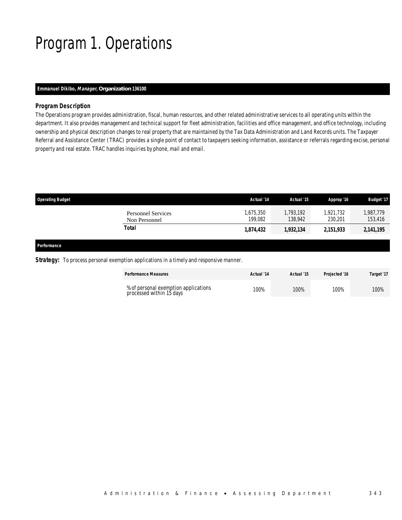## Program 1. Operations

#### *Emmanuel Dikibo, Manager, Organization 136100*

#### *Program Description*

The Operations program provides administration, fiscal, human resources, and other related administrative services to all operating units within the department. It also provides management and technical support for fleet administration, facilities and office management, and office technology, including ownership and physical description changes to real property that are maintained by the Tax Data Administration and Land Records units. The Taxpayer Referral and Assistance Center (TRAC) provides a single point of contact to taxpayers seeking information, assistance or referrals regarding excise, personal property and real estate. TRAC handles inquiries by phone, mail and email.

| .675.350<br><b>Personnel Services</b><br>199.082<br>Non Personnel | .793.192<br>138,942 | 1.921.732<br>230,201 | ,987,779<br>153,416 |
|-------------------------------------------------------------------|---------------------|----------------------|---------------------|
| Total<br>1,874,432                                                | 1,932,134           | 2,151,933            | 2,141,195           |

#### *Performance*

**Strategy:** To process personal exemption applications in a timely and responsive manner.

| <b>Performance Measures</b>                                      | Actual '14 | Actual '15 | Projected '16 | Target '17 |
|------------------------------------------------------------------|------------|------------|---------------|------------|
| % of personal exemption applications<br>processed within 15 days | 100%       | 100%       | 100%          | 100%       |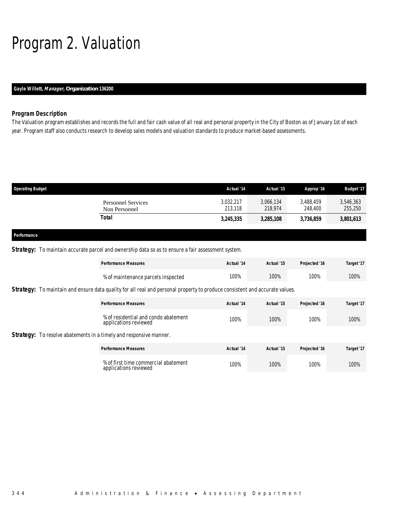## Program 2. Valuation

## *Gayle Willett, Manager, Organization 136200*

#### *Program Description*

The Valuation program establishes and records the full and fair cash value of all real and personal property in the City of Boston as of January 1st of each year. Program staff also conducts research to develop sales models and valuation standards to produce market-based assessments.

| <b>Operating Budget</b> |                                            | Actual '14           | Actual '15           | Approp '16           | <b>Budget '17</b>    |
|-------------------------|--------------------------------------------|----------------------|----------------------|----------------------|----------------------|
|                         | <b>Personnel Services</b><br>Non Personnel | 3,032,217<br>213,118 | 3,066,134<br>218,974 | 3,488,459<br>248,400 | 3,546,363<br>255,250 |
|                         | Total                                      | 3,245,335            | 3,285,108            | 3,736,859            | 3,801,613            |
| Performance             |                                            |                      |                      |                      |                      |

### **Strategy:** To maintain accurate parcel and ownership data so as to ensure a fair assessment system.

|  | <b>Performance Measures</b>                                                                                                        | Actual '14 | Actual '15 | Projected '16 | Target '17 |
|--|------------------------------------------------------------------------------------------------------------------------------------|------------|------------|---------------|------------|
|  | % of maintenance parcels inspected                                                                                                 | 100%       | 100%       | 100%          | 100%       |
|  | <b>Strategy:</b> To maintain and ensure data quality for all real and personal property to produce consistent and accurate values. |            |            |               |            |
|  | <b>Performance Measures</b>                                                                                                        | Actual '14 | Actual '15 | Projected '16 | Target '17 |
|  | % of residential and condo abatement<br>applications reviewed                                                                      | 100%       | 100%       | 100%          | 100%       |
|  | <b>Strategy:</b> To resolve abatements in a timely and responsive manner.                                                          |            |            |               |            |
|  | <b>Performance Measures</b>                                                                                                        | Actual '14 | Actual '15 | Projected '16 | Target '17 |
|  | % of first time commercial abatement<br>applications reviewed                                                                      | 100%       | 100%       | 100%          | 100%       |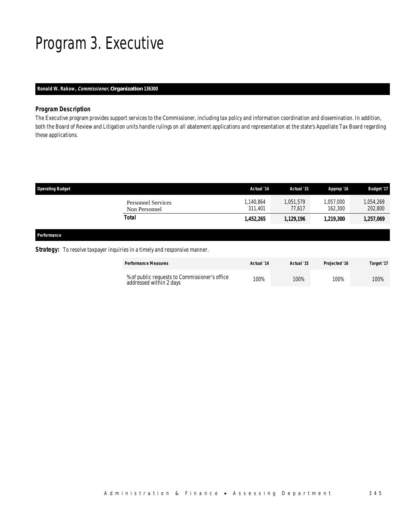## Program 3. Executive

### *Ronald W. Rakow, Commissioner, Organization 136300*

#### *Program Description*

The Executive program provides support services to the Commissioner, including tax policy and information coordination and dissemination. In addition, both the Board of Review and Litigation units handle rulings on all abatement applications and representation at the state's Appellate Tax Board regarding these applications.

| <b>Operating Budget</b> |                                            | Actual '14           | Actual '15          | Approp '16           | <b>Budget '17</b>    |
|-------------------------|--------------------------------------------|----------------------|---------------------|----------------------|----------------------|
|                         | <b>Personnel Services</b><br>Non Personnel | 1,140,864<br>311.401 | 1,051,579<br>77.617 | 1,057,000<br>162,300 | 1,054,269<br>202,800 |
|                         | Total                                      | 1,452,265            | 1,129,196           | 1,219,300            | 1,257,069            |
| Performance             |                                            |                      |                     |                      |                      |

### **Strategy:** To resolve taxpayer inquiries in a timely and responsive manner.

| <b>Performance Measures</b>                                              | Actual '14 | Actual '15 | Projected '16 | Target '17 |
|--------------------------------------------------------------------------|------------|------------|---------------|------------|
| % of public requests to Commissioner's office<br>addressed within 2 days | 100%       | 100%       | 100%          | 100%       |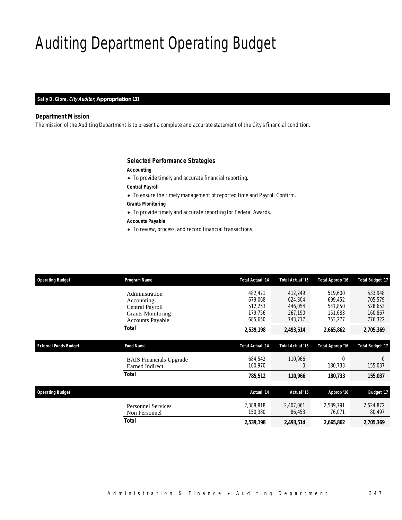# Auditing Department Operating Budget

### *Sally D. Glora, City Auditor, Appropriation 131*

### *Department Mission*

The mission of the Auditing Department is to present a complete and accurate statement of the City's financial condition.

#### *Selected Performance Strategies*

*Accounting* 

• To provide timely and accurate financial reporting.

*Central Payroll* 

- To ensure the timely management of reported time and Payroll Confirm.
- *Grants Monitoring*
- To provide timely and accurate reporting for Federal Awards.

*Accounts Payable* 

• To review, process, and record financial transactions.

| <b>Operating Budget</b>      | Program Name                               | <b>Total Actual '14</b> | <b>Total Actual '15</b> | Total Approp '16    | <b>Total Budget '17</b> |
|------------------------------|--------------------------------------------|-------------------------|-------------------------|---------------------|-------------------------|
|                              | Administration                             | 482,471                 | 412.249                 | 519,600             | 533,948                 |
|                              | Accounting                                 | 679,068                 | 624,304                 | 699,452             | 705,579                 |
|                              | Central Payroll                            | 512,253                 | 446,054                 | 541,850             | 528,653                 |
|                              | <b>Grants Monitoring</b>                   | 179.756                 | 267,190                 | 151,683             | 160,867                 |
|                              | <b>Accounts Payable</b>                    | 685,650                 | 743,717                 | 753,277             | 776,322                 |
|                              | <b>Total</b>                               | 2,539,198               | 2,493,514               | 2,665,862           | 2,705,369               |
| <b>External Funds Budget</b> | <b>Fund Name</b>                           | <b>Total Actual '14</b> | <b>Total Actual '15</b> | Total Approp '16    | <b>Total Budget '17</b> |
|                              | <b>BAIS Financials Upgrade</b>             | 684,542                 | 110,966                 | $\Omega$            | $\Omega$                |
|                              | <b>Earned Indirect</b>                     | 100,970                 | 0                       | 180,733             | 155,037                 |
|                              | <b>Total</b>                               | 785,512                 | 110,966                 | 180,733             | 155,037                 |
| <b>Operating Budget</b>      |                                            | Actual '14              | Actual '15              | Approp '16          | <b>Budget '17</b>       |
|                              | <b>Personnel Services</b><br>Non Personnel | 2,388,818<br>150,380    | 2,407,061<br>86,453     | 2,589,791<br>76,071 | 2,624,872<br>80,497     |
|                              | <b>Total</b>                               | 2,539,198               | 2,493,514               | 2,665,862           | 2,705,369               |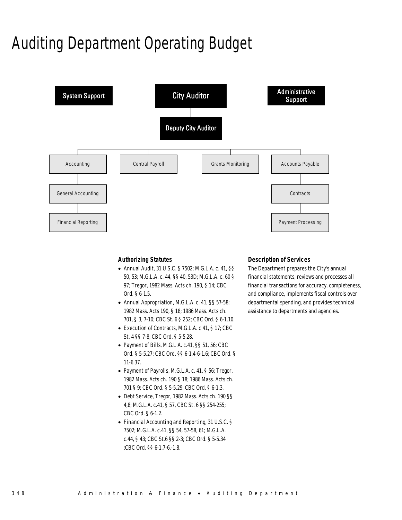# Auditing Department Operating Budget



#### *Authorizing Statutes*

- Annual Audit, 31 U.S.C. § 7502; M.G.L.A. c. 41, §§ 50, 53; M.G.L.A. c. 44, §§ 40, 53D; M.G.L.A. c. 60 § 97; Tregor, 1982 Mass. Acts ch. 190, § 14; CBC Ord. § 6-1.5.
- Annual Appropriation, M.G.L.A. c. 41, §§ 57-58; 1982 Mass. Acts 190, § 18; 1986 Mass. Acts ch. 701, § 3, 7-10; CBC St. 6 § 252; CBC Ord. § 6-1.10.
- Execution of Contracts, M.G.L.A. c 41, § 17; CBC St. 4 §§ 7-8; CBC Ord. § 5-5.28.
- Payment of Bills, M.G.L.A. c.41, §§ 51, 56; CBC Ord. § 5-5.27; CBC Ord. §§ 6-1.4-6-1.6; CBC Ord. § 11-6.37.
- Payment of Payrolls, M.G.L.A. c. 41, § 56; Tregor, 1982 Mass. Acts ch. 190 § 18; 1986 Mass. Acts ch. 701 § 9; CBC Ord. § 5-5.29; CBC Ord. § 6-1.3.
- Debt Service, Tregor, 1982 Mass. Acts ch. 190 §§ 4,8; M.G.L.A. c.41, § 57, CBC St. 6 §§ 254-255; CBC Ord. § 6-1.2.
- Financial Accounting and Reporting, 31 U.S.C. § 7502; M.G.L.A. c.41, §§ 54, 57-58, 61; M.G.L.A. c.44, § 43; CBC St.6 §§ 2-3; CBC Ord. § 5-5.34 ;CBC Ord. §§ 6-1.7-6.-1.8.

#### *Description of Services*

The Department prepares the City's annual financial statements, reviews and processes all financial transactions for accuracy, completeness, and compliance, implements fiscal controls over departmental spending, and provides technical assistance to departments and agencies.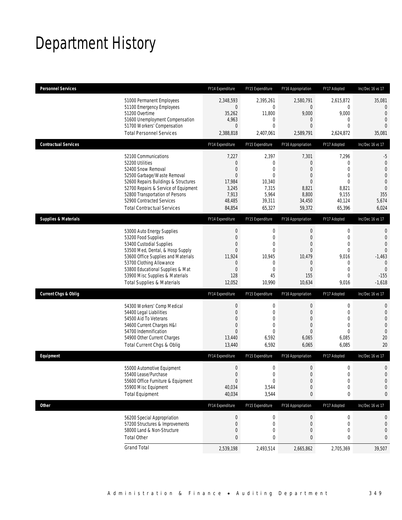## Department History

| <b>Personnel Services</b>       |                                                                                                                                                                                                                                                                                                      | FY14 Expenditure                                                                                                      | FY15 Expenditure                                                                                                          | FY16 Appropriation                                                                                                            | FY17 Adopted                                                                                                         | Inc/Dec 16 vs 17                                                                                                    |
|---------------------------------|------------------------------------------------------------------------------------------------------------------------------------------------------------------------------------------------------------------------------------------------------------------------------------------------------|-----------------------------------------------------------------------------------------------------------------------|---------------------------------------------------------------------------------------------------------------------------|-------------------------------------------------------------------------------------------------------------------------------|----------------------------------------------------------------------------------------------------------------------|---------------------------------------------------------------------------------------------------------------------|
|                                 | 51000 Permanent Employees<br>51100 Emergency Employees<br>51200 Overtime<br>51600 Unemployment Compensation<br>51700 Workers' Compensation<br><b>Total Personnel Services</b>                                                                                                                        | 2,348,593<br>$\overline{0}$<br>35,262<br>4,963<br>$\overline{0}$<br>2,388,818                                         | 2,395,261<br>$\mathbf 0$<br>11,800<br>$\mathbf 0$<br>$\overline{0}$<br>2,407,061                                          | 2,580,791<br>$\mathbf{0}$<br>9,000<br>$\mathbf 0$<br>$\overline{0}$<br>2,589,791                                              | 2,615,872<br>$\mathbf 0$<br>9,000<br>$\mathbf{0}$<br>$\Omega$<br>2,624,872                                           | 35,081<br>0<br>$\theta$<br>$\overline{0}$<br>$\Omega$<br>35,081                                                     |
| <b>Contractual Services</b>     |                                                                                                                                                                                                                                                                                                      | FY14 Expenditure                                                                                                      | FY15 Expenditure                                                                                                          | FY16 Appropriation                                                                                                            | FY17 Adopted                                                                                                         | Inc/Dec 16 vs 17                                                                                                    |
|                                 | 52100 Communications<br>52200 Utilities<br>52400 Snow Removal<br>52500 Garbage/Waste Removal<br>52600 Repairs Buildings & Structures<br>52700 Repairs & Service of Equipment<br>52800 Transportation of Persons<br>52900 Contracted Services<br><b>Total Contractual Services</b>                    | 7,227<br>0<br>$\overline{0}$<br>$\overline{0}$<br>17,984<br>3,245<br>7,913<br>48,485<br>84,854                        | 2,397<br>$\mathbf 0$<br>$\mathbf 0$<br>$\overline{0}$<br>10,340<br>7,315<br>5,964<br>39,311<br>65,327                     | 7,301<br>$\overline{0}$<br>$\overline{0}$<br>$\overline{0}$<br>$\overline{0}$<br>8,821<br>8,800<br>34,450<br>59,372           | 7,296<br>$\mathbf{0}$<br>$\overline{0}$<br>$\overline{0}$<br>$\theta$<br>8,821<br>9,155<br>40,124<br>65,396          | $-5$<br>$\mathbf{0}$<br>$\overline{0}$<br>$\overline{0}$<br>$\overline{0}$<br>$\mathbf{0}$<br>355<br>5,674<br>6,024 |
| <b>Supplies &amp; Materials</b> |                                                                                                                                                                                                                                                                                                      | FY14 Expenditure                                                                                                      | FY15 Expenditure                                                                                                          | FY16 Appropriation                                                                                                            | FY17 Adopted                                                                                                         | Inc/Dec 16 vs 17                                                                                                    |
|                                 | 53000 Auto Energy Supplies<br>53200 Food Supplies<br>53400 Custodial Supplies<br>53500 Med, Dental, & Hosp Supply<br>53600 Office Supplies and Materials<br>53700 Clothing Allowance<br>53800 Educational Supplies & Mat<br>53900 Misc Supplies & Materials<br><b>Total Supplies &amp; Materials</b> | $\boldsymbol{0}$<br>$\boldsymbol{0}$<br>$\overline{0}$<br>$\mathbf{0}$<br>11,924<br>0<br>$\mathbf 0$<br>128<br>12,052 | $\boldsymbol{0}$<br>$\mathbf 0$<br>$\mathbf 0$<br>$\overline{0}$<br>10,945<br>$\mathbf 0$<br>$\mathbf{0}$<br>45<br>10,990 | $\mathbf 0$<br>$\overline{0}$<br>$\overline{0}$<br>$\overline{0}$<br>10,479<br>$\mathbf 0$<br>$\overline{0}$<br>155<br>10,634 | 0<br>$\mathbf{0}$<br>$\mathbf{0}$<br>$\mathbf{0}$<br>9,016<br>$\mathbf 0$<br>$\mathbf{0}$<br>$\overline{0}$<br>9,016 | 0<br>$\mathbf 0$<br>$\overline{0}$<br>$\Omega$<br>$-1,463$<br>$\theta$<br>$\overline{0}$<br>$-155$<br>$-1,618$      |
| <b>Current Chgs &amp; Oblig</b> |                                                                                                                                                                                                                                                                                                      | FY14 Expenditure                                                                                                      | FY15 Expenditure                                                                                                          | FY16 Appropriation                                                                                                            | FY17 Adopted                                                                                                         | Inc/Dec 16 vs 17                                                                                                    |
|                                 | 54300 Workers' Comp Medical<br>54400 Legal Liabilities<br>54500 Aid To Veterans<br>54600 Current Charges H&I<br>54700 Indemnification<br>54900 Other Current Charges<br>Total Current Chgs & Oblig                                                                                                   | $\boldsymbol{0}$<br>$\mathbf 0$<br>0<br>0<br>$\overline{0}$<br>13,440<br>13,440                                       | $\boldsymbol{0}$<br>$\mathbf 0$<br>$\mathbf 0$<br>$\mathbf 0$<br>$\mathbf 0$<br>6,592<br>6,592                            | $\boldsymbol{0}$<br>$\mathbf 0$<br>$\overline{0}$<br>$\overline{0}$<br>$\overline{0}$<br>6,065<br>6,065                       | $\boldsymbol{0}$<br>$\mathbf 0$<br>$\mathbf{0}$<br>$\mathbf{0}$<br>$\mathbf{0}$<br>6,085<br>6,085                    | 0<br>$\mathbf 0$<br>$\overline{0}$<br>$\mathbf 0$<br>$\mathbf 0$<br>20<br>20                                        |
| Equipment                       |                                                                                                                                                                                                                                                                                                      | FY14 Expenditure                                                                                                      | FY15 Expenditure                                                                                                          | FY16 Appropriation                                                                                                            | FY17 Adopted                                                                                                         | Inc/Dec 16 vs 17                                                                                                    |
|                                 | 55000 Automotive Equipment<br>55400 Lease/Purchase<br>55600 Office Furniture & Equipment<br>55900 Misc Equipment<br><b>Total Equipment</b>                                                                                                                                                           | $\boldsymbol{0}$<br>$\Omega$<br>$\boldsymbol{0}$<br>40,034<br>40,034                                                  | 0<br>$\mathbf 0$<br>$\boldsymbol{0}$<br>3,544<br>3,544                                                                    | $\boldsymbol{0}$<br>$\mathbf{0}$<br>$\theta$<br>$\mathbf 0$<br>0                                                              | $\boldsymbol{0}$<br>$\mathbf 0$<br>$\boldsymbol{0}$<br>$\mathbf 0$<br>0                                              | 0<br>$\overline{0}$<br>$\mathbf 0$<br>0<br>0                                                                        |
| <b>Other</b>                    |                                                                                                                                                                                                                                                                                                      | FY14 Expenditure                                                                                                      | FY15 Expenditure                                                                                                          | FY16 Appropriation                                                                                                            | FY17 Adopted                                                                                                         | Inc/Dec 16 vs 17                                                                                                    |
|                                 | 56200 Special Appropriation<br>57200 Structures & Improvements<br>58000 Land & Non-Structure<br><b>Total Other</b>                                                                                                                                                                                   | 0<br>0<br>0<br>0                                                                                                      | $\boldsymbol{0}$<br>0<br>$\mathbf 0$<br>0                                                                                 | $\mathbf 0$<br>$\mathbf 0$<br>$\mathbf 0$<br>0                                                                                | 0<br>0<br>$\mathbf 0$<br>0                                                                                           | 0<br>0<br>0<br>0                                                                                                    |
|                                 | <b>Grand Total</b>                                                                                                                                                                                                                                                                                   | 2,539,198                                                                                                             | 2,493,514                                                                                                                 | 2,665,862                                                                                                                     | 2,705,369                                                                                                            | 39,507                                                                                                              |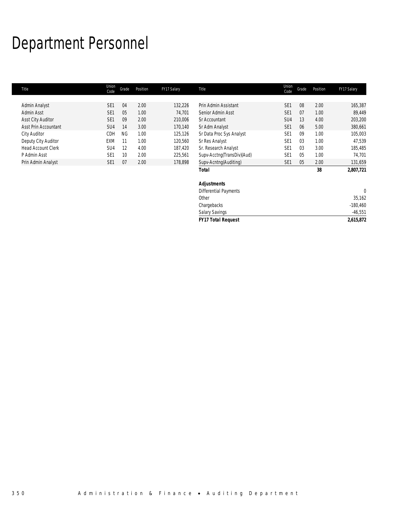## Department Personnel

| Title                     | Union<br>Code   | Grade           | Position | FY17 Salary | Title                        | Union<br>Code   | Grade          | Position | FY17 Salary |
|---------------------------|-----------------|-----------------|----------|-------------|------------------------------|-----------------|----------------|----------|-------------|
|                           |                 |                 |          |             |                              |                 |                |          |             |
| Admin Analyst             | SE <sub>1</sub> | 04              | 2.00     | 132,226     | Prin Admin Assistant         | SE <sub>1</sub> | 08             | 2.00     | 165,387     |
| Admin Asst                | SE <sub>1</sub> | 05              | 1.00     | 74,701      | Senior Admin Asst            | SE <sub>1</sub> | 07             | 1.00     | 89,449      |
| <b>Asst City Auditor</b>  | SE <sub>1</sub> | 09              | 2.00     | 210,006     | Sr Accountant                | SU4             | 13             | 4.00     | 203,200     |
| Asst Prin Accountant      | SU <sub>4</sub> | 14              | 3.00     | 170,140     | Sr Adm Analyst               | SE <sub>1</sub> | 06             | 5.00     | 380,661     |
| City Auditor              | CDH             | <b>NG</b>       | 1.00     | 125,126     | Sr Data Proc Sys Analyst     | SE <sub>1</sub> | 09             | 1.00     | 105,003     |
| Deputy City Auditor       | <b>EXM</b>      | 11              | 1.00     | 120,560     | Sr Res Analyst               | SE <sub>1</sub> | 03             | 1.00     | 47,539      |
| <b>Head Account Clerk</b> | SU <sub>4</sub> | 12              | 4.00     | 187,420     | Sr. Research Analyst         | SE <sub>1</sub> | 0 <sub>3</sub> | 3.00     | 185,485     |
| P Admin Asst              | SE <sub>1</sub> | 10 <sup>°</sup> | 2.00     | 225,561     | Supv-Acctnq(TransDiv)(Aud)   | SE <sub>1</sub> | 05             | 1.00     | 74,701      |
| Prin Admin Analyst        | SE <sub>1</sub> | 07              | 2.00     | 178,898     | Supv-Acntng(Auditing)        | SE <sub>1</sub> | 05             | 2.00     | 131,659     |
|                           |                 |                 |          |             | <b>Total</b>                 |                 |                | 38       | 2,807,721   |
|                           |                 |                 |          |             | <b>Adjustments</b>           |                 |                |          |             |
|                           |                 |                 |          |             | <b>Differential Payments</b> |                 |                |          | $\theta$    |
|                           |                 |                 |          |             | Other                        |                 |                |          | 35,162      |
|                           |                 |                 |          |             | Chargebacks                  |                 |                |          | $-180,460$  |
|                           |                 |                 |          |             |                              |                 |                |          |             |

Salary Savings -46,551 *FY17 Total Request 2,615,872*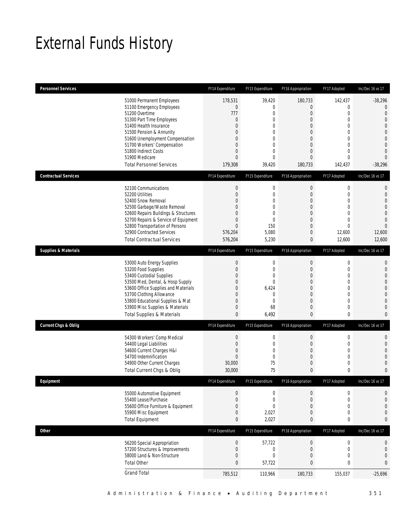## External Funds History

| <b>Personnel Services</b>       |                                                                                                                                                                                                                                                                                                            | FY14 Expenditure                                                                                           | FY15 Expenditure                                                                                    | FY16 Appropriation                                                                                                                                                          | FY17 Adopted                                                                                                                                          | Inc/Dec 16 vs 17                                                                                                                                                                 |
|---------------------------------|------------------------------------------------------------------------------------------------------------------------------------------------------------------------------------------------------------------------------------------------------------------------------------------------------------|------------------------------------------------------------------------------------------------------------|-----------------------------------------------------------------------------------------------------|-----------------------------------------------------------------------------------------------------------------------------------------------------------------------------|-------------------------------------------------------------------------------------------------------------------------------------------------------|----------------------------------------------------------------------------------------------------------------------------------------------------------------------------------|
|                                 | 51000 Permanent Employees<br>51100 Emergency Employees<br>51200 Overtime<br>51300 Part Time Employees<br>51400 Health Insurance<br>51500 Pension & Annunity<br>51600 Unemployment Compensation<br>51700 Workers' Compensation<br>51800 Indirect Costs<br>51900 Medicare<br><b>Total Personnel Services</b> | 178,531<br>$\boldsymbol{0}$<br>777<br>$\mathbf 0$<br>0<br>0<br>0<br>0<br>0<br>0<br>179,308                 | 39,420<br>0<br>0<br>0<br>0<br>0<br>$\overline{0}$<br>0<br>$\overline{0}$<br>0<br>39,420             | 180,733<br>$\boldsymbol{0}$<br>0<br>$\boldsymbol{0}$<br>$\overline{0}$<br>$\overline{0}$<br>$\overline{0}$<br>$\overline{0}$<br>$\overline{0}$<br>$\overline{0}$<br>180,733 | 142,437<br>0<br>$\mathbf 0$<br>$\mathbf 0$<br>$\mathbf{0}$<br>$\mathbf{0}$<br>$\mathbf{0}$<br>$\mathbf{0}$<br>$\mathbf{0}$<br>$\mathbf{0}$<br>142,437 | $-38,296$<br>$\overline{0}$<br>$\overline{0}$<br>$\mathbf 0$<br>$\overline{0}$<br>$\overline{0}$<br>$\mathbf 0$<br>$\overline{0}$<br>$\mathbf{0}$<br>$\overline{0}$<br>$-38,296$ |
| <b>Contractual Services</b>     |                                                                                                                                                                                                                                                                                                            | FY14 Expenditure                                                                                           | FY15 Expenditure                                                                                    | FY16 Appropriation                                                                                                                                                          | FY17 Adopted                                                                                                                                          | Inc/Dec 16 vs 17                                                                                                                                                                 |
|                                 | 52100 Communications<br>52200 Utilities<br>52400 Snow Removal<br>52500 Garbage/Waste Removal<br>52600 Repairs Buildings & Structures<br>52700 Repairs & Service of Equipment<br>52800 Transportation of Persons<br>52900 Contracted Services<br><b>Total Contractual Services</b>                          | $\boldsymbol{0}$<br>$\boldsymbol{0}$<br>0<br>0<br>0<br>$\mathbf 0$<br>$\overline{0}$<br>576,204<br>576,204 | $\boldsymbol{0}$<br>$\mathbf 0$<br>0<br>0<br>$\overline{0}$<br>$\mathbf 0$<br>150<br>5,080<br>5,230 | $\boldsymbol{0}$<br>$\mathbf 0$<br>$\overline{0}$<br>$\overline{0}$<br>$\overline{0}$<br>$\overline{0}$<br>$\boldsymbol{0}$<br>$\mathbf 0$<br>0                             | $\boldsymbol{0}$<br>$\mathbf 0$<br>$\mathbf{0}$<br>$\mathbf{0}$<br>$\mathbf{0}$<br>$\mathbf 0$<br>$\mathbf{0}$<br>12,600<br>12,600                    | $\mathbf 0$<br>$\mathbf 0$<br>$\overline{0}$<br>$\overline{0}$<br>$\overline{0}$<br>$\overline{0}$<br>$\overline{0}$<br>12,600<br>12,600                                         |
| <b>Supplies &amp; Materials</b> |                                                                                                                                                                                                                                                                                                            | FY14 Expenditure                                                                                           | FY15 Expenditure                                                                                    | FY16 Appropriation                                                                                                                                                          | FY17 Adopted                                                                                                                                          | Inc/Dec 16 vs 17                                                                                                                                                                 |
|                                 | 53000 Auto Energy Supplies<br>53200 Food Supplies<br>53400 Custodial Supplies<br>53500 Med, Dental, & Hosp Supply<br>53600 Office Supplies and Materials<br>53700 Clothing Allowance<br>53800 Educational Supplies & Mat<br>53900 Misc Supplies & Materials<br><b>Total Supplies &amp; Materials</b>       | $\boldsymbol{0}$<br>$\boldsymbol{0}$<br>0<br>0<br>0<br>0<br>0<br>0<br>0                                    | $\mathbf 0$<br>$\mathbf 0$<br>0<br>0<br>6,424<br>$\mathbf{0}$<br>$\mathbf{0}$<br>68<br>6,492        | $\boldsymbol{0}$<br>$\overline{0}$<br>$\overline{0}$<br>$\overline{0}$<br>$\overline{0}$<br>$\overline{0}$<br>$\overline{0}$<br>$\mathbf 0$<br>$\mathbf{0}$                 | $\boldsymbol{0}$<br>$\mathbf 0$<br>$\mathbf 0$<br>$\mathbf{0}$<br>$\mathbf{0}$<br>$\mathbf 0$<br>$\mathbf{0}$<br>$\mathbf 0$<br>$\mathbf{0}$          | $\mathbf{0}$<br>$\mathbf 0$<br>$\mathbf{0}$<br>$\mathbf{0}$<br>$\overline{0}$<br>$\overline{0}$<br>$\overline{0}$<br>$\overline{0}$<br>$\mathbf{0}$                              |
| <b>Current Chgs &amp; Oblig</b> |                                                                                                                                                                                                                                                                                                            | FY14 Expenditure                                                                                           | FY15 Expenditure                                                                                    | FY16 Appropriation                                                                                                                                                          | FY17 Adopted                                                                                                                                          | Inc/Dec 16 vs 17                                                                                                                                                                 |
|                                 | 54300 Workers' Comp Medical<br>54400 Legal Liabilities<br>54600 Current Charges H&I<br>54700 Indemnification<br>54900 Other Current Charges<br>Total Current Chgs & Oblig                                                                                                                                  | $\boldsymbol{0}$<br>$\boldsymbol{0}$<br>$\mathbf 0$<br>$\overline{0}$<br>30,000<br>30,000                  | $\boldsymbol{0}$<br>$\boldsymbol{0}$<br>0<br>0<br>75<br>75                                          | $\boldsymbol{0}$<br>$\mathbf 0$<br>$\mathbf 0$<br>$\overline{0}$<br>$\mathbf 0$<br>$\mathbf{0}$                                                                             | $\boldsymbol{0}$<br>$\mathbf 0$<br>$\mathbf 0$<br>$\mathbf 0$<br>$\mathbf 0$<br>$\mathbf{0}$                                                          | $\mathbf{0}$<br>$\mathbf 0$<br>$\overline{0}$<br>$\mathbf{0}$<br>$\mathbf{0}$<br>$\mathbf{0}$                                                                                    |
| Equipment                       |                                                                                                                                                                                                                                                                                                            | FY14 Expenditure                                                                                           | FY15 Expenditure                                                                                    | FY16 Appropriation                                                                                                                                                          | FY17 Adopted                                                                                                                                          | Inc/Dec 16 vs 17                                                                                                                                                                 |
|                                 | 55000 Automotive Equipment<br>55400 Lease/Purchase<br>55600 Office Furniture & Equipment<br>55900 Misc Equipment<br><b>Total Equipment</b>                                                                                                                                                                 | $\boldsymbol{0}$<br>$\boldsymbol{0}$<br>0<br>0<br>0                                                        | 0<br>$\boldsymbol{0}$<br>0<br>2,027<br>2,027                                                        | $\boldsymbol{0}$<br>$\boldsymbol{0}$<br>0<br>$\mathbf 0$<br>0                                                                                                               | 0<br>$\mathbf 0$<br>$\mathbf 0$<br>$\boldsymbol{0}$<br>0                                                                                              | 0<br>$\mathbf 0$<br>$\mathbf{0}$<br>$\mathbf 0$<br>0                                                                                                                             |
| Other                           |                                                                                                                                                                                                                                                                                                            | FY14 Expenditure                                                                                           | FY15 Expenditure                                                                                    | FY16 Appropriation                                                                                                                                                          | FY17 Adopted                                                                                                                                          | Inc/Dec 16 vs 17                                                                                                                                                                 |
|                                 | 56200 Special Appropriation<br>57200 Structures & Improvements<br>58000 Land & Non-Structure<br><b>Total Other</b>                                                                                                                                                                                         | $\boldsymbol{0}$<br>$\boldsymbol{0}$<br>0<br>$\bf{0}$                                                      | 57,722<br>0<br>$\boldsymbol{0}$<br>57,722                                                           | $\boldsymbol{0}$<br>$\boldsymbol{0}$<br>$\mathbf 0$<br>$\bf{0}$                                                                                                             | $\boldsymbol{0}$<br>$\mathbf 0$<br>$\mathbf 0$<br>$\pmb{0}$                                                                                           | 0<br>$\mathbf 0$<br>$\mathbf 0$<br>0                                                                                                                                             |
|                                 | <b>Grand Total</b>                                                                                                                                                                                                                                                                                         | 785,512                                                                                                    | 110,966                                                                                             | 180,733                                                                                                                                                                     | 155,037                                                                                                                                               | $-25,696$                                                                                                                                                                        |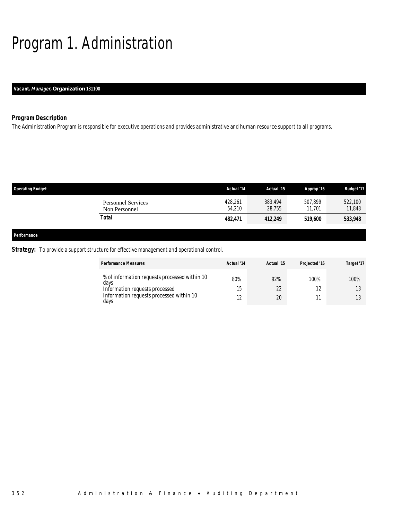# Program 1. Administration

## *Vacant, Manager, Organization 131100*

## *Program Description*

The Administration Program is responsible for executive operations and provides administrative and human resource support to all programs.

| <b>Operating Budget</b>                    | Actual '14        | Actual '15        | Approp '16        | <b>Budget '17</b> |
|--------------------------------------------|-------------------|-------------------|-------------------|-------------------|
| <b>Personnel Services</b><br>Non Personnel | 428,261<br>54,210 | 383,494<br>28,755 | 507,899<br>11,701 | 522,100<br>11,848 |
| <b>Total</b>                               | 482,471           | 412,249           | 519,600           | 533,948           |
|                                            |                   |                   |                   |                   |
| Performance                                |                   |                   |                   |                   |

#### **Strategy:** To provide a support structure for effective management and operational control.

| <b>Performance Measures</b>                                                                                                                 | Actual '14      | Actual '15      | Projected '16 | Target '17              |
|---------------------------------------------------------------------------------------------------------------------------------------------|-----------------|-----------------|---------------|-------------------------|
| % of information requests processed within 10<br>days<br>Information requests processed<br>Information requests processed within 10<br>days | 80%<br>15<br>12 | 92%<br>22<br>20 | 100%          | 100%<br>13<br>12<br>ں ا |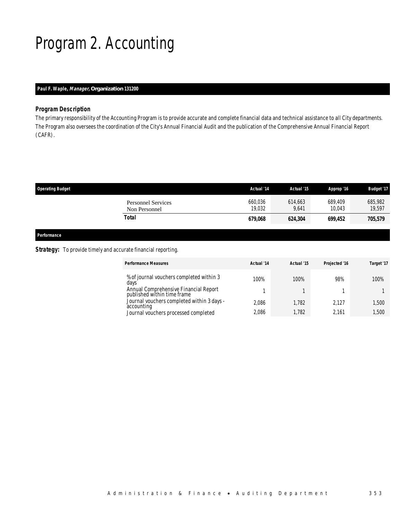## Program 2. Accounting

### *Paul F. Waple, Manager, Organization 131200*

### *Program Description*

The primary responsibility of the Accounting Program is to provide accurate and complete financial data and technical assistance to all City departments. The Program also oversees the coordination of the City's Annual Financial Audit and the publication of the Comprehensive Annual Financial Report (CAFR).

| <b>Operating Budget</b>             | Actual '14        | Actual '15       | Approp '16        | <b>Budget '17</b> |
|-------------------------------------|-------------------|------------------|-------------------|-------------------|
| Personnel Services<br>Non Personnel | 660,036<br>19.032 | 614,663<br>9.641 | 689.409<br>10.043 | 685,982<br>19,597 |
| Total                               | 679.068           | 624,304          | 699.452           | 705,579           |
|                                     |                   |                  |                   |                   |

*Performance* 

### **Strategy:** To provide timely and accurate financial reporting.

| <b>Performance Measures</b>                                          | Actual '14 | Actual '15 | Projected '16 | Target '17 |
|----------------------------------------------------------------------|------------|------------|---------------|------------|
| % of journal vouchers completed within 3<br>days                     | 100%       | 100%       | 98%           | 100%       |
| Annual Comprehensive Financial Report<br>published within time frame |            |            |               |            |
| Journal vouchers completed within 3 days -<br>accounting             | 2,086      | .782       | 2.127         | 1,500      |
| Journal vouchers processed completed                                 | 2,086      | 1.782      | 2.161         | 1,500      |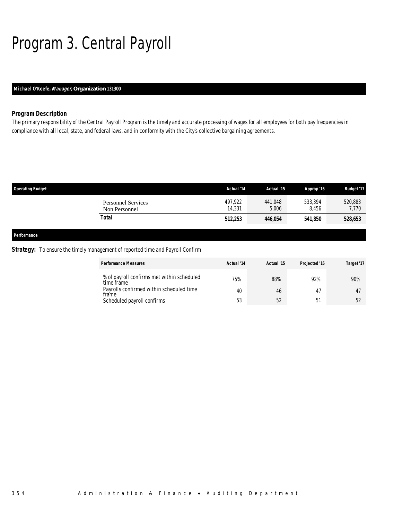# Program 3. Central Payroll

## *Michael O'Keefe, Manager, Organization 131300*

## *Program Description*

The primary responsibility of the Central Payroll Program is the timely and accurate processing of wages for all employees for both pay frequencies in compliance with all local, state, and federal laws, and in conformity with the City's collective bargaining agreements.

| <b>Operating Budget</b> |                                            | Actual '14        | Actual '15       | Approp '16       | <b>Budget '17</b> |
|-------------------------|--------------------------------------------|-------------------|------------------|------------------|-------------------|
|                         | <b>Personnel Services</b><br>Non Personnel | 497.922<br>14,331 | 441.048<br>5,006 | 533.394<br>8,456 | 520,883<br>7,770  |
|                         | <b>Total</b>                               | 512,253           | 446,054          | 541,850          | 528,653           |
|                         |                                            |                   |                  |                  |                   |
| Performance             |                                            |                   |                  |                  |                   |

## **Strategy:** To ensure the timely management of reported time and Payroll Confirm

| <b>Performance Measures</b>                              | Actual '14 | Actual '15 | Projected '16   | Target '17 |
|----------------------------------------------------------|------------|------------|-----------------|------------|
| % of payroll confirms met within scheduled<br>time fråme | 75%        | 88%        | 92%             | 90%        |
| Payrolls confirmed within scheduled time<br>frame        | 40         | 46         | $\mathcal{A}^-$ |            |
| Scheduled payroll confirms                               | 53         | 52         | 51              | 52         |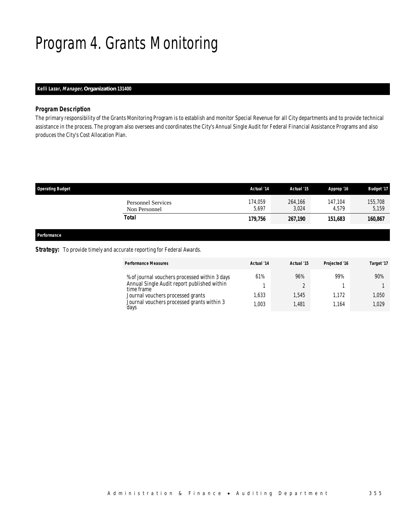# Program 4. Grants Monitoring

### *Kelli Lazar, Manager, Organization 131400*

#### *Program Description*

The primary responsibility of the Grants Monitoring Program is to establish and monitor Special Revenue for all City departments and to provide technical assistance in the process. The program also oversees and coordinates the City's Annual Single Audit for Federal Financial Assistance Programs and also produces the City's Cost Allocation Plan.

| <b>Operating Budget</b>                    | Actual '14       | Actual '15       | Approp '16       | <b>Budget '17</b> |
|--------------------------------------------|------------------|------------------|------------------|-------------------|
| <b>Personnel Services</b><br>Non Personnel | 174,059<br>5,697 | 264,166<br>3,024 | 147.104<br>4,579 | 155,708<br>5,159  |
| Total                                      | 179,756          | 267,190          | 151,683          | 160,867           |
|                                            |                  |                  |                  |                   |

### *Performance*

#### **Strategy:** To provide timely and accurate reporting for Federal Awards.

| <b>Performance Measures</b>                               | Actual '14 | Actual '15 | Projected '16 | Target '17 |
|-----------------------------------------------------------|------------|------------|---------------|------------|
| % of journal vouchers processed within 3 days             | 61%        | 96%        | 99%           | 90%        |
| Annual Single Audit report published within<br>time frame |            |            |               |            |
| Journal vouchers processed grants                         | 1,633      | .545       | 1.172         | 1,050      |
| Journal vouchers processed grants within 3<br>days        | 1.003      | .481       | 1.164         | 1,029      |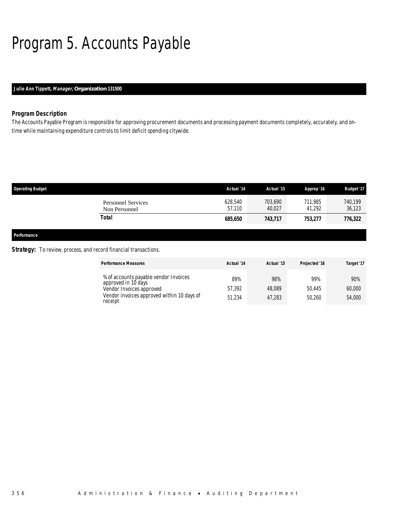# Program 5. Accounts Payable

## *Julie Ann Tippett, Manager, Organization 131500*

## *Program Description*

The Accounts Payable Program is responsible for approving procurement documents and processing payment documents completely, accurately, and ontime while maintaining expenditure controls to limit deficit spending citywide.

| <b>Operating Budget</b>                    | Actual '14        | Actual '15        | Approp '16        | <b>Budget '17</b> |
|--------------------------------------------|-------------------|-------------------|-------------------|-------------------|
| <b>Personnel Services</b><br>Non Personnel | 628.540<br>57.110 | 703,690<br>40.027 | 711.985<br>41,292 | 740.199<br>36,123 |
| <b>Total</b>                               | 685,650           | 743,717           | 753,277           | 776,322           |
|                                            |                   |                   |                   |                   |

*Performance* 

#### **Strategy:** To review, process, and record financial transactions.

| <b>Performance Measures</b>                                                                                                                       | Actual '14              | Actual '15              | Projected '16           | Target '17              |
|---------------------------------------------------------------------------------------------------------------------------------------------------|-------------------------|-------------------------|-------------------------|-------------------------|
| % of accounts payable vendor Invoices<br>approved in 10 days<br>Vendor Invoices approved<br>Vendor invoices approved within 10 days of<br>receipt | 89%<br>57.392<br>51.234 | 98%<br>48.089<br>47.283 | 99%<br>50.445<br>50.260 | 90%<br>60,000<br>54,000 |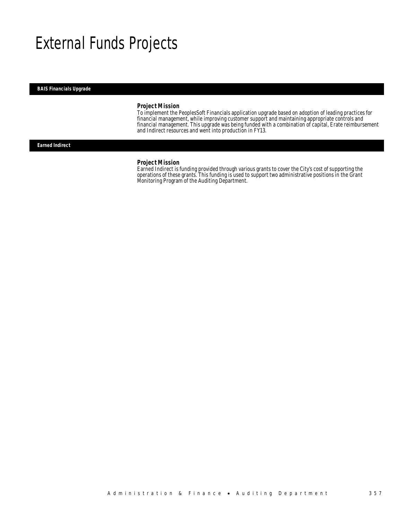## External Funds Projects

#### *BAIS Financials Upgrade*

#### *Project Mission*

To implement the PeoplesSoft Financials application upgrade based on adoption of leading practices for financial management, while improving customer support and maintaining appropriate controls and financial management. This upgrade was being funded with a combination of capital, Erate reimbursement and Indirect resources and went into production in FY13.

#### *Earned Indirect*

#### *Project Mission*

Earned Indirect is funding provided through various grants to cover the City's cost of supporting the operations of these grants. This funding is used to support two administrative positions in the Grant Monitoring Program of the Auditing Department.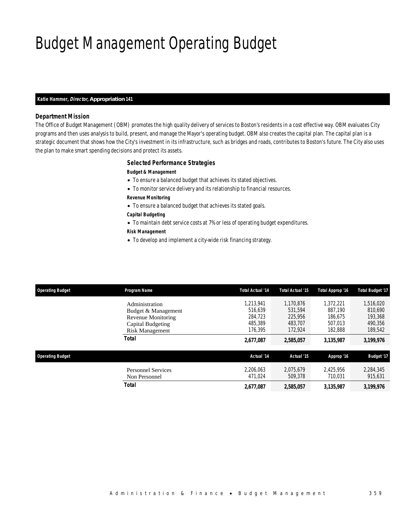# Budget Management Operating Budget

#### *Katie Hammer, Director, Appropriation 141*

#### *Department Mission*

The Office of Budget Management (OBM) promotes the high quality delivery of services to Boston's residents in a cost effective way. OBM evaluates City programs and then uses analysis to build, present, and manage the Mayor's operating budget. OBM also creates the capital plan. The capital plan is a strategic document that shows how the City's investment in its infrastructure, such as bridges and roads, contributes to Boston's future. The City also uses the plan to make smart spending decisions and protect its assets.

#### *Selected Performance Strategies*

#### *Budget & Management*

- To ensure a balanced budget that achieves its stated objectives.
- To monitor service delivery and its relationship to financial resources.

### *Revenue Monitoring*

• To ensure a balanced budget that achieves its stated goals.

### *Capital Budgeting*

• To maintain debt service costs at 7% or less of operating budget expenditures.

### *Risk Management*

• To develop and implement a city-wide risk financing strategy.

| <b>Operating Budget</b> | <b>Program Name</b>                                                                                        | Total Actual '14                                      | <b>Total Actual '15</b>                               | Total Approp '16                                      | <b>Total Budget '17</b>                               |
|-------------------------|------------------------------------------------------------------------------------------------------------|-------------------------------------------------------|-------------------------------------------------------|-------------------------------------------------------|-------------------------------------------------------|
|                         | Administration<br>Budget & Management<br>Revenue Monitoring<br>Capital Budgeting<br><b>Risk Management</b> | 1.213.941<br>516.639<br>284.723<br>485,389<br>176.395 | 1.170.876<br>531.594<br>225,956<br>483.707<br>172,924 | 1.372.221<br>887.190<br>186.675<br>507.013<br>182.888 | 1,516,020<br>810.690<br>193,368<br>490,356<br>189,542 |
|                         | <b>Total</b>                                                                                               | 2,677,087                                             | 2,585,057                                             | 3,135,987                                             | 3,199,976                                             |
| <b>Operating Budget</b> |                                                                                                            | Actual '14                                            | Actual '15                                            | Approp '16                                            | <b>Budget '17</b>                                     |
|                         | <b>Personnel Services</b><br>Non Personnel                                                                 | 2.206.063<br>471.024                                  | 2.075.679<br>509,378                                  | 2.425.956<br>710.031                                  | 2,284,345<br>915,631                                  |
|                         | <b>Total</b>                                                                                               | 2,677,087                                             | 2,585,057                                             | 3,135,987                                             | 3,199,976                                             |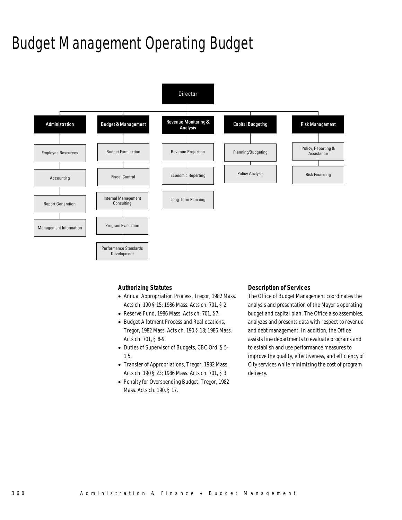## Budget Management Operating Budget



#### *Authorizing Statutes*

- Annual Appropriation Process, Tregor, 1982 Mass. Acts ch. 190 § 15; 1986 Mass. Acts ch. 701, § 2.
- Reserve Fund, 1986 Mass. Acts ch. 701, §7.
- Budget Allotment Process and Reallocations, Tregor, 1982 Mass. Acts ch. 190 § 18; 1986 Mass. Acts ch. 701, § 8-9.
- Duties of Supervisor of Budgets, CBC Ord. § 5- 1.5.
- Transfer of Appropriations, Tregor, 1982 Mass. Acts ch. 190 § 23; 1986 Mass. Acts ch. 701, § 3.
- Penalty for Overspending Budget, Tregor, 1982 Mass. Acts ch. 190, § 17.

#### *Description of Services*

The Office of Budget Management coordinates the analysis and presentation of the Mayor's operating budget and capital plan. The Office also assembles, analyzes and presents data with respect to revenue and debt management. In addition, the Office assists line departments to evaluate programs and to establish and use performance measures to improve the quality, effectiveness, and efficiency of City services while minimizing the cost of program delivery.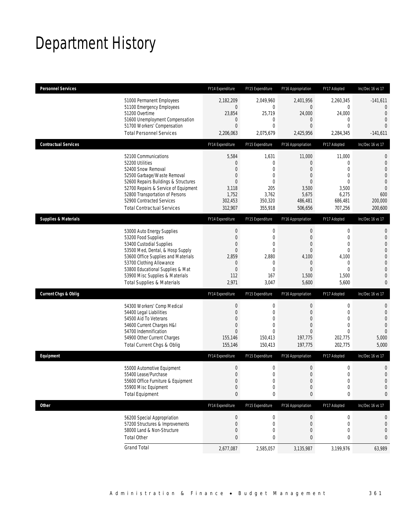## Department History

| <b>Personnel Services</b>       |                                                                                                                                                                                                                                                                                                      | FY14 Expenditure                                                                                                                   | FY15 Expenditure                                                                             | FY16 Appropriation                                                                                                 | FY17 Adopted                                                                                                               | Inc/Dec 16 vs 17                                                                                                                          |
|---------------------------------|------------------------------------------------------------------------------------------------------------------------------------------------------------------------------------------------------------------------------------------------------------------------------------------------------|------------------------------------------------------------------------------------------------------------------------------------|----------------------------------------------------------------------------------------------|--------------------------------------------------------------------------------------------------------------------|----------------------------------------------------------------------------------------------------------------------------|-------------------------------------------------------------------------------------------------------------------------------------------|
|                                 | 51000 Permanent Employees<br>51100 Emergency Employees<br>51200 Overtime<br>51600 Unemployment Compensation<br>51700 Workers' Compensation<br><b>Total Personnel Services</b>                                                                                                                        | 2,182,209<br>$\mathbf 0$<br>23,854<br>$\mathbf 0$<br>$\mathbf{0}$<br>2,206,063                                                     | 2,049,960<br>0<br>25,719<br>0<br>$\mathbf{0}$<br>2,075,679                                   | 2,401,956<br>$\overline{0}$<br>24,000<br>$\overline{0}$<br>$\mathbf{0}$<br>2,425,956                               | 2,260,345<br>$\mathbf{0}$<br>24,000<br>0<br>$\mathbf{0}$<br>2,284,345                                                      | $-141,611$<br>$\mathbf{0}$<br>$\overline{0}$<br>$\overline{0}$<br>$\Omega$<br>$-141,611$                                                  |
| <b>Contractual Services</b>     |                                                                                                                                                                                                                                                                                                      | FY14 Expenditure                                                                                                                   | FY15 Expenditure                                                                             | FY16 Appropriation                                                                                                 | FY17 Adopted                                                                                                               | Inc/Dec 16 vs 17                                                                                                                          |
|                                 | 52100 Communications<br>52200 Utilities<br>52400 Snow Removal<br>52500 Garbage/Waste Removal<br>52600 Repairs Buildings & Structures<br>52700 Repairs & Service of Equipment<br>52800 Transportation of Persons<br>52900 Contracted Services<br><b>Total Contractual Services</b>                    | 5,584<br>$\mathbf 0$<br>$\overline{0}$<br>$\mathbf 0$<br>$\overline{0}$<br>3,118<br>1,752<br>302,453<br>312,907                    | 1,631<br>0<br>0<br>0<br>$\mathbf 0$<br>205<br>3,762<br>350,320<br>355,918                    | 11,000<br>$\overline{0}$<br>$\mathbf{0}$<br>$\mathbf{0}$<br>$\mathbf{0}$<br>3,500<br>5,675<br>486,481<br>506,656   | 11,000<br>$\mathbf 0$<br>$\overline{0}$<br>$\overline{0}$<br>$\Omega$<br>3,500<br>6,275<br>686,481<br>707,256              | 0<br>$\mathbf 0$<br>$\overline{0}$<br>$\overline{0}$<br>$\overline{0}$<br>$\overline{0}$<br>600<br>200,000<br>200,600                     |
| <b>Supplies &amp; Materials</b> |                                                                                                                                                                                                                                                                                                      | FY14 Expenditure                                                                                                                   | FY15 Expenditure                                                                             | FY16 Appropriation                                                                                                 | FY17 Adopted                                                                                                               | Inc/Dec 16 vs 17                                                                                                                          |
|                                 | 53000 Auto Energy Supplies<br>53200 Food Supplies<br>53400 Custodial Supplies<br>53500 Med, Dental, & Hosp Supply<br>53600 Office Supplies and Materials<br>53700 Clothing Allowance<br>53800 Educational Supplies & Mat<br>53900 Misc Supplies & Materials<br><b>Total Supplies &amp; Materials</b> | $\boldsymbol{0}$<br>$\boldsymbol{0}$<br>$\overline{0}$<br>$\mathbf{0}$<br>2,859<br>$\mathbf 0$<br>$\boldsymbol{0}$<br>112<br>2,971 | 0<br>$\mathbf 0$<br>$\mathbf 0$<br>$\mathbf{0}$<br>2,880<br>0<br>$\mathbf 0$<br>167<br>3,047 | 0<br>$\mathbf{0}$<br>$\overline{0}$<br>$\boldsymbol{0}$<br>4,100<br>$\mathbf{0}$<br>$\mathbf{0}$<br>1,500<br>5,600 | $\boldsymbol{0}$<br>$\mathbf{0}$<br>$\mathbf{0}$<br>$\mathbf{0}$<br>4,100<br>$\mathbf 0$<br>$\mathbf{0}$<br>1,500<br>5,600 | 0<br>$\mathbf 0$<br>$\overline{0}$<br>$\overline{0}$<br>$\mathbf 0$<br>$\overline{0}$<br>$\overline{0}$<br>$\overline{0}$<br>$\mathbf{0}$ |
| <b>Current Chgs &amp; Oblig</b> |                                                                                                                                                                                                                                                                                                      | FY14 Expenditure                                                                                                                   | FY15 Expenditure                                                                             | FY16 Appropriation                                                                                                 | FY17 Adopted                                                                                                               | Inc/Dec 16 vs 17                                                                                                                          |
|                                 | 54300 Workers' Comp Medical<br>54400 Legal Liabilities<br>54500 Aid To Veterans<br>54600 Current Charges H&I<br>54700 Indemnification<br>54900 Other Current Charges<br>Total Current Chgs & Oblig                                                                                                   | $\boldsymbol{0}$<br>$\boldsymbol{0}$<br>$\overline{0}$<br>$\boldsymbol{0}$<br>$\Omega$<br>155,146<br>155,146                       | 0<br>$\mathbf 0$<br>0<br>0<br>$\Omega$<br>150,413<br>150,413                                 | 0<br>$\mathbf{0}$<br>$\overline{0}$<br>$\mathbf{0}$<br>$\overline{0}$<br>197,775<br>197,775                        | $\boldsymbol{0}$<br>$\mathbf 0$<br>$\mathbf{0}$<br>$\mathbf{0}$<br>$\Omega$<br>202,775<br>202,775                          | 0<br>$\mathbf 0$<br>$\overline{0}$<br>$\overline{0}$<br>$\overline{0}$<br>5,000<br>5,000                                                  |
| Equipment                       |                                                                                                                                                                                                                                                                                                      | FY14 Expenditure                                                                                                                   | FY15 Expenditure                                                                             | FY16 Appropriation                                                                                                 | FY17 Adopted                                                                                                               | Inc/Dec 16 vs 17                                                                                                                          |
|                                 | 55000 Automotive Equipment<br>55400 Lease/Purchase<br>55600 Office Furniture & Equipment<br>55900 Misc Equipment<br><b>Total Equipment</b>                                                                                                                                                           | $\boldsymbol{0}$<br>$\overline{0}$<br>$\boldsymbol{0}$<br>$\boldsymbol{0}$<br>$\pmb{0}$                                            | 0<br>$\overline{0}$<br>0<br>0<br>0                                                           | $\boldsymbol{0}$<br>$\overline{0}$<br>$\boldsymbol{0}$<br>$\boldsymbol{0}$<br>0                                    | $\mathbf 0$<br>$\mathbf 0$<br>$\mathbf 0$<br>$\mathbf 0$<br>0                                                              | $\mathbf 0$<br>$\overline{0}$<br>$\mathbf 0$<br>$\mathbf 0$<br>0                                                                          |
| <b>Other</b>                    |                                                                                                                                                                                                                                                                                                      | FY14 Expenditure                                                                                                                   | FY15 Expenditure                                                                             | FY16 Appropriation                                                                                                 | FY17 Adopted                                                                                                               | Inc/Dec 16 vs 17                                                                                                                          |
|                                 | 56200 Special Appropriation<br>57200 Structures & Improvements<br>58000 Land & Non-Structure<br><b>Total Other</b>                                                                                                                                                                                   | $\boldsymbol{0}$<br>$\boldsymbol{0}$<br>0<br>$\bf{0}$                                                                              | 0<br>0<br>0<br>0                                                                             | $\boldsymbol{0}$<br>$\mathbf 0$<br>0<br>0                                                                          | $\boldsymbol{0}$<br>$\mathbf 0$<br>$\mathbf 0$<br>0                                                                        | 0<br>$\mathbf 0$<br>$\mathbf 0$<br>0                                                                                                      |
|                                 | <b>Grand Total</b>                                                                                                                                                                                                                                                                                   | 2,677,087                                                                                                                          | 2,585,057                                                                                    | 3,135,987                                                                                                          | 3,199,976                                                                                                                  | 63,989                                                                                                                                    |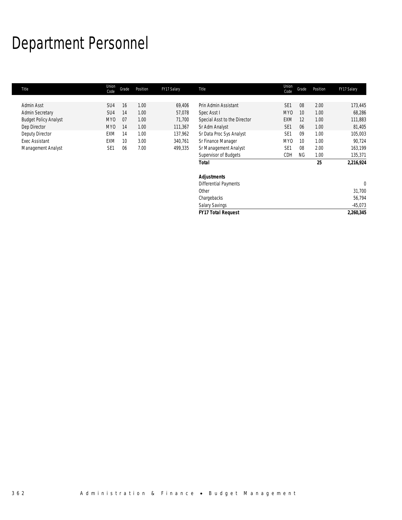## Department Personnel

| Title                        | Union<br>Code   | Grade | Position | FY17 Salary | Title                        | Union<br>Code   | Grade           | Position | FY17 Salary  |
|------------------------------|-----------------|-------|----------|-------------|------------------------------|-----------------|-----------------|----------|--------------|
|                              |                 |       |          |             |                              |                 |                 |          |              |
| Admin Asst                   | SU4             | 16    | 1.00     | 69,406      | Prin Admin Assistant         | SE <sub>1</sub> | 08              | 2.00     | 173,445      |
| <b>Admin Secretary</b>       | SU4             | 14    | 1.00     | 57,078      | Spec Asst I                  | <b>MYO</b>      | 10 <sup>°</sup> | 1.00     | 68,286       |
| <b>Budget Policy Analyst</b> | <b>MYO</b>      | 07    | 1.00     | 71,700      | Special Asst to the Director | <b>EXM</b>      | 12              | 1.00     | 111,883      |
| Dep Director                 | <b>MYO</b>      | 14    | 1.00     | 111,367     | Sr Adm Analyst               | SE <sub>1</sub> | 06              | 1.00     | 81,405       |
| Deputy Director              | EXM             | 14    | 1.00     | 137,962     | Sr Data Proc Sys Analyst     | SE <sub>1</sub> | 09              | 1.00     | 105,003      |
| <b>Exec Assistant</b>        | EXM             | 10    | 3.00     | 340,761     | Sr Finance Manager           | MY <sub>0</sub> | 10              | 1.00     | 90,724       |
| Management Analyst           | SE <sub>1</sub> | 06    | 7.00     | 499,335     | Sr Management Analyst        | SE <sub>1</sub> | 08              | 2.00     | 163,199      |
|                              |                 |       |          |             | Supervisor of Budgets        | CDH             | <b>NG</b>       | 1.00     | 135,371      |
|                              |                 |       |          |             | <b>Total</b>                 |                 |                 | 25       | 2,216,924    |
|                              |                 |       |          |             | <b>Adjustments</b>           |                 |                 |          |              |
|                              |                 |       |          |             | <b>Differential Payments</b> |                 |                 |          | $\mathbf{0}$ |
|                              |                 |       |          |             | Other                        |                 |                 |          | 31,700       |
|                              |                 |       |          |             | Chargebacks                  |                 |                 |          | 56,794       |
|                              |                 |       |          |             | <b>Salary Savings</b>        |                 |                 |          | $-45,073$    |
|                              |                 |       |          |             | <b>FY17 Total Request</b>    |                 |                 |          | 2,260,345    |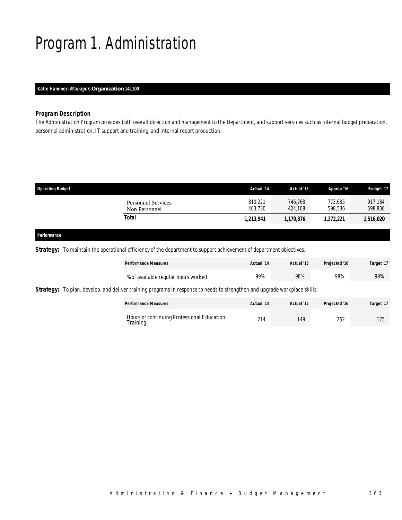# Program 1. Administration

### *Katie Hammer, Manager, Organization 141100*

### *Program Description*

The Administration Program provides both overall direction and management to the Department, and support services such as internal budget preparation, personnel administration, IT support and training, and internal report production.

| <b>Operating Budget</b>                    | Actual '14         | Actual '15         | Approp '16         | <b>Budget '17</b>  |
|--------------------------------------------|--------------------|--------------------|--------------------|--------------------|
| <b>Personnel Services</b><br>Non Personnel | 810.221<br>403.720 | 746.768<br>424,108 | 773.685<br>598.536 | 917,184<br>598,836 |
| Total                                      | 1,213,941          | 1,170,876          | 1,372,221          | 1,516,020          |
|                                            |                    |                    |                    |                    |

## *Performance*

Strategy: To maintain the operational efficiency of the department to support achievement of department objectives.

|                                                                                                                                   | <b>Performance Measures</b>                            | Actual '14 | Actual '15 | Projected '16 | Target '17 |  |  |  |
|-----------------------------------------------------------------------------------------------------------------------------------|--------------------------------------------------------|------------|------------|---------------|------------|--|--|--|
|                                                                                                                                   | % of available regular hours worked                    | 99%        | 98%        | 98%           | 99%        |  |  |  |
| <b>Strategy:</b> To plan, develop, and deliver training programs in response to needs to strengthen and upgrade workplace skills. |                                                        |            |            |               |            |  |  |  |
|                                                                                                                                   | <b>Performance Measures</b>                            | Actual '14 | Actual '15 | Projected '16 | Target '17 |  |  |  |
|                                                                                                                                   | Hours of continuing Professional Education<br>Training | 214        | 149        | 252           | 175        |  |  |  |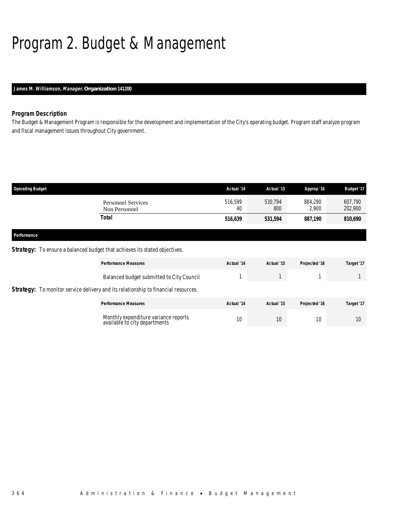# Program 2. Budget & Management

## *James M. Williamson, Manager, Organization 141200*

### *Program Description*

The Budget & Management Program is responsible for the development and implementation of the City's operating budget. Program staff analyze program and fiscal management issues throughout City government.

| <b>Operating Budget</b> |                                            | Actual '14    | Actual '15     | Approp '16       | <b>Budget '17</b>  |
|-------------------------|--------------------------------------------|---------------|----------------|------------------|--------------------|
|                         | <b>Personnel Services</b><br>Non Personnel | 516,599<br>40 | 530,794<br>800 | 884,290<br>2,900 | 607,790<br>202,900 |
|                         | <b>Total</b>                               | 516,639       | 531,594        | 887,190          | 810,690            |
| Performance             |                                            |               |                |                  |                    |

#### **Strategy:** To ensure a balanced budget that achieves its stated objectives.

|  | <b>Performance Measures</b>                                                               | Actual '14 | Actual '15 | Projected '16 | Target '17 |
|--|-------------------------------------------------------------------------------------------|------------|------------|---------------|------------|
|  | Balanced budget submitted to City Council                                                 |            |            |               |            |
|  | <b>Strategy:</b> To monitor service delivery and its relationship to financial resources. |            |            |               |            |
|  | <b>Performance Measures</b>                                                               | Actual '14 | Actual '15 | Projected '16 | Target '17 |
|  | Monthly expenditure variance reports<br>available to city departments                     | 10         | 10         | $10 \,$       | 10         |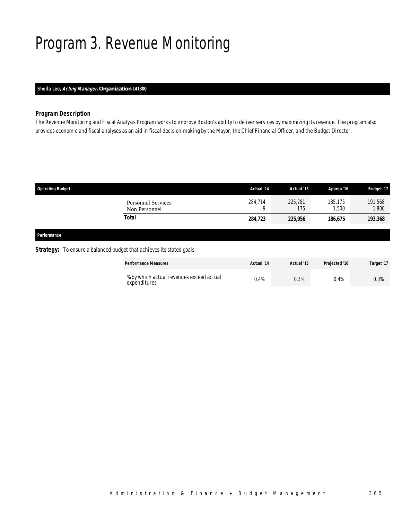# Program 3. Revenue Monitoring

### *Sheila Lee, Acting Manager, Organization 141300*

#### *Program Description*

The Revenue Monitoring and Fiscal Analysis Program works to improve Boston's ability to deliver services by maximizing its revenue. The program also provides economic and fiscal analyses as an aid in fiscal decision-making by the Mayor, the Chief Financial Officer, and the Budget Director.

| <b>Operating Budget</b> |                                            | Actual '14   | Actual '15     | Approp '16       | <b>Budget '17</b> |
|-------------------------|--------------------------------------------|--------------|----------------|------------------|-------------------|
|                         | <b>Personnel Services</b><br>Non Personnel | 284,714<br>O | 225,781<br>175 | 185,175<br>1,500 | 191,568<br>1,800  |
|                         | Total                                      | 284,723      | 225,956        | 186,675          | 193,368           |
| Performance             |                                            |              |                |                  |                   |

### **Strategy:** To ensure a balanced budget that achieves its stated goals.

| <b>Performance Measures</b>                              | Actual '14 | Actual '15 | Projected '16 | Target '17 |
|----------------------------------------------------------|------------|------------|---------------|------------|
| % by which actual revenues exceed actual<br>expenditures | 0.4%       | 0.3%       | 0.4%          | 0.3%       |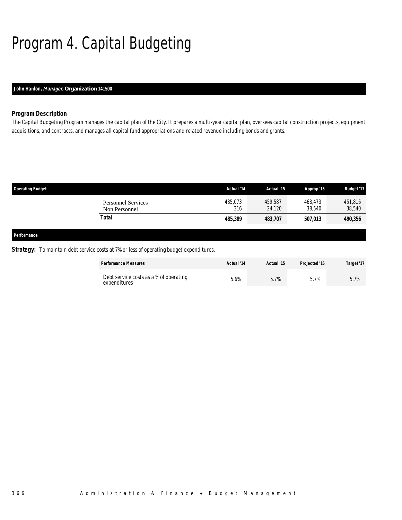# Program 4. Capital Budgeting

## *John Hanlon, Manager, Organization 141500*

## *Program Description*

The Capital Budgeting Program manages the capital plan of the City. It prepares a multi-year capital plan, oversees capital construction projects, equipment acquisitions, and contracts, and manages all capital fund appropriations and related revenue including bonds and grants.

| <b>Operating Budget</b>                    | Actual '14     | Actual '15        | Approp '16        | <b>Budget '17</b> |
|--------------------------------------------|----------------|-------------------|-------------------|-------------------|
| <b>Personnel Services</b><br>Non Personnel | 485,073<br>316 | 459,587<br>24,120 | 468.473<br>38,540 | 451,816<br>38,540 |
| Total                                      | 485,389        | 483,707           | 507,013           | 490,356           |
|                                            |                |                   |                   |                   |
| Performance                                |                |                   |                   |                   |

### **Strategy:** To maintain debt service costs at 7% or less of operating budget expenditures.

| <b>Performance Measures</b>                            | Actual '14 | Actual '15 | Projected '16 | Target '17 |
|--------------------------------------------------------|------------|------------|---------------|------------|
| Debt service costs as a % of operating<br>expenditures | 5.6%       | 5.7%       | 5.7%          | 5.7%       |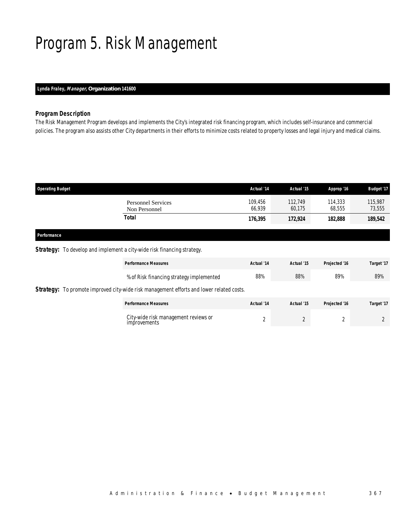# Program 5. Risk Management

### *Lynda Fraley, Manager, Organization 141600*

#### *Program Description*

The Risk Management Program develops and implements the City's integrated risk financing program, which includes self-insurance and commercial policies. The program also assists other City departments in their efforts to minimize costs related to property losses and legal injury and medical claims.

| <b>Operating Budget</b>                    | Actual '14        | Actual '15        | Approp '16        | <b>Budget '17</b> |
|--------------------------------------------|-------------------|-------------------|-------------------|-------------------|
| <b>Personnel Services</b><br>Non Personnel | 109.456<br>66.939 | 112.749<br>60.175 | 114,333<br>68.555 | 115,987<br>73,555 |
| Total                                      | 176,395           | 172,924           | 182,888           | 189,542           |
|                                            |                   |                   |                   |                   |

### *Performance*

#### **Strategy:** To develop and implement a city-wide risk financing strategy.

| <b>Performance Measures</b>                                                                     | Actual '14 | Actual '15 | Projected '16 | Target '17 |
|-------------------------------------------------------------------------------------------------|------------|------------|---------------|------------|
| % of Risk financing strategy implemented                                                        | 88%        | 88%        | 89%           | 89%        |
| <b>Strategy:</b> To promote improved city-wide risk management efforts and lower related costs. |            |            |               |            |
| <b>Performance Measures</b>                                                                     | Actual '14 | Actual '15 | Projected '16 | Target '17 |
| City-wide risk management reviews or<br>improvements                                            | $\Omega$   |            |               |            |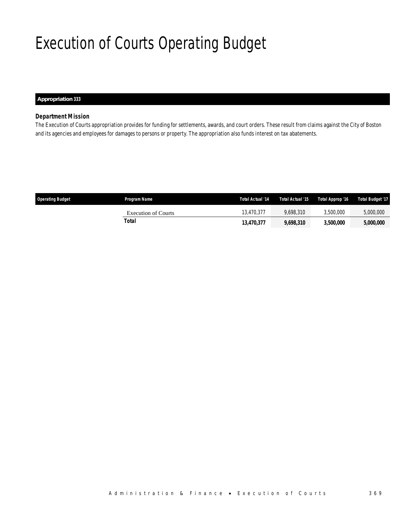# Execution of Courts Operating Budget

*Appropriation 333* 

## *Department Mission*

The Execution of Courts appropriation provides for funding for settlements, awards, and court orders. These result from claims against the City of Boston and its agencies and employees for damages to persons or property. The appropriation also funds interest on tax abatements.

| <b>Operating Budget</b> | Program Name               | Total Actual '14 | Total Actual '15 | Total Approp '16 | Total Budget '17 |
|-------------------------|----------------------------|------------------|------------------|------------------|------------------|
|                         | <b>Execution of Courts</b> | 13.470.377       | 9.698.310        | 3,500,000        | 5,000,000        |
|                         | Total                      | 13,470,377       | 9.698.310        | <i>3.500.000</i> | <i>5.000.000</i> |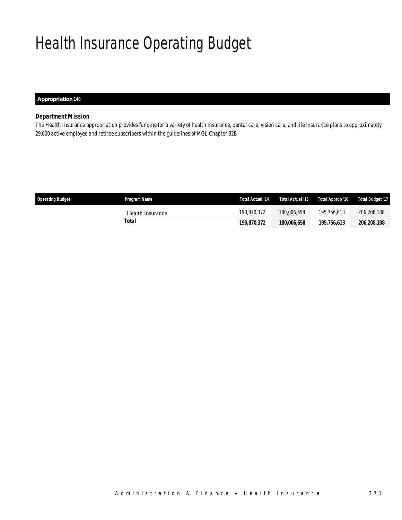# Health Insurance Operating Budget

*Appropriation 148* 

## *Department Mission*

The Health Insurance appropriation provides funding for a variety of health insurance, dental care, vision care, and life insurance plans to approximately 29,000 active employee and retiree subscribers within the guidelines of MGL Chapter 32B.

| <b>Operating Budget</b> | Program Name     | <b>Total Actual '14</b> | Total Actual '15 | Total Approp '16 | <b>Total Budget '17</b> |
|-------------------------|------------------|-------------------------|------------------|------------------|-------------------------|
|                         | Health Insurance | 190.870.372             | 180.006.658      | 195.756.613      | 206,208,108             |
|                         | Total            | 190.870.372             | 180,006,658      | 195,756,613      | 206,208,108             |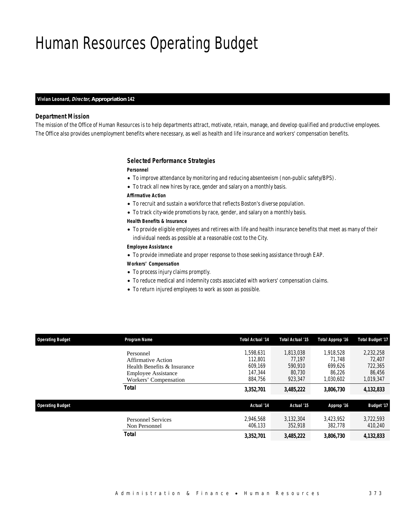## Human Resources Operating Budget

#### *Vivian Leonard, Director, Appropriation 142*

#### *Department Mission*

The mission of the Office of Human Resources is to help departments attract, motivate, retain, manage, and develop qualified and productive employees. The Office also provides unemployment benefits where necessary, as well as health and life insurance and workers' compensation benefits.

#### *Selected Performance Strategies*

*Personnel* 

- To improve attendance by monitoring and reducing absenteeism (non-public safety/BPS).
- To track all new hires by race, gender and salary on a monthly basis.

#### *Affirmative Action*

- To recruit and sustain a workforce that reflects Boston's diverse population.
- To track city-wide promotions by race, gender, and salary on a monthly basis.

#### *Health Benefits & Insurance*

• To provide eligible employees and retirees with life and health insurance benefits that meet as many of their individual needs as possible at a reasonable cost to the City.

#### *Employee Assistance*

• To provide immediate and proper response to those seeking assistance through EAP.

#### *Workers' Compensation*

- To process injury claims promptly.
- To reduce medical and indemnity costs associated with workers' compensation claims.
- To return injured employees to work as soon as possible.

| <b>Operating Budget</b> | Program Name                                                                                                                 | <b>Total Actual '14</b>                               | Total Actual '15                                    | Total Approp '16                                      | <b>Total Budget '17</b>                               |
|-------------------------|------------------------------------------------------------------------------------------------------------------------------|-------------------------------------------------------|-----------------------------------------------------|-------------------------------------------------------|-------------------------------------------------------|
|                         | Personnel<br><b>Affirmative Action</b><br>Health Benefits & Insurance<br><b>Employee Assistance</b><br>Workers' Compensation | 1.598.631<br>112,801<br>609.169<br>147.344<br>884.756 | 1.813.038<br>77.197<br>590.910<br>80.730<br>923.347 | 1,918,528<br>71.748<br>699.626<br>86.226<br>1,030,602 | 2,232,258<br>72.407<br>722.365<br>86.456<br>1,019,347 |
|                         | <b>Total</b>                                                                                                                 | 3,352,701                                             | 3,485,222                                           | 3,806,730                                             | 4,132,833                                             |
| <b>Operating Budget</b> |                                                                                                                              | Actual '14                                            | Actual '15                                          | Approp '16                                            | <b>Budget '17</b>                                     |
|                         | <b>Personnel Services</b><br>Non Personnel                                                                                   | 2.946.568<br>406.133                                  | 3.132.304<br>352,918                                | 3.423.952<br>382.778                                  | 3,722,593<br>410,240                                  |
|                         | <b>Total</b>                                                                                                                 | 3,352,701                                             | 3,485,222                                           | 3,806,730                                             | 4,132,833                                             |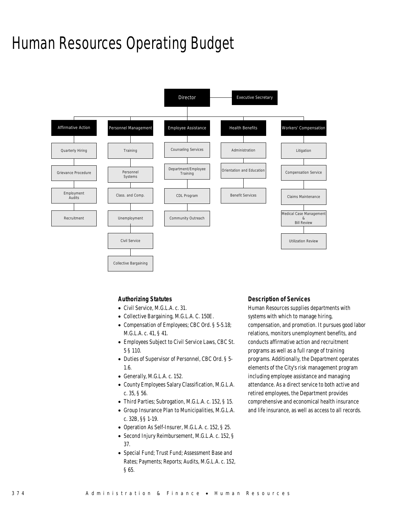## Human Resources Operating Budget



### *Authorizing Statutes*

- Civil Service, M.G.L.A. c. 31.
- Collective Bargaining, M.G.L.A. C. 150E.
- Compensation of Employees; CBC Ord. § 5-5.18; M.G.L.A. c. 41, § 41.
- Employees Subject to Civil Service Laws, CBC St. 5 § 110.
- Duties of Supervisor of Personnel, CBC Ord. § 5- 1.6.
- Generally, M.G.L.A. c. 152.
- County Employees Salary Classification, M.G.L.A. c. 35, § 56.
- Third Parties; Subrogation, M.G.L.A. c. 152, § 15.
- Group Insurance Plan to Municipalities, M.G.L.A. c. 32B, §§ 1-19.
- Operation As Self-Insurer, M.G.L.A. c. 152, § 25.
- Second Injury Reimbursement, M.G.L.A. c. 152, § 37.
- Special Fund; Trust Fund; Assessment Base and Rates; Payments; Reports; Audits, M.G.L.A. c. 152, § 65.

### *Description of Services*

Human Resources supplies departments with systems with which to manage hiring, compensation, and promotion. It pursues good labor relations, monitors unemployment benefits, and conducts affirmative action and recruitment programs as well as a full range of training programs. Additionally, the Department operates elements of the City's risk management program including employee assistance and managing attendance. As a direct service to both active and retired employees, the Department provides comprehensive and economical health insurance and life insurance, as well as access to all records.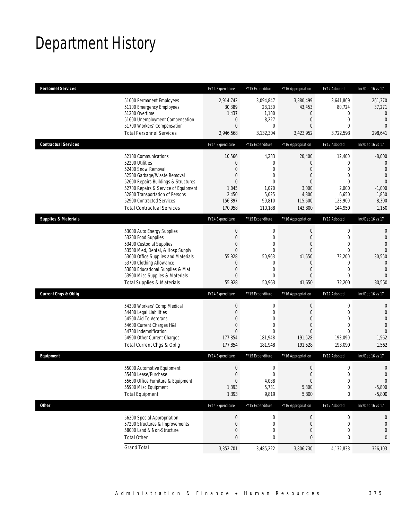# Department History

| <b>Personnel Services</b>       |                                                                                                                                                                                                                                                                                                      | FY14 Expenditure                                                                                       | FY15 Expenditure                                                                                            | FY16 Appropriation                                                                                               | FY17 Adopted                                                                                                   | Inc/Dec 16 vs 17                                                                                              |
|---------------------------------|------------------------------------------------------------------------------------------------------------------------------------------------------------------------------------------------------------------------------------------------------------------------------------------------------|--------------------------------------------------------------------------------------------------------|-------------------------------------------------------------------------------------------------------------|------------------------------------------------------------------------------------------------------------------|----------------------------------------------------------------------------------------------------------------|---------------------------------------------------------------------------------------------------------------|
|                                 | 51000 Permanent Employees<br>51100 Emergency Employees<br>51200 Overtime<br>51600 Unemployment Compensation<br>51700 Workers' Compensation<br><b>Total Personnel Services</b>                                                                                                                        | 2,914,742<br>30,389<br>1,437<br>0<br>$\overline{0}$<br>2,946,568                                       | 3,094,847<br>28,130<br>1,100<br>8,227<br>0<br>3,132,304                                                     | 3,380,499<br>43,453<br>$\mathbf 0$<br>$\theta$<br>$\overline{0}$<br>3,423,952                                    | 3,641,869<br>80,724<br>0<br>$\overline{0}$<br>$\theta$<br>3,722,593                                            | 261,370<br>37,271<br>0<br>$\theta$<br>$\Omega$<br>298,641                                                     |
| <b>Contractual Services</b>     |                                                                                                                                                                                                                                                                                                      | FY14 Expenditure                                                                                       | FY15 Expenditure                                                                                            | FY16 Appropriation                                                                                               | FY17 Adopted                                                                                                   | Inc/Dec 16 vs 17                                                                                              |
|                                 | 52100 Communications<br>52200 Utilities<br>52400 Snow Removal<br>52500 Garbage/Waste Removal<br>52600 Repairs Buildings & Structures<br>52700 Repairs & Service of Equipment<br>52800 Transportation of Persons<br>52900 Contracted Services<br><b>Total Contractual Services</b>                    | 10,566<br>0<br>$\overline{0}$<br>$\mathbf 0$<br>$\overline{0}$<br>1,045<br>2,450<br>156,897<br>170,958 | 4,283<br>$\mathbf 0$<br>0<br>0<br>0<br>1,070<br>5,025<br>99,810<br>110,188                                  | 20,400<br>$\overline{0}$<br>$\theta$<br>$\overline{0}$<br>$\overline{0}$<br>3,000<br>4,800<br>115,600<br>143,800 | 12,400<br>0<br>$\Omega$<br>$\overline{0}$<br>$\overline{0}$<br>2,000<br>6,650<br>123,900<br>144,950            | $-8,000$<br>$\mathbf{0}$<br>$\theta$<br>$\mathbf{0}$<br>$\overline{0}$<br>$-1,000$<br>1,850<br>8,300<br>1,150 |
| <b>Supplies &amp; Materials</b> |                                                                                                                                                                                                                                                                                                      | FY14 Expenditure                                                                                       | FY15 Expenditure                                                                                            | FY16 Appropriation                                                                                               | FY17 Adopted                                                                                                   | Inc/Dec 16 vs 17                                                                                              |
|                                 | 53000 Auto Energy Supplies<br>53200 Food Supplies<br>53400 Custodial Supplies<br>53500 Med, Dental, & Hosp Supply<br>53600 Office Supplies and Materials<br>53700 Clothing Allowance<br>53800 Educational Supplies & Mat<br>53900 Misc Supplies & Materials<br><b>Total Supplies &amp; Materials</b> | 0<br>$\overline{0}$<br>0<br>$\mathbf{0}$<br>55,928<br>0<br>$\mathbf 0$<br>$\Omega$<br>55,928           | 0<br>$\overline{0}$<br>0<br>$\overline{0}$<br>50.963<br>$\mathbf 0$<br>$\overline{0}$<br>$\theta$<br>50,963 | $\theta$<br>$\theta$<br>$\overline{0}$<br>$\theta$<br>41,650<br>$\theta$<br>$\theta$<br>$\overline{0}$<br>41,650 | 0<br>$\overline{0}$<br>$\overline{0}$<br>$\overline{0}$<br>72,200<br>0<br>$\overline{0}$<br>$\Omega$<br>72,200 | 0<br>$\mathbf 0$<br>$\overline{0}$<br>$\Omega$<br>30,550<br>0<br>$\theta$<br>$\Omega$<br>30,550               |
| <b>Current Chgs &amp; Oblig</b> |                                                                                                                                                                                                                                                                                                      | FY14 Expenditure                                                                                       | FY15 Expenditure                                                                                            | FY16 Appropriation                                                                                               | FY17 Adopted                                                                                                   | Inc/Dec 16 vs 17                                                                                              |
|                                 | 54300 Workers' Comp Medical<br>54400 Legal Liabilities<br>54500 Aid To Veterans<br>54600 Current Charges H&I<br>54700 Indemnification<br>54900 Other Current Charges<br>Total Current Chgs & Oblig                                                                                                   | $\boldsymbol{0}$<br>$\mathbf 0$<br>0<br>$\mathbf 0$<br>$\Omega$<br>177,854<br>177,854                  | 0<br>$\overline{0}$<br>0<br>$\overline{0}$<br>$\theta$<br>181,948<br>181,948                                | $\theta$<br>$\mathbf{0}$<br>$\theta$<br>$\theta$<br>$\Omega$<br>191,528<br>191,528                               | 0<br>$\overline{0}$<br>$\overline{0}$<br>$\theta$<br>$\theta$<br>193,090<br>193,090                            | 0<br>$\mathbf 0$<br>$\overline{0}$<br>$\overline{0}$<br>$\overline{0}$<br>1,562<br>1,562                      |
| Equipment                       |                                                                                                                                                                                                                                                                                                      | FY14 Expenditure                                                                                       | FY15 Expenditure                                                                                            | FY16 Appropriation                                                                                               | FY17 Adopted                                                                                                   | Inc/Dec 16 vs 17                                                                                              |
|                                 | 55000 Automotive Equipment<br>55400 Lease/Purchase<br>55600 Office Furniture & Equipment<br>55900 Misc Equipment<br><b>Total Equipment</b>                                                                                                                                                           | $\boldsymbol{0}$<br>$\Omega$<br>$\boldsymbol{0}$<br>1,393<br>1,393                                     | $\mathbf 0$<br>$\overline{0}$<br>4,088<br>5,731<br>9,819                                                    | $\mathbf{0}$<br>$\theta$<br>$\boldsymbol{0}$<br>5,800<br>5,800                                                   | $\mathbf 0$<br>$\overline{0}$<br>$\boldsymbol{0}$<br>$\mathbf 0$<br>0                                          | 0<br>$\overline{0}$<br>$\mathbf 0$<br>$-5,800$<br>$-5,800$                                                    |
| <b>Other</b>                    |                                                                                                                                                                                                                                                                                                      | FY14 Expenditure                                                                                       | FY15 Expenditure                                                                                            | FY16 Appropriation                                                                                               | FY17 Adopted                                                                                                   | Inc/Dec 16 vs 17                                                                                              |
|                                 | 56200 Special Appropriation<br>57200 Structures & Improvements<br>58000 Land & Non-Structure<br><b>Total Other</b>                                                                                                                                                                                   | 0<br>0<br>$\mathbf 0$<br>0                                                                             | $\boldsymbol{0}$<br>$\mathbf 0$<br>$\mathbf 0$<br>0                                                         | $\boldsymbol{0}$<br>$\theta$<br>$\mathbf{0}$<br>0                                                                | 0<br>0<br>$\mathbf 0$<br>0                                                                                     | 0<br>0<br>0<br>0                                                                                              |
|                                 | <b>Grand Total</b>                                                                                                                                                                                                                                                                                   | 3,352,701                                                                                              | 3,485,222                                                                                                   | 3,806,730                                                                                                        | 4,132,833                                                                                                      | 326,103                                                                                                       |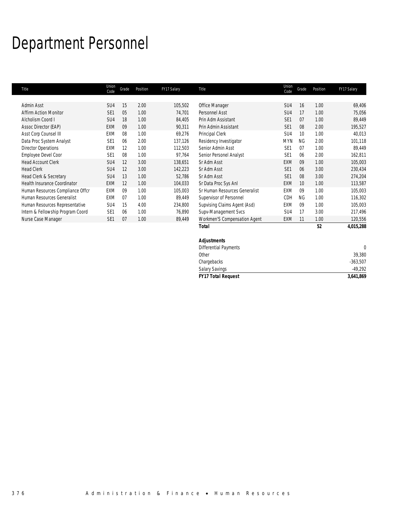# Department Personnel

| Title                               | Union<br>Code   | Grade | Position | FY17 Salary | Title                         | Union<br>Code   | Grade           | Position | FY17 Salary |
|-------------------------------------|-----------------|-------|----------|-------------|-------------------------------|-----------------|-----------------|----------|-------------|
|                                     |                 |       |          |             |                               |                 |                 |          |             |
| Admin Asst                          | SU <sub>4</sub> | 15    | 2.00     | 105,502     | Office Manager                | SU4             | 16              | 1.00     | 69,406      |
| <b>Affirm Action Monitor</b>        | SE <sub>1</sub> | 05    | 1.00     | 74,701      | Personnel Asst                | SU4             | 17              | 1.00     | 75,056      |
| Alcholism Coord I                   | SU <sub>4</sub> | 18    | 1.00     | 84,405      | Prin Adm Assistant            | SE <sub>1</sub> | 07              | 1.00     | 89,449      |
| Assoc Director (EAP)                | <b>EXM</b>      | 09    | 1.00     | 90,311      | Prin Admin Assistant          | SE <sub>1</sub> | 08              | 2.00     | 195,527     |
| Asst Corp Counsel III               | <b>EXM</b>      | 08    | 1.00     | 69,276      | Principal Clerk               | SU <sub>4</sub> | 10              | 1.00     | 40,013      |
| Data Proc System Analyst            | SE <sub>1</sub> | 06    | 2.00     | 137,126     | Residency Investigator        | <b>MYN</b>      | <b>NG</b>       | 2.00     | 101,118     |
| <b>Director Operations</b>          | <b>EXM</b>      | 12    | 1.00     | 112,503     | Senior Admin Asst             | SE <sub>1</sub> | 07              | 1.00     | 89,449      |
| <b>Employee Devel Coor</b>          | SE <sub>1</sub> | 08    | 1.00     | 97,764      | Senior Personel Analyst       | SE <sub>1</sub> | 06              | 2.00     | 162,811     |
| <b>Head Account Clerk</b>           | SU <sub>4</sub> | 12    | 3.00     | 138,651     | Sr Adm Asst                   | EXM             | 09              | 1.00     | 105,003     |
| <b>Head Clerk</b>                   | SU <sub>4</sub> | 12    | 3.00     | 142,223     | Sr Adm Asst                   | SE <sub>1</sub> | 06              | 3.00     | 230,434     |
| Head Clerk & Secretary              | SU <sub>4</sub> | 13    | 1.00     | 52,786      | Sr Adm Asst                   | SE <sub>1</sub> | 08              | 3.00     | 274,204     |
| <b>Health Insurance Coordinator</b> | EXM             | 12    | 1.00     | 104,033     | Sr Data Proc Sys Anl          | EXM             | 10 <sup>°</sup> | 1.00     | 113,587     |
| Human Resources Compliance Offcr    | EXM             | 09    | 1.00     | 105,003     | Sr Human Resources Generalist | EXM             | 09              | 1.00     | 105,003     |
| Human Resources Generalist          | <b>EXM</b>      | 07    | 1.00     | 89,449      | Supervisor of Personnel       | CDH             | NG              | 1.00     | 116,302     |
| Human Resources Representative      | SU <sub>4</sub> | 15    | 4.00     | 234,800     | Supvising Claims Agent (Asd)  | EXM             | 09              | 1.00     | 105,003     |
| Intern & Fellowship Program Coord   | SE <sub>1</sub> | 06    | 1.00     | 76,890      | Supv-Management Svcs          | SU <sub>4</sub> | 17              | 3.00     | 217,496     |
| Nurse Case Manager                  | SE <sub>1</sub> | 07    | 1.00     | 89,449      | Workmen'S Compensation Agent  | <b>EXM</b>      | 11              | 1.00     | 120,556     |
|                                     |                 |       |          |             | <b>Total</b>                  |                 |                 | 52       | 4,015,288   |

| Nurse Case Manager | SE <sub>1</sub> | 07 | 1.00 | 89,449 | Workmen'S Compensation Agent | <b>EXM</b> | 1.00 | 120,556    |
|--------------------|-----------------|----|------|--------|------------------------------|------------|------|------------|
|                    |                 |    |      |        | Total                        |            | 52   | 4,015,288  |
|                    |                 |    |      |        | Adjustments                  |            |      |            |
|                    |                 |    |      |        | <b>Differential Payments</b> |            |      | $\theta$   |
|                    |                 |    |      |        | Other                        |            |      | 39,380     |
|                    |                 |    |      |        | Chargebacks                  |            |      | $-363,507$ |
|                    |                 |    |      |        | <b>Salary Savings</b>        |            |      | $-49,292$  |
|                    |                 |    |      |        | <b>FY17 Total Request</b>    |            |      | 3,641,869  |
|                    |                 |    |      |        |                              |            |      |            |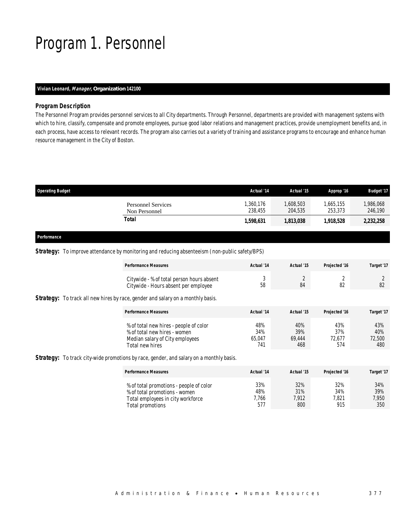## Program 1. Personnel

#### *Vivian Leonard, Manager, Organization 142100*

#### *Program Description*

The Personnel Program provides personnel services to all City departments. Through Personnel, departments are provided with management systems with which to hire, classify, compensate and promote employees, pursue good labor relations and management practices, provide unemployment benefits and, in each process, have access to relevant records. The program also carries out a variety of training and assistance programs to encourage and enhance human resource management in the City of Boston.

| <b>Operating Budget</b>                    | Actual '14          | Actual '15          | Approp '16          | <b>Budget '17</b>   |
|--------------------------------------------|---------------------|---------------------|---------------------|---------------------|
| <b>Personnel Services</b><br>Non Personnel | ,360,176<br>238.455 | ,608,503<br>204,535 | .665.155<br>253,373 | ,986,068<br>246,190 |
| Total                                      | 1,598,631           | 1,813,038           | 1,918,528           | 2,232,258           |
|                                            |                     |                     |                     |                     |

#### *Performance*

#### **Strategy:** To improve attendance by monitoring and reducing absenteeism (non-public safety/BPS)

| <b>Performance Measures</b>                                                                                                                                                 | Actual '14 | Actual '15 | Projected '16 | Target '17 |
|-----------------------------------------------------------------------------------------------------------------------------------------------------------------------------|------------|------------|---------------|------------|
| Citywide - % of total person hours absent<br>Citywide - Hours absent per employee<br><b>Strategy:</b> To track all new hires by race, gender and salary on a monthly basis. | 58         | 84         | 82            | 82         |
| <b>Performance Measures</b>                                                                                                                                                 | Actual '14 | Actual '15 | Projected '16 | Target '17 |

#### **Strategy:** To track city-wide promotions by race, gender, and salary on a monthly basis.

| <b>Performance Measures</b>             | Actual '14 | Actual '15 | Projected '16 | Target '17 |
|-----------------------------------------|------------|------------|---------------|------------|
| % of total promotions - people of color | 33%        | 32%        | 32%           | 34%        |
| % of total promotions - women           | 48%        | 31%        | 34%           | 39%        |
| Total employees in city workforce       | '.766      | 7.912      | 7.821         | 7.950      |
| Total promotions                        | 577        | 800        | 915           | 350        |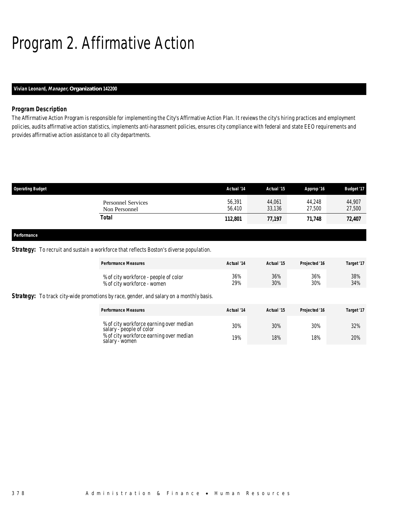# Program 2. Affirmative Action

### *Vivian Leonard, Manager, Organization 142200*

#### *Program Description*

The Affirmative Action Program is responsible for implementing the City's Affirmative Action Plan. It reviews the city's hiring practices and employment policies, audits affirmative action statistics, implements anti-harassment policies, ensures city compliance with federal and state EEO requirements and provides affirmative action assistance to all city departments.

| <b>Operating Budget</b> |                                            | Actual '14       | Actual '15       | Approp '16       | <b>Budget '17</b> |
|-------------------------|--------------------------------------------|------------------|------------------|------------------|-------------------|
|                         | <b>Personnel Services</b><br>Non Personnel | 56,391<br>56,410 | 44.061<br>33,136 | 44,248<br>27,500 | 44,907<br>27,500  |
|                         | Total                                      | 112,801          | 77,197           | 71,748           | 72,407            |
| Performance             |                                            |                  |                  |                  |                   |

#### **Strategy:** To recruit and sustain a workforce that reflects Boston's diverse population.

| <b>Performance Measures</b>                                                                    | Actual '14 | Actual '15 | Projected '16 | Target '17 |
|------------------------------------------------------------------------------------------------|------------|------------|---------------|------------|
| % of city workforce - people of color<br>% of city workforce - women                           | 36%<br>29% | 36%<br>30% | 36%<br>30%    | 38%<br>34% |
| <b>Strategy:</b> To track city-wide promotions by race, gender, and salary on a monthly basis. |            |            |               |            |
| <b>Performance Measures</b>                                                                    | Actual '14 | Actual '15 | Projected '16 | Target '17 |
| % of city workforce earning over median<br>salary - people of color                            | 30%        | 30%        | 30%           | 32%        |
| % of city workforce earning over median<br>salary - women                                      | 19%        | 18%        | 18%           | 20%        |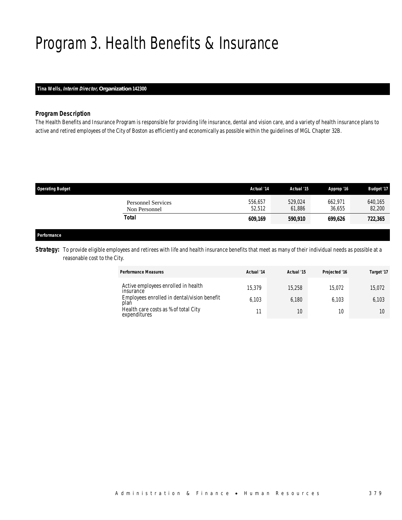# Program 3. Health Benefits & Insurance

## *Tina Wells, Interim Director, Organization 142300*

#### *Program Description*

The Health Benefits and Insurance Program is responsible for providing life insurance, dental and vision care, and a variety of health insurance plans to active and retired employees of the City of Boston as efficiently and economically as possible within the guidelines of MGL Chapter 32B.

| <b>Operating Budget</b>                    | Actual '14        | Actual '15        | Approp '16        | <b>Budget '17</b> |
|--------------------------------------------|-------------------|-------------------|-------------------|-------------------|
| <b>Personnel Services</b><br>Non Personnel | 556,657<br>52,512 | 529,024<br>61.886 | 662.971<br>36.655 | 640,165<br>82,200 |
| Total                                      | 609.169           | 590.910           | 699.626           | 722,365           |
|                                            |                   |                   |                   |                   |

## *Performance*

Strategy: To provide eligible employees and retirees with life and health insurance benefits that meet as many of their individual needs as possible at a reasonable cost to the City.

| <b>Performance Measures</b>                                                                     | Actual '14 | Actual '15      | Projected '16 | Target '17 |
|-------------------------------------------------------------------------------------------------|------------|-----------------|---------------|------------|
| Active employees enrolled in health<br>insurance<br>Employees enrolled in dental/vision benefit | 15,379     | 15,258          | 15.072        | 15,072     |
| plan                                                                                            | 6.103      | 6.180           | 6.103         | 6,103      |
| Health care costs as % of total City<br>expenditures                                            |            | 10 <sup>°</sup> | 10            |            |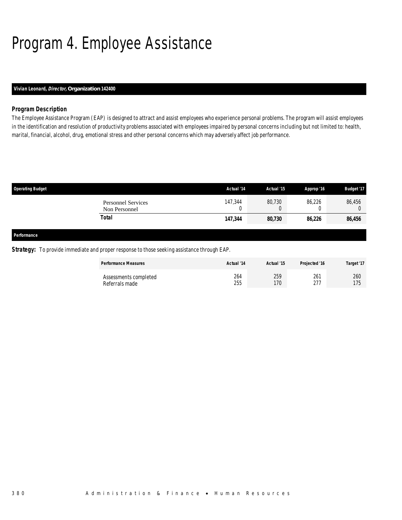# Program 4. Employee Assistance

## *Vivian Leonard, Director, Organization 142400*

#### *Program Description*

The Employee Assistance Program (EAP) is designed to attract and assist employees who experience personal problems. The program will assist employees in the identification and resolution of productivity problems associated with employees impaired by personal concerns including but not limited to: health, marital, financial, alcohol, drug, emotional stress and other personal concerns which may adversely affect job performance.

| <b>Operating Budget</b>                    | Actual '14   | Actual '15   | Approp '16 | <b>Budget '17</b> |
|--------------------------------------------|--------------|--------------|------------|-------------------|
| <b>Personnel Services</b><br>Non Personnel | 147,344<br>u | 80,730<br>υ. | 86,226     | 86,456            |
| <b>Total</b>                               | 147,344      | 80,730       | 86,226     | 86,456            |
|                                            |              |              |            |                   |
| Performance                                |              |              |            |                   |

**Strategy:** To provide immediate and proper response to those seeking assistance through EAP.

| <b>Performance Measures</b>             | Actual '14 | Actual '15 | Projected '16    | Target '17         |
|-----------------------------------------|------------|------------|------------------|--------------------|
| Assessments completed<br>Referrals made | 264<br>255 | 259<br>170 | 261<br>つフフ<br>ZΙ | 260<br>175<br>17 J |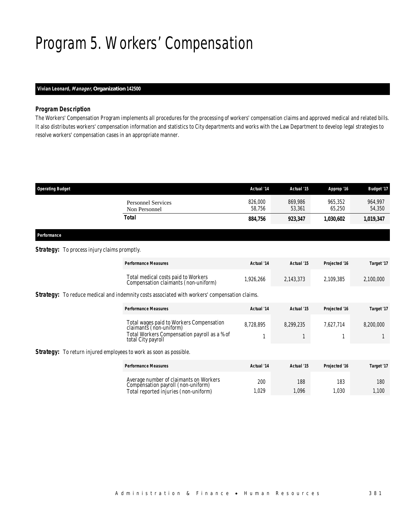# Program 5. Workers' Compensation

### *Vivian Leonard, Manager, Organization 142500*

#### *Program Description*

The Workers' Compensation Program implements all procedures for the processing of workers' compensation claims and approved medical and related bills. It also distributes workers' compensation information and statistics to City departments and works with the Law Department to develop legal strategies to resolve workers' compensation cases in an appropriate manner.

| <b>Operating Budget</b>                    | Actual '14        | Actual '15        | Approp '16        | <b>Budget '17</b> |
|--------------------------------------------|-------------------|-------------------|-------------------|-------------------|
| <b>Personnel Services</b><br>Non Personnel | 826,000<br>58.756 | 869,986<br>53,361 | 965,352<br>65.250 | 964,997<br>54,350 |
| Total                                      | 884,756           | 923,347           | 1.030.602         | 1,019,347         |

### *Performance*

### **Strategy:** To process injury claims promptly.

| <b>Performance Measures</b>                                                 | Actual '14 | Actual '15 | <b>Projected '16</b> | Target '17 |
|-----------------------------------------------------------------------------|------------|------------|----------------------|------------|
| Total medical costs paid to Workers<br>Compensation claimants (non-uniform) | .926.266   | 2.143.373  | 2.109.385            | 2,100,000  |

Strategy: To reduce medical and indemnity costs associated with workers' compensation claims.

| <b>Performance Measures</b>                                         | Actual '14 | Actual '15 | Projected '16 | Target '17 |
|---------------------------------------------------------------------|------------|------------|---------------|------------|
| Total wages paid to Workers Compensation<br>claimants (non-uniform) | 8.728.895  | 8.299.235  | 7.627.714     | 8,200,000  |
| Total Workers Compensation payroll as a % of<br>total City payroll  |            |            |               |            |

**Strategy:** To return injured employees to work as soon as possible.

| <b>Performance Measures</b>                                                  | Actual '14 | Actual '15 | <b>Projected '16</b> | Target '17 |
|------------------------------------------------------------------------------|------------|------------|----------------------|------------|
| Average number of claimants on Workers<br>Compensation payroll (non-uniform) | 200        | 188        | 183                  | 180        |
| Total reported injuries (non-uniform)                                        | .029       | .096       | .030                 | .100       |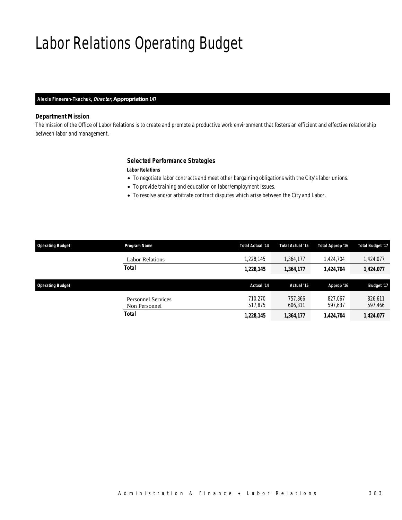# Labor Relations Operating Budget

### *Alexis Finneran-Tkachuk, Director, Appropriation 147*

#### *Department Mission*

The mission of the Office of Labor Relations is to create and promote a productive work environment that fosters an efficient and effective relationship between labor and management.

#### *Selected Performance Strategies*

*Labor Relations* 

- To negotiate labor contracts and meet other bargaining obligations with the City's labor unions.
- To provide training and education on labor/employment issues.
- To resolve and/or arbitrate contract disputes which arise between the City and Labor.

| <b>Operating Budget</b> | Program Name                               | <b>Total Actual '14</b> | <b>Total Actual '15</b> | Total Approp '16   | <b>Total Budget '17</b> |
|-------------------------|--------------------------------------------|-------------------------|-------------------------|--------------------|-------------------------|
|                         | <b>Labor Relations</b>                     | 1,228,145               | 364,177, ا              | 1,424,704          | 1,424,077               |
|                         | <b>Total</b>                               | 1,228,145               | 1,364,177               | 1,424,704          | 1,424,077               |
|                         |                                            |                         |                         |                    |                         |
| <b>Operating Budget</b> |                                            | Actual '14              | Actual '15              | Approp '16         | <b>Budget '17</b>       |
|                         | <b>Personnel Services</b><br>Non Personnel | 710.270<br>517.875      | 757.866<br>606,311      | 827.067<br>597,637 | 826,611<br>597,466      |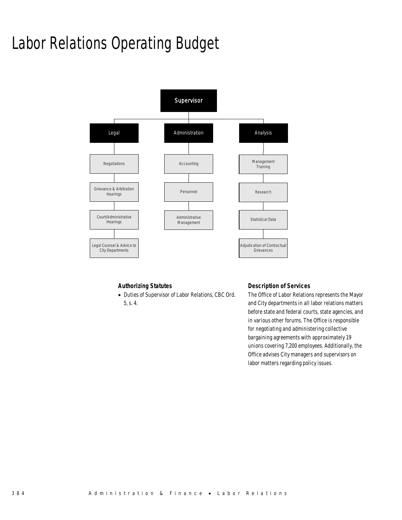# Labor Relations Operating Budget



## *Authorizing Statutes*

• Duties of Supervisor of Labor Relations, CBC Ord. 5, s. 4.

### *Description of Services*

The Office of Labor Relations represents the Mayor and City departments in all labor relations matters before state and federal courts, state agencies, and in various other forums. The Office is responsible for negotiating and administering collective bargaining agreements with approximately 19 unions covering 7,200 employees. Additionally, the Office advises City managers and supervisors on labor matters regarding policy issues.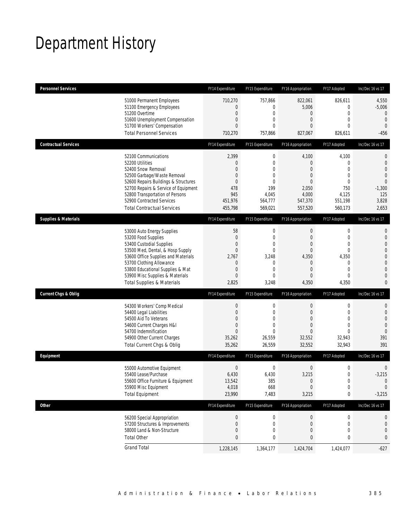# Department History

| <b>Personnel Services</b>                                                                                                                                                                                                                                                                            | FY14 Expenditure                                                                                           | FY15 Expenditure                                                                | FY16 Appropriation                                                              | FY17 Adopted                                                                                                                 | Inc/Dec 16 vs 17                                                                                                                                 |
|------------------------------------------------------------------------------------------------------------------------------------------------------------------------------------------------------------------------------------------------------------------------------------------------------|------------------------------------------------------------------------------------------------------------|---------------------------------------------------------------------------------|---------------------------------------------------------------------------------|------------------------------------------------------------------------------------------------------------------------------|--------------------------------------------------------------------------------------------------------------------------------------------------|
| 51000 Permanent Employees<br>51100 Emergency Employees<br>51200 Overtime<br>51600 Unemployment Compensation<br>51700 Workers' Compensation<br><b>Total Personnel Services</b>                                                                                                                        | 710,270<br>0<br>$\boldsymbol{0}$<br>0<br>$\overline{0}$<br>710,270                                         | 757,866<br>0<br>0<br>0<br>$\Omega$<br>757,866                                   | 822,061<br>5,006<br>0<br>0<br>0<br>827,067                                      | 826,611<br>$\mathbf 0$<br>$\mathbf 0$<br>$\mathbf{0}$<br>$\mathbf 0$<br>826,611                                              | 4,550<br>$-5,006$<br>$\mathbf 0$<br>$\mathbf 0$<br>$\mathbf{0}$<br>$-456$                                                                        |
| <b>Contractual Services</b>                                                                                                                                                                                                                                                                          | FY14 Expenditure                                                                                           | FY15 Expenditure                                                                | FY16 Appropriation                                                              | FY17 Adopted                                                                                                                 | Inc/Dec 16 vs 17                                                                                                                                 |
| 52100 Communications<br>52200 Utilities<br>52400 Snow Removal<br>52500 Garbage/Waste Removal<br>52600 Repairs Buildings & Structures<br>52700 Repairs & Service of Equipment<br>52800 Transportation of Persons<br>52900 Contracted Services<br><b>Total Contractual Services</b>                    | 2,399<br>$\mathbf 0$<br>$\Omega$<br>0<br>0<br>478<br>945<br>451,976<br>455,798                             | 0<br>0<br>$\Omega$<br>$\overline{0}$<br>0<br>199<br>4,045<br>564,777<br>569,021 | 4,100<br>0<br>0<br>0<br>0<br>2,050<br>4,000<br>547,370<br>557,520               | 4,100<br>$\mathbf 0$<br>$\mathbf{0}$<br>$\mathbf{0}$<br>$\mathbf 0$<br>750<br>4,125<br>551,198<br>560,173                    | $\mathbf 0$<br>$\mathbf 0$<br>$\overline{0}$<br>$\overline{0}$<br>$\overline{0}$<br>$-1,300$<br>125<br>3,828<br>2,653                            |
| <b>Supplies &amp; Materials</b>                                                                                                                                                                                                                                                                      | FY14 Expenditure                                                                                           | FY15 Expenditure                                                                | FY16 Appropriation                                                              | FY17 Adopted                                                                                                                 | Inc/Dec 16 vs 17                                                                                                                                 |
| 53000 Auto Energy Supplies<br>53200 Food Supplies<br>53400 Custodial Supplies<br>53500 Med, Dental, & Hosp Supply<br>53600 Office Supplies and Materials<br>53700 Clothing Allowance<br>53800 Educational Supplies & Mat<br>53900 Misc Supplies & Materials<br><b>Total Supplies &amp; Materials</b> | 58<br>$\boldsymbol{0}$<br>0<br>$\overline{0}$<br>2,767<br>0<br>$\boldsymbol{0}$<br>$\overline{0}$<br>2,825 | 0<br>0<br>0<br>0<br>3,248<br>$\mathbf{0}$<br>$\mathbf{0}$<br>$\Omega$<br>3,248  | 0<br>$\mathbf 0$<br>0<br>$\overline{0}$<br>4,350<br>$\theta$<br>0<br>0<br>4,350 | $\mathbf 0$<br>$\mathbf{0}$<br>$\mathbf{0}$<br>$\mathbf{0}$<br>4,350<br>$\mathbf 0$<br>$\mathbf{0}$<br>$\mathbf{0}$<br>4,350 | $\mathbf{0}$<br>$\mathbf 0$<br>$\mathbf{0}$<br>$\overline{0}$<br>$\mathbf 0$<br>$\overline{0}$<br>$\mathbf{0}$<br>$\overline{0}$<br>$\mathbf{0}$ |
| <b>Current Chgs &amp; Oblig</b>                                                                                                                                                                                                                                                                      | FY14 Expenditure                                                                                           | FY15 Expenditure                                                                | FY16 Appropriation                                                              | FY17 Adopted                                                                                                                 | Inc/Dec 16 vs 17                                                                                                                                 |
| 54300 Workers' Comp Medical<br>54400 Legal Liabilities<br>54500 Aid To Veterans<br>54600 Current Charges H&I<br>54700 Indemnification<br>54900 Other Current Charges<br>Total Current Chgs & Oblig                                                                                                   | $\boldsymbol{0}$<br>$\boldsymbol{0}$<br>0<br>0<br>$\overline{0}$<br>35,262<br>35,262                       | 0<br>0<br>0<br>$\overline{0}$<br>$\Omega$<br>26,559<br>26,559                   | $\mathbf 0$<br>$\mathbf 0$<br>0<br>0<br>0<br>32,552<br>32,552                   | $\boldsymbol{0}$<br>$\mathbf 0$<br>$\mathbf{0}$<br>$\mathbf{0}$<br>$\Omega$<br>32,943<br>32,943                              | 0<br>$\mathbf 0$<br>$\overline{0}$<br>$\overline{0}$<br>$\mathbf{0}$<br>391<br>391                                                               |
| Equipment                                                                                                                                                                                                                                                                                            | FY14 Expenditure                                                                                           | FY15 Expenditure                                                                | FY16 Appropriation                                                              | FY17 Adopted                                                                                                                 | Inc/Dec 16 vs 17                                                                                                                                 |
| 55000 Automotive Equipment<br>55400 Lease/Purchase<br>55600 Office Furniture & Equipment<br>55900 Misc Equipment<br><b>Total Equipment</b>                                                                                                                                                           | $\boldsymbol{0}$<br>6,430<br>13,542<br>4,018<br>23,990                                                     | 0<br>6,430<br>385<br>668<br>7,483                                               | 0<br>3,215<br>$\boldsymbol{0}$<br>$\overline{0}$<br>3,215                       | $\mathbf 0$<br>$\overline{0}$<br>$\boldsymbol{0}$<br>$\mathbf 0$<br>0                                                        | $\mathbf 0$<br>$-3,215$<br>$\mathbf 0$<br>0<br>$-3,215$                                                                                          |
| <b>Other</b>                                                                                                                                                                                                                                                                                         | FY14 Expenditure                                                                                           | FY15 Expenditure                                                                | FY16 Appropriation                                                              | FY17 Adopted                                                                                                                 | Inc/Dec 16 vs 17                                                                                                                                 |
| 56200 Special Appropriation<br>57200 Structures & Improvements<br>58000 Land & Non-Structure<br><b>Total Other</b>                                                                                                                                                                                   | $\pmb{0}$<br>$\boldsymbol{0}$<br>0<br>$\bf{0}$                                                             | 0<br>0<br>0<br>0                                                                | $\boldsymbol{0}$<br>0<br>0<br>0                                                 | $\boldsymbol{0}$<br>$\mathbf 0$<br>$\mathbf 0$<br>0                                                                          | 0<br>0<br>0<br>0                                                                                                                                 |
| <b>Grand Total</b>                                                                                                                                                                                                                                                                                   | 1,228,145                                                                                                  | 1,364,177                                                                       | 1,424,704                                                                       | 1,424,077                                                                                                                    | $-627$                                                                                                                                           |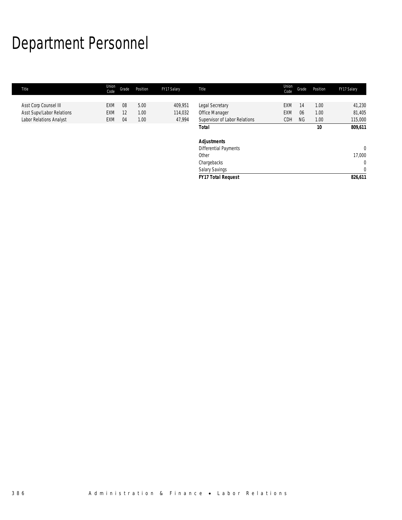# Department Personnel

| Title                            | Union<br>Code | Grade | Position | FY17 Salary | Title                         | Union<br>Code | Grade     | Position | FY17 Salary |
|----------------------------------|---------------|-------|----------|-------------|-------------------------------|---------------|-----------|----------|-------------|
|                                  |               |       |          |             |                               |               |           |          |             |
| Asst Corp Counsel III            | EXM           | 08    | 5.00     | 409,951     | Legal Secretary               | <b>EXM</b>    | 14        | 1.00     | 41,230      |
| <b>Asst Supv/Labor Relations</b> | <b>EXM</b>    | 12    | 1.00     | 114,032     | Office Manager                | <b>EXM</b>    | 06        | 1.00     | 81,405      |
| Labor Relations Analyst          | <b>EXM</b>    | 04    | 1.00     | 47,994      | Supervisor of Labor Relations | CDH           | <b>NG</b> | 1.00     | 115,000     |
|                                  |               |       |          |             | <b>Total</b>                  |               |           | 10       | 809,611     |
|                                  |               |       |          |             | <b>Adjustments</b>            |               |           |          |             |
|                                  |               |       |          |             | Differential Payments         |               |           |          | $\Omega$    |
|                                  |               |       |          |             | Other                         |               |           |          | 17,000      |
|                                  |               |       |          |             | Chargebacks                   |               |           |          | $\mathbf 0$ |
|                                  |               |       |          |             | Salary Savings                |               |           |          | $\mathbf 0$ |
|                                  |               |       |          |             | <b>FY17 Total Request</b>     |               |           |          | 826,611     |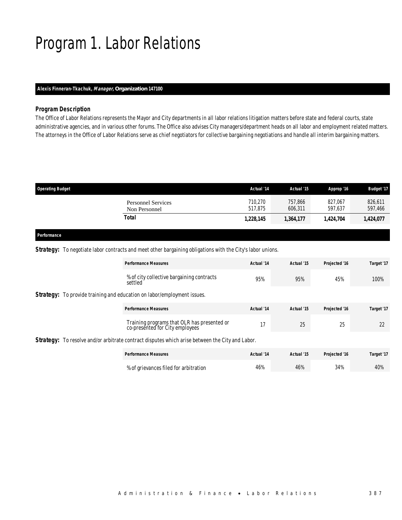# Program 1. Labor Relations

### *Alexis Finneran-Tkachuk, Manager, Organization 147100*

#### *Program Description*

The Office of Labor Relations represents the Mayor and City departments in all labor relations litigation matters before state and federal courts, state administrative agencies, and in various other forums. The Office also advises City managers/department heads on all labor and employment related matters. The attorneys in the Office of Labor Relations serve as chief negotiators for collective bargaining negotiations and handle all interim bargaining matters.

| <b>Operating Budget</b>                    | Actual '14         | Actual '15         | Approp '16         | <b>Budget '17</b>  |
|--------------------------------------------|--------------------|--------------------|--------------------|--------------------|
| <b>Personnel Services</b><br>Non Personnel | 710,270<br>517.875 | 757,866<br>606.311 | 827,067<br>597.637 | 826,611<br>597,466 |
| Total                                      | 1,228,145          | 1,364,177          | 1,424,704          | 1,424,077          |
|                                            |                    |                    |                    |                    |

#### *Performance*

**Strategy:** To negotiate labor contracts and meet other bargaining obligations with the City's labor unions.

|  | <b>Performance Measures</b>                                                                            | Actual '14 | Actual '15 | Projected '16 | Target '17 |
|--|--------------------------------------------------------------------------------------------------------|------------|------------|---------------|------------|
|  | % of city collective bargaining contracts<br>settled                                                   | 95%        | 95%        | 45%           | 100%       |
|  | <b>Strategy:</b> To provide training and education on labor/employment issues.                         |            |            |               |            |
|  | <b>Performance Measures</b>                                                                            | Actual '14 | Actual '15 | Projected '16 | Target '17 |
|  | Training programs that OLR has presented or<br>co-presented for City employees                         | 17         | 25         | 25            | 22         |
|  | <b>Strategy:</b> To resolve and/or arbitrate contract disputes which arise between the City and Labor. |            |            |               |            |

| <b>Performance Measures</b>           | Actual '14 | Actual '15 | Projected '16 | Target '17 |
|---------------------------------------|------------|------------|---------------|------------|
| % of grievances filed for arbitration | 46%        | 46%        | 34%           | 40%        |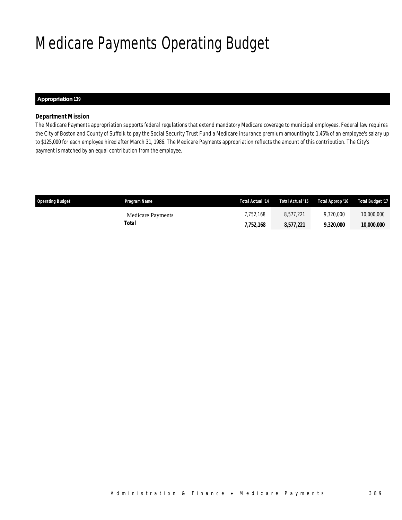# Medicare Payments Operating Budget

#### *Appropriation 139*

#### *Department Mission*

The Medicare Payments appropriation supports federal regulations that extend mandatory Medicare coverage to municipal employees. Federal law requires the City of Boston and County of Suffolk to pay the Social Security Trust Fund a Medicare insurance premium amounting to 1.45% of an employee's salary up to \$125,000 for each employee hired after March 31, 1986. The Medicare Payments appropriation reflects the amount of this contribution. The City's payment is matched by an equal contribution from the employee.

| <b>Operating Budget</b> | Program Name             | Total Actual '14 | Total Actual '15 | Total Approp '16 | Total Budget '17         |
|-------------------------|--------------------------|------------------|------------------|------------------|--------------------------|
|                         | <b>Medicare Payments</b> | 7.752.168        | 8.577.221        | 9.320.000        | 10,000,000               |
|                         | Total                    | 7,752,168        | 8,577,221        | 9.320.000        | <i><b>10,000,000</b></i> |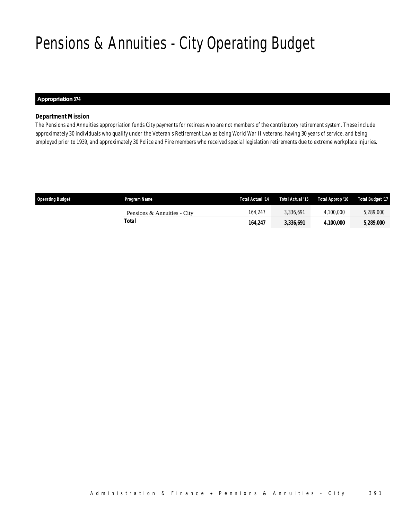# Pensions & Annuities - City Operating Budget

#### *Appropriation 374*

#### *Department Mission*

The Pensions and Annuities appropriation funds City payments for retirees who are not members of the contributory retirement system. These include approximately 30 individuals who qualify under the Veteran's Retirement Law as being World War II veterans, having 30 years of service, and being employed prior to 1939, and approximately 30 Police and Fire members who received special legislation retirements due to extreme workplace injuries.

| <b>Operating Budget</b><br>Program Name | Total Actual '14 | Total Actual '15 | Total Approp '16 | <b>Total Budget '17</b> |
|-----------------------------------------|------------------|------------------|------------------|-------------------------|
| Pensions & Annuities - City             | 164.247          | 3.336.691        | 4.100.000        | 5,289,000               |
| Total                                   | 164,247          | 3,336,691        | <i>4.100.000</i> | 5,289,000               |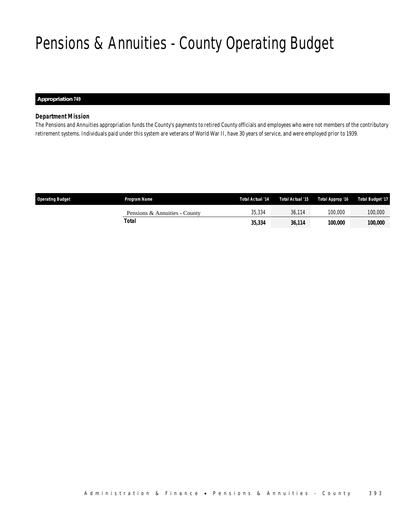# Pensions & Annuities - County Operating Budget

#### *Appropriation 749*

#### *Department Mission*

The Pensions and Annuities appropriation funds the County's payments to retired County officials and employees who were not members of the contributory retirement systems. Individuals paid under this system are veterans of World War II, have 30 years of service, and were employed prior to 1939.

| <b>Operating Budget</b><br>Program Name | <b>Total Actual '14</b> | Total Actual '15 | Total Approp '16      | <b>Total Budget '17</b> |
|-----------------------------------------|-------------------------|------------------|-----------------------|-------------------------|
| Pensions & Annuities - County           | 35,334                  | 36.114           | 100.000               | 100,000                 |
| Total                                   | 35,334                  | 36,114           | <i><b>100.000</b></i> | 100,000                 |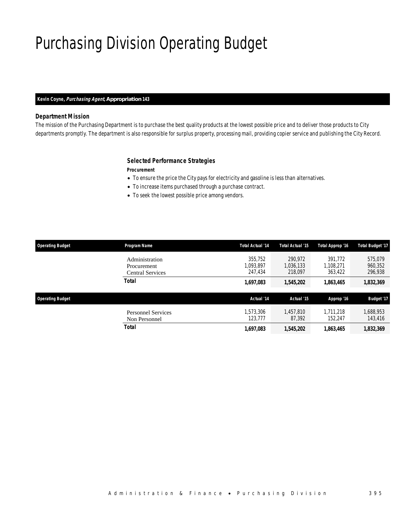# Purchasing Division Operating Budget

## *Kevin Coyne, Purchasing Agent, Appropriation 143*

#### *Department Mission*

The mission of the Purchasing Department is to purchase the best quality products at the lowest possible price and to deliver those products to City departments promptly. The department is also responsible for surplus property, processing mail, providing copier service and publishing the City Record.

#### *Selected Performance Strategies*

*Procurement* 

- To ensure the price the City pays for electricity and gasoline is less than alternatives.
- To increase items purchased through a purchase contract.
- To seek the lowest possible price among vendors.

| <b>Operating Budget</b> | Program Name                                             | <b>Total Actual '14</b>         | <b>Total Actual '15</b>         | Total Approp '16                | <b>Total Budget '17</b>       |
|-------------------------|----------------------------------------------------------|---------------------------------|---------------------------------|---------------------------------|-------------------------------|
|                         | Administration<br>Procurement<br><b>Central Services</b> | 355.752<br>1.093.897<br>247.434 | 290.972<br>1,036,133<br>218,097 | 391.772<br>1,108,271<br>363,422 | 575,079<br>960,352<br>296,938 |
|                         | <b>Total</b>                                             | 1,697,083                       | 1,545,202                       | 1,863,465                       | 1,832,369                     |
| <b>Operating Budget</b> |                                                          | Actual '14                      | Actual '15                      | Approp '16                      | <b>Budget '17</b>             |
|                         | <b>Personnel Services</b><br>Non Personnel               | 1,573,306<br>123.777            | 1.457.810<br>87,392             | 1.711.218<br>152.247            | 1,688,953<br>143,416          |
|                         | Total                                                    | 1,697,083                       | 1,545,202                       | 1,863,465                       | 1,832,369                     |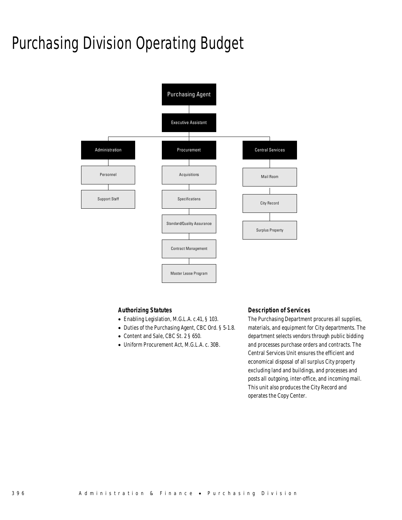# Purchasing Division Operating Budget



## *Authorizing Statutes*

- Enabling Legislation, M.G.L.A. c.41, § 103.
- Duties of the Purchasing Agent, CBC Ord. § 5-1.8.
- Content and Sale, CBC St. 2 § 650.
- Uniform Procurement Act, M.G.L.A. c. 30B.

### *Description of Services*

The Purchasing Department procures all supplies, materials, and equipment for City departments. The department selects vendors through public bidding and processes purchase orders and contracts. The Central Services Unit ensures the efficient and economical disposal of all surplus City property excluding land and buildings, and processes and posts all outgoing, inter-office, and incoming mail. This unit also produces the City Record and operates the Copy Center.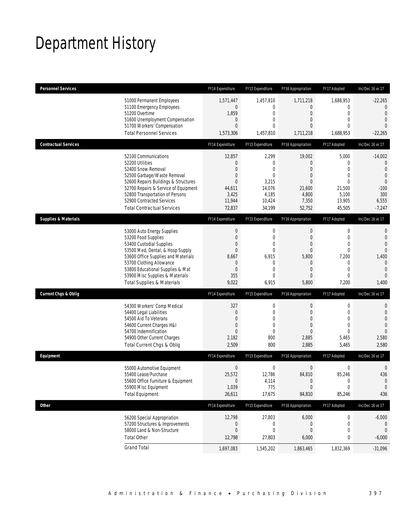# Department History

| <b>Personnel Services</b>       |                                       | FY14 Expenditure | FY15 Expenditure | FY16 Appropriation | FY17 Adopted     | Inc/Dec 16 vs 17 |
|---------------------------------|---------------------------------------|------------------|------------------|--------------------|------------------|------------------|
|                                 | 51000 Permanent Employees             | 1,571,447        | 1,457,810        | 1,711,218          | 1,688,953        | $-22,265$        |
|                                 | 51100 Emergency Employees             | $\mathbf 0$      | 0                | $\mathbf{0}$       | 0                | $\overline{0}$   |
|                                 | 51200 Overtime                        | 1,859            | $\overline{0}$   | $\overline{0}$     | $\mathbf 0$      | $\mathbf{0}$     |
|                                 | 51600 Unemployment Compensation       | $\mathbf 0$      | 0                | $\mathbf{0}$       | $\mathbf{0}$     | $\overline{0}$   |
|                                 | 51700 Workers' Compensation           | $\overline{0}$   | $\overline{0}$   | 0                  | $\mathbf{0}$     | $\Omega$         |
|                                 | <b>Total Personnel Services</b>       | 1,573,306        | 1,457,810        | 1,711,218          | 1,688,953        | $-22,265$        |
| <b>Contractual Services</b>     |                                       | FY14 Expenditure | FY15 Expenditure | FY16 Appropriation | FY17 Adopted     | Inc/Dec 16 vs 17 |
|                                 | 52100 Communications                  | 12,857           | 2,299            | 19,002             | 5,000            | $-14,002$        |
|                                 | 52200 Utilities                       | 0                | $\mathbf 0$      | $\mathbf{0}$       | $\mathbf{0}$     | $\mathbf{0}$     |
|                                 | 52400 Snow Removal                    | $\boldsymbol{0}$ | $\overline{0}$   | 0                  | $\mathbf 0$      | $\mathbf{0}$     |
|                                 | 52500 Garbage/Waste Removal           | $\mathbf 0$      | $\mathbf 0$      | $\mathbf{0}$       | $\mathbf 0$      | $\overline{0}$   |
|                                 | 52600 Repairs Buildings & Structures  | $\overline{0}$   | 3,215            | $\mathbf{0}$       | $\mathbf{0}$     | $\mathbf 0$      |
|                                 | 52700 Repairs & Service of Equipment  | 44,611           | 14,076           | 21,600             | 21,500           | $-100$           |
|                                 | 52800 Transportation of Persons       | 3,425            | 4,185            | 4,800              | 5,100            | 300              |
|                                 | 52900 Contracted Services             | 11,944           | 10,424           | 7,350              | 13,905           | 6,555            |
|                                 | <b>Total Contractual Services</b>     | 72,837           | 34,199           | 52,752             | 45,505           | $-7,247$         |
| <b>Supplies &amp; Materials</b> |                                       | FY14 Expenditure | FY15 Expenditure | FY16 Appropriation | FY17 Adopted     | Inc/Dec 16 vs 17 |
|                                 | 53000 Auto Energy Supplies            | $\boldsymbol{0}$ | $\mathbf 0$      | $\mathbf 0$        | $\boldsymbol{0}$ | 0                |
|                                 | 53200 Food Supplies                   | $\overline{0}$   | $\mathbf 0$      | $\overline{0}$     | $\mathbf{0}$     | $\mathbf{0}$     |
|                                 | 53400 Custodial Supplies              | 0                | 0                | 0                  | $\mathbf{0}$     | $\overline{0}$   |
|                                 | 53500 Med, Dental, & Hosp Supply      | $\overline{0}$   | $\mathbf 0$      | $\mathbf{0}$       | $\mathbf 0$      | $\overline{0}$   |
|                                 | 53600 Office Supplies and Materials   | 8,667            | 6,915            | 5,800              | 7,200            | 1,400            |
|                                 | 53700 Clothing Allowance              | 0                | 0                | $\mathbf 0$        | 0                | $\mathbf{0}$     |
|                                 | 53800 Educational Supplies & Mat      | $\overline{0}$   | $\mathbf{0}$     | 0                  | $\mathbf{0}$     | $\overline{0}$   |
|                                 | 53900 Misc Supplies & Materials       | 355              | 0                | 0                  | $\mathbf{0}$     | $\overline{0}$   |
|                                 | <b>Total Supplies &amp; Materials</b> | 9,022            | 6,915            | 5,800              | 7,200            | 1,400            |
| <b>Current Chgs &amp; Oblig</b> |                                       | FY14 Expenditure | FY15 Expenditure | FY16 Appropriation | FY17 Adopted     | Inc/Dec 16 vs 17 |
|                                 | 54300 Workers' Comp Medical           | 327              | $\mathbf 0$      | $\boldsymbol{0}$   | $\boldsymbol{0}$ | $\mathbf 0$      |
|                                 | 54400 Legal Liabilities               | 0                | $\mathbf 0$      | $\overline{0}$     | $\mathbf 0$      | $\mathbf 0$      |
|                                 | 54500 Aid To Veterans                 | $\overline{0}$   | 0                | 0                  | $\mathbf{0}$     | $\overline{0}$   |
|                                 | 54600 Current Charges H&I             | $\mathbf 0$      | $\mathbf{0}$     | $\overline{0}$     | $\mathbf{0}$     | $\overline{0}$   |
|                                 | 54700 Indemnification                 | $\overline{0}$   | $\mathbf{0}$     | 0                  | $\mathbf{0}$     | $\overline{0}$   |
|                                 | 54900 Other Current Charges           | 2,182            | 800              | 2,885              | 5,465            | 2,580            |
|                                 | Total Current Chgs & Oblig            | 2,509            | 800              | 2,885              | 5,465            | 2,580            |
| Equipment                       |                                       | FY14 Expenditure | FY15 Expenditure | FY16 Appropriation | FY17 Adopted     | Inc/Dec 16 vs 17 |
|                                 | 55000 Automotive Equipment            | $\boldsymbol{0}$ | 0                | $\boldsymbol{0}$   | $\mathbf 0$      | $\theta$         |
|                                 | 55400 Lease/Purchase                  | 25,572           | 12,786           | 84,810             | 85,246           | 436              |
|                                 | 55600 Office Furniture & Equipment    | 0                | 4,114            | $\boldsymbol{0}$   | $\boldsymbol{0}$ | $\mathbf 0$      |
|                                 | 55900 Misc Equipment                  | 1,039            | 775              | $\mathbf 0$        | $\boldsymbol{0}$ | $\mathbf 0$      |
|                                 | <b>Total Equipment</b>                | 26,611           | 17,675           | 84,810             | 85,246           | 436              |
| Other                           |                                       | FY14 Expenditure | FY15 Expenditure | FY16 Appropriation | FY17 Adopted     | Inc/Dec 16 vs 17 |
|                                 | 56200 Special Appropriation           | 12,798           | 27,803           | 6,000              | 0                | $-6,000$         |
|                                 | 57200 Structures & Improvements       | 0                | 0                | 0                  | 0                | $\left($         |
|                                 | 58000 Land & Non-Structure            | $\mathbf{0}$     | $\overline{0}$   | $\overline{0}$     | $\mathbf 0$      | $\theta$         |
|                                 | <b>Total Other</b>                    | 12,798           | 27,803           | 6,000              | 0                | $-6,000$         |
|                                 | <b>Grand Total</b>                    | 1,697,083        | 1,545,202        | 1,863,465          | 1,832,369        | $-31,096$        |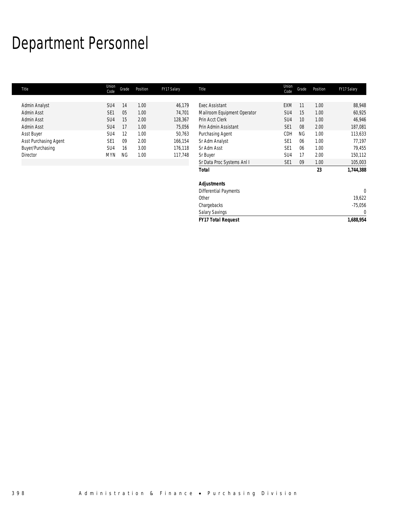# Department Personnel

| Title                 | Union<br>Code   | Grade     | Position | FY17 Salary | Title                       | Union<br>Code   | Grade     | Position | FY17 Salary  |
|-----------------------|-----------------|-----------|----------|-------------|-----------------------------|-----------------|-----------|----------|--------------|
|                       |                 |           |          |             |                             |                 |           |          |              |
| Admin Analyst         | SU4             | 14        | 1.00     | 46,179      | <b>Exec Assistant</b>       | <b>EXM</b>      | 11        | 1.00     | 88,948       |
| Admin Asst            | SE <sub>1</sub> | 05        | 1.00     | 74,701      | Mailroom Equipment Operator | SU4             | 15        | 1.00     | 60,925       |
| Admin Asst            | SU <sub>4</sub> | 15        | 2.00     | 128,367     | Prin Acct Clerk             | SU4             | 10        | 1.00     | 46,946       |
| Admin Asst            | SU <sub>4</sub> | 17        | 1.00     | 75,056      | Prin Admin Assistant        | SE <sub>1</sub> | 08        | 2.00     | 187,081      |
| Asst Buyer            | SU <sub>4</sub> | 12        | 1.00     | 50,763      | Purchasing Agent            | CDH             | <b>NG</b> | 1.00     | 113,633      |
| Asst Purchasing Agent | SE <sub>1</sub> | 09        | 2.00     | 166,154     | Sr Adm Analyst              | SE <sub>1</sub> | 06        | 1.00     | 77,197       |
| Buyer/Purchasing      | SU <sub>4</sub> | 16        | 3.00     | 176,118     | Sr Adm Asst                 | SE <sub>1</sub> | 06        | 1.00     | 79,455       |
| Director              | <b>MYN</b>      | <b>NG</b> | 1.00     | 117,748     | Sr Buyer                    | SU4             | 17        | 2.00     | 150,112      |
|                       |                 |           |          |             | Sr Data Proc Systems Anl I  | SE <sub>1</sub> | 09        | 1.00     | 105,003      |
|                       |                 |           |          |             | <b>Total</b>                |                 |           | 23       | 1,744,388    |
|                       |                 |           |          |             | <b>Adjustments</b>          |                 |           |          |              |
|                       |                 |           |          |             | Differential Payments       |                 |           |          | $\mathbf{0}$ |
|                       |                 |           |          |             | Other                       |                 |           |          | 19,622       |
|                       |                 |           |          |             | Chargebacks                 |                 |           |          | $-75,056$    |
|                       |                 |           |          |             | <b>Salary Savings</b>       |                 |           |          | 0            |

*FY17 Total Request 1,688,954*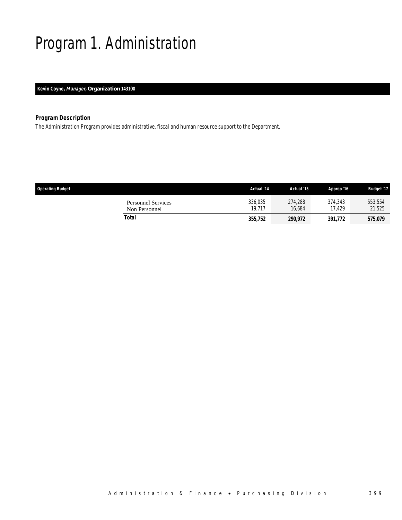# Program 1. Administration

*Kevin Coyne, Manager, Organization 143100* 

## *Program Description*

The Administration Program provides administrative, fiscal and human resource support to the Department.

| <b>Operating Budget</b>                    | Actual '14        | Actual '15        | Approp '16        | <b>Budget '17</b> |
|--------------------------------------------|-------------------|-------------------|-------------------|-------------------|
| <b>Personnel Services</b><br>Non Personnel | 336,035<br>19.717 | 274,288<br>16.684 | 374,343<br>17.429 | 553,554<br>21,525 |
| Total                                      | 355,752           | 290.972           | 391,772           | 575,079           |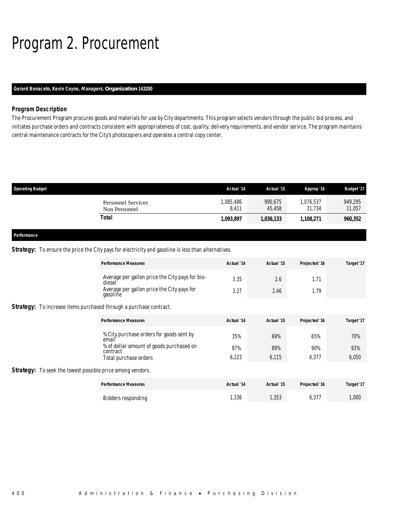# Program 2. Procurement

### *Gerard Bonaceto, Kevin Coyne, Managers, Organization 143200*

#### *Program Description*

The Procurement Program procures goods and materials for use by City departments. This program selects vendors through the public bid process, and initiates purchase orders and contracts consistent with appropriateness of cost, quality, delivery requirements, and vendor service. The program maintains central maintenance contracts for the City's photocopiers and operates a central copy center.

| <b>Operating Budget</b> |                                            | Actual '14         | Actual '15        | Approp '16          | <b>Budget '17</b> |
|-------------------------|--------------------------------------------|--------------------|-------------------|---------------------|-------------------|
|                         | <b>Personnel Services</b><br>Non Personnel | 1,085,486<br>8,411 | 990,675<br>45.458 | 1,076,537<br>31.734 | 949,295<br>11,057 |
| Total                   |                                            | 1,093,897          | 1,036,133         | 1,108,271           | 960,352           |
|                         |                                            |                    |                   |                     |                   |
| Performance             |                                            |                    |                   |                     |                   |

#### **Strategy:** To ensure the price the City pays for electricity and gasoline is less than alternatives.

|                                                                           | <b>Performance Measures</b>                               | Actual '14 | Actual '15 | Projected '16 | Target '17 |
|---------------------------------------------------------------------------|-----------------------------------------------------------|------------|------------|---------------|------------|
|                                                                           | Average per gallon price the City pays for bio-<br>dieseľ | 3.35       | 2.6        | 1,71          |            |
|                                                                           | Average per gallon price the City pays for<br>gasoline    | 3.27       | 2.46       | 1.79          |            |
| <b>Strategy:</b> To increase items purchased through a purchase contract. |                                                           |            |            |               |            |
|                                                                           | <b>Performance Measures</b>                               | Actual '14 | Actual '15 | Projected '16 | Target '17 |
|                                                                           | % City purchase orders for goods sent by<br>email         | 35%        | 69%        | 65%           | 70%        |
|                                                                           | % of dollar amount of goods purchased on<br>contract      | 87%        | 89%        | 90%           | 93%        |
|                                                                           | Total purchase orders                                     | 6,223      | 6,115      | 6,377         | 6,050      |
| <b>Strategy:</b> To seek the lowest possible price among vendors.         |                                                           |            |            |               |            |
|                                                                           | <b>Performance Measures</b>                               | Actual '14 | Actual '15 | Projected '16 | Target '17 |
|                                                                           | Bidders responding                                        | 1,336      | 1,353      | 6,377         | 1,000      |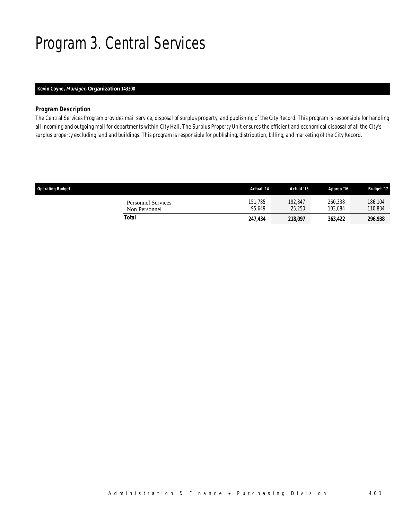### Program 3. Central Services

### *Kevin Coyne, Manager, Organization 143300*

### *Program Description*

The Central Services Program provides mail service, disposal of surplus property, and publishing of the City Record. This program is responsible for handling all incoming and outgoing mail for departments within City Hall. The Surplus Property Unit ensures the efficient and economical disposal of all the City's surplus property excluding land and buildings. This program is responsible for publishing, distribution, billing, and marketing of the City Record.

| <b>Operating Budget</b>                    | Actual '14        | Actual '15        | Approp '16         | <b>Budget '17</b>  |
|--------------------------------------------|-------------------|-------------------|--------------------|--------------------|
| <b>Personnel Services</b><br>Non Personnel | 151,785<br>95.649 | 192.847<br>25,250 | 260,338<br>103.084 | 186.104<br>110,834 |
| Total                                      | 247,434           | 218,097           | 363,422            | 296,938            |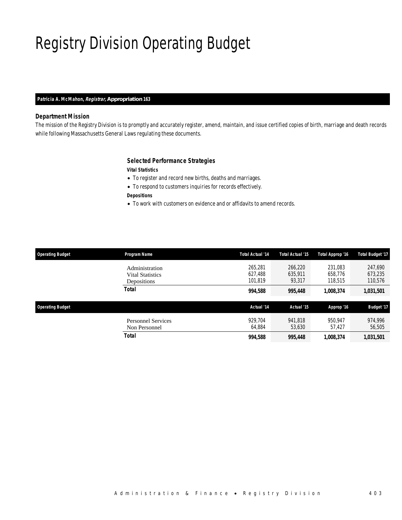# Registry Division Operating Budget

### *Patricia A. McMahon, Registrar, Appropriation 163*

#### *Department Mission*

The mission of the Registry Division is to promptly and accurately register, amend, maintain, and issue certified copies of birth, marriage and death records while following Massachusetts General Laws regulating these documents.

### *Selected Performance Strategies*

*Vital Statistics* 

- To register and record new births, deaths and marriages.
- To respond to customers inquiries for records effectively.
- *Depositions*
- To work with customers on evidence and or affidavits to amend records.

| <b>Operating Budget</b> | <b>Program Name</b>                                      | <b>Total Actual '14</b>       | Total Actual '15             | Total Approp '16              | <b>Total Budget '17</b>       |
|-------------------------|----------------------------------------------------------|-------------------------------|------------------------------|-------------------------------|-------------------------------|
|                         | Administration<br><b>Vital Statistics</b><br>Depositions | 265.281<br>627.488<br>101.819 | 266,220<br>635.911<br>93,317 | 231.083<br>658.776<br>118,515 | 247,690<br>673,235<br>110,576 |
|                         | <b>Total</b>                                             | 994,588                       | 995,448                      | 1,008,374                     | 1,031,501                     |
| <b>Operating Budget</b> |                                                          | Actual '14                    | Actual '15                   | Approp '16                    | <b>Budget '17</b>             |
|                         | <b>Personnel Services</b><br>Non Personnel               | 929.704<br>64,884             | 941.818<br>53,630            | 950.947<br>57,427             | 974,996<br>56,505             |
|                         | <b>Total</b>                                             | 994.588                       | 995,448                      | 1,008,374                     | 1,031,501                     |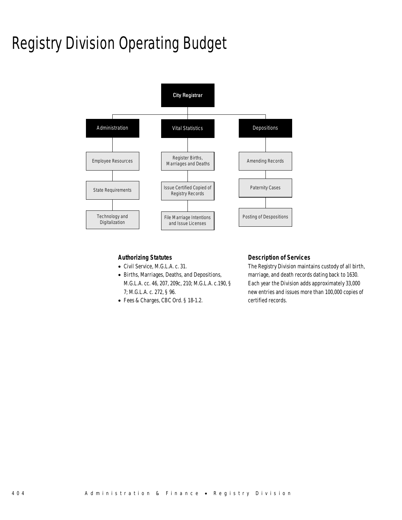# Registry Division Operating Budget



### *Authorizing Statutes*

- Civil Service, M.G.L.A. c. 31.
- Births, Marriages, Deaths, and Depositions, M.G.L.A. cc. 46, 207, 209c, 210; M.G.L.A. c.190, § 7; M.G.L.A. c. 272, § 96.
- Fees & Charges, CBC Ord. § 18-1.2.

#### *Description of Services*

The Registry Division maintains custody of all birth, marriage, and death records dating back to 1630. Each year the Division adds approximately 33,000 new entries and issues more than 100,000 copies of certified records.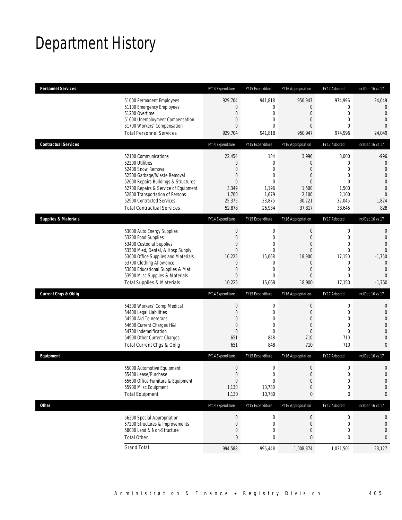### Department History

| <b>Personnel Services</b>       |                                                                                                                                                                                                                                                                                                      | FY14 Expenditure                                                                                            | FY15 Expenditure                                                                                            | FY16 Appropriation                                                                                                          | FY17 Adopted                                                                                                  | Inc/Dec 16 vs 17                                                                                                 |
|---------------------------------|------------------------------------------------------------------------------------------------------------------------------------------------------------------------------------------------------------------------------------------------------------------------------------------------------|-------------------------------------------------------------------------------------------------------------|-------------------------------------------------------------------------------------------------------------|-----------------------------------------------------------------------------------------------------------------------------|---------------------------------------------------------------------------------------------------------------|------------------------------------------------------------------------------------------------------------------|
|                                 | 51000 Permanent Employees<br>51100 Emergency Employees<br>51200 Overtime<br>51600 Unemployment Compensation<br>51700 Workers' Compensation<br><b>Total Personnel Services</b>                                                                                                                        | 929,704<br>0<br>$\mathbf 0$<br>0<br>$\Omega$<br>929,704                                                     | 941,818<br>0<br>$\mathbf 0$<br>0<br>$\theta$<br>941,818                                                     | 950,947<br>$\mathbf{0}$<br>$\mathbf 0$<br>$\mathbf{0}$<br>$\mathbf{0}$<br>950,947                                           | 974,996<br>0<br>$\mathbf 0$<br>$\mathbf{0}$<br>$\theta$<br>974,996                                            | 24,049<br>0<br>$\theta$<br>$\overline{0}$<br>$\Omega$<br>24,049                                                  |
| <b>Contractual Services</b>     |                                                                                                                                                                                                                                                                                                      | FY14 Expenditure                                                                                            | FY15 Expenditure                                                                                            | FY16 Appropriation                                                                                                          | FY17 Adopted                                                                                                  | Inc/Dec 16 vs 17                                                                                                 |
|                                 | 52100 Communications<br>52200 Utilities<br>52400 Snow Removal<br>52500 Garbage/Waste Removal<br>52600 Repairs Buildings & Structures<br>52700 Repairs & Service of Equipment<br>52800 Transportation of Persons<br>52900 Contracted Services<br><b>Total Contractual Services</b>                    | 22,454<br>$\mathbf 0$<br>0<br>0<br>$\overline{0}$<br>3,349<br>1,700<br>25,375<br>52,878                     | 184<br>$\mathbf{0}$<br>$\theta$<br>0<br>$\overline{0}$<br>1,196<br>1,679<br>23,875<br>26,934                | 3,996<br>$\mathbf{0}$<br>$\mathbf{0}$<br>$\mathbf{0}$<br>$\overline{0}$<br>1,500<br>2,100<br>30,221<br>37,817               | 3,000<br>$\mathbf 0$<br>$\Omega$<br>$\mathbf{0}$<br>$\overline{0}$<br>1,500<br>2,100<br>32,045<br>38,645      | $-996$<br>$\theta$<br>$\theta$<br>$\overline{0}$<br>$\mathbf 0$<br>$\mathbf{0}$<br>$\mathbf{0}$<br>1,824<br>828  |
| <b>Supplies &amp; Materials</b> |                                                                                                                                                                                                                                                                                                      | FY14 Expenditure                                                                                            | FY15 Expenditure                                                                                            | FY16 Appropriation                                                                                                          | FY17 Adopted                                                                                                  | Inc/Dec 16 vs 17                                                                                                 |
|                                 | 53000 Auto Energy Supplies<br>53200 Food Supplies<br>53400 Custodial Supplies<br>53500 Med, Dental, & Hosp Supply<br>53600 Office Supplies and Materials<br>53700 Clothing Allowance<br>53800 Educational Supplies & Mat<br>53900 Misc Supplies & Materials<br><b>Total Supplies &amp; Materials</b> | $\boldsymbol{0}$<br>$\boldsymbol{0}$<br>0<br>$\mathbf{0}$<br>10,225<br>0<br>$\boldsymbol{0}$<br>0<br>10,225 | 0<br>$\overline{0}$<br>0<br>$\overline{0}$<br>15,068<br>$\mathbf 0$<br>$\overline{0}$<br>$\theta$<br>15,068 | $\mathbf 0$<br>$\overline{0}$<br>$\overline{0}$<br>$\overline{0}$<br>18,900<br>$\mathbf 0$<br>$\overline{0}$<br>0<br>18,900 | 0<br>$\overline{0}$<br>$\overline{0}$<br>$\mathbf 0$<br>17,150<br>0<br>$\mathbf{0}$<br>$\mathbf{0}$<br>17,150 | 0<br>$\mathbf 0$<br>$\overline{0}$<br>$\overline{0}$<br>$-1,750$<br>$\theta$<br>$\theta$<br>$\Omega$<br>$-1,750$ |
| <b>Current Chgs &amp; Oblig</b> |                                                                                                                                                                                                                                                                                                      | FY14 Expenditure                                                                                            | FY15 Expenditure                                                                                            | FY16 Appropriation                                                                                                          | FY17 Adopted                                                                                                  | Inc/Dec 16 vs 17                                                                                                 |
|                                 | 54300 Workers' Comp Medical<br>54400 Legal Liabilities<br>54500 Aid To Veterans<br>54600 Current Charges H&I<br>54700 Indemnification<br>54900 Other Current Charges<br>Total Current Chgs & Oblig                                                                                                   | $\boldsymbol{0}$<br>$\boldsymbol{0}$<br>0<br>$\mathbf 0$<br>$\mathbf{0}$<br>651<br>651                      | 0<br>$\mathbf 0$<br>0<br>$\mathbf 0$<br>0<br>848<br>848                                                     | $\boldsymbol{0}$<br>$\mathbf 0$<br>$\mathbf{0}$<br>$\overline{0}$<br>$\overline{0}$<br>710<br>710                           | 0<br>$\mathbf 0$<br>$\mathbf{0}$<br>$\mathbf 0$<br>$\overline{0}$<br>710<br>710                               | 0<br>$\mathbf 0$<br>0<br>0<br>0<br>$\overline{0}$<br>0                                                           |
| Equipment                       |                                                                                                                                                                                                                                                                                                      | FY14 Expenditure                                                                                            | FY15 Expenditure                                                                                            | FY16 Appropriation                                                                                                          | FY17 Adopted                                                                                                  | Inc/Dec 16 vs 17                                                                                                 |
|                                 | 55000 Automotive Equipment<br>55400 Lease/Purchase<br>55600 Office Furniture & Equipment<br>55900 Misc Equipment<br><b>Total Equipment</b>                                                                                                                                                           | $\boldsymbol{0}$<br>$\boldsymbol{0}$<br>$\boldsymbol{0}$<br>1,130<br>1,130                                  | 0<br>$\mathbf 0$<br>$\boldsymbol{0}$<br>10,780<br>10,780                                                    | $\boldsymbol{0}$<br>$\overline{0}$<br>$\boldsymbol{0}$<br>$\mathbf 0$<br>$\pmb{0}$                                          | $\boldsymbol{0}$<br>$\overline{0}$<br>$\boldsymbol{0}$<br>$\boldsymbol{0}$<br>0                               | 0<br>$\overline{0}$<br>$\mathbf 0$<br>0<br>0                                                                     |
| <b>Other</b>                    |                                                                                                                                                                                                                                                                                                      | FY14 Expenditure                                                                                            | FY15 Expenditure                                                                                            | FY16 Appropriation                                                                                                          | FY17 Adopted                                                                                                  | Inc/Dec 16 vs 17                                                                                                 |
|                                 | 56200 Special Appropriation<br>57200 Structures & Improvements<br>58000 Land & Non-Structure<br><b>Total Other</b>                                                                                                                                                                                   | $\boldsymbol{0}$<br>$\mathbf 0$<br>0<br>$\pmb{0}$                                                           | $\boldsymbol{0}$<br>$\mathbf 0$<br>$\mathbf 0$<br>0                                                         | $\mathbf 0$<br>$\theta$<br>$\mathbf 0$<br>0                                                                                 | 0<br>0<br>0<br>0                                                                                              | 0<br>0<br>0<br>0                                                                                                 |
|                                 | <b>Grand Total</b>                                                                                                                                                                                                                                                                                   | 994,588                                                                                                     | 995,448                                                                                                     | 1,008,374                                                                                                                   | 1,031,501                                                                                                     | 23,127                                                                                                           |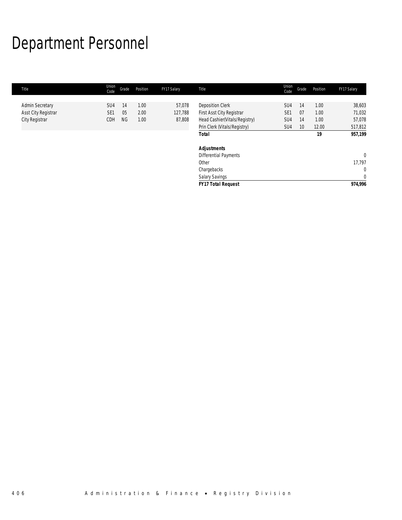# Department Personnel

| Union<br>Code   | Grade           | Position | FY17 Salary | Title                         | Union<br>Code                                                                                                                  | Grade                              | Position | FY17 Salary                           |
|-----------------|-----------------|----------|-------------|-------------------------------|--------------------------------------------------------------------------------------------------------------------------------|------------------------------------|----------|---------------------------------------|
| SU <sub>4</sub> | 14              | 1.00     | 57,078      | Deposition Clerk              | SU <sub>4</sub>                                                                                                                | 14                                 | 1.00     | 38,603                                |
| CDH             | <b>NG</b>       | 1.00     | 87,808      | Head Cashier(Vitals/Registry) | SU <sub>4</sub>                                                                                                                | 14                                 | 1.00     | 71,032<br>57,078                      |
|                 |                 |          |             | <b>Total</b>                  |                                                                                                                                |                                    | 19       | 517,812<br>957,199                    |
|                 |                 |          |             | <b>Adjustments</b>            |                                                                                                                                |                                    |          |                                       |
|                 |                 |          |             | Other                         |                                                                                                                                |                                    |          | $\Omega$<br>17,797                    |
|                 |                 |          |             | <b>Salary Savings</b>         |                                                                                                                                |                                    |          | $\mathbf 0$<br>$\mathbf 0$<br>974,996 |
|                 | SE <sub>1</sub> | 05       | 2.00        | 127,788                       | First Asst City Registrar<br>Prin Clerk (Vitals/Registry)<br>Differential Payments<br>Chargebacks<br><b>FY17 Total Request</b> | SE <sub>1</sub><br>SU <sub>4</sub> | 07<br>10 | 1.00<br>12.00                         |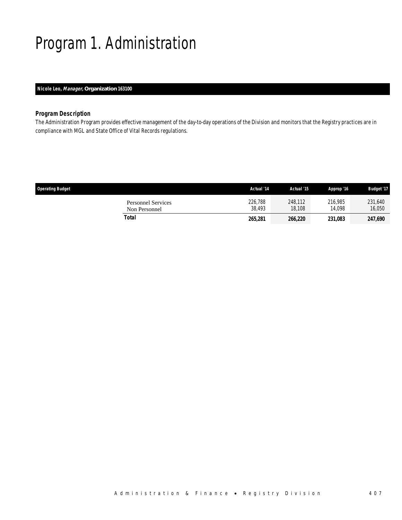## Program 1. Administration

### *Nicole Leo, Manager, Organization 163100*

### *Program Description*

The Administration Program provides effective management of the day-to-day operations of the Division and monitors that the Registry practices are in compliance with MGL and State Office of Vital Records regulations.

| <b>Operating Budget</b>                    | Actual '14        | Actual '15        | Approp '16        | <b>Budget '17</b> |
|--------------------------------------------|-------------------|-------------------|-------------------|-------------------|
| <b>Personnel Services</b><br>Non Personnel | 226,788<br>38.493 | 248,112<br>18.108 | 216.985<br>14.098 | 231,640<br>16.050 |
| Total                                      | 265,281           | 266,220           | 231,083           | 247,690           |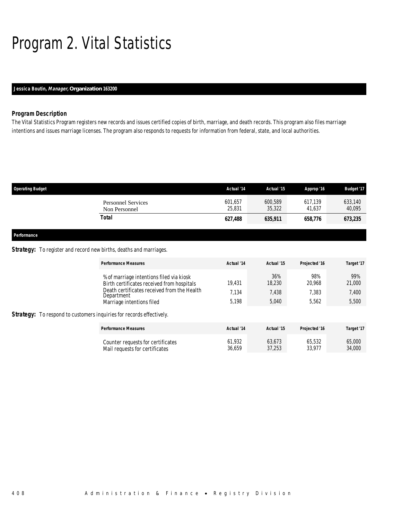# Program 2. Vital Statistics

### *Jessica Boutin, Manager, Organization 163200*

### *Program Description*

The Vital Statistics Program registers new records and issues certified copies of birth, marriage, and death records. This program also files marriage intentions and issues marriage licenses. The program also responds to requests for information from federal, state, and local authorities.

| <b>Operating Budget</b>                    | Actual '14        | Actual '15        | Approp '16        | <b>Budget '17</b> |
|--------------------------------------------|-------------------|-------------------|-------------------|-------------------|
| <b>Personnel Services</b><br>Non Personnel | 601,657<br>25,831 | 600,589<br>35,322 | 617,139<br>41,637 | 633,140<br>40,095 |
| Total                                      | 627,488           | 635,911           | 658,776           | 673,235           |
|                                            |                   |                   |                   |                   |

#### *Performance*

#### **Strategy:** To register and record new births, deaths and marriages.

|                                                                             | <b>Performance Measures</b>                                                                                                                                                      | Actual '14               | Actual '15                      | Projected '16                   | Target '17                      |
|-----------------------------------------------------------------------------|----------------------------------------------------------------------------------------------------------------------------------------------------------------------------------|--------------------------|---------------------------------|---------------------------------|---------------------------------|
|                                                                             | % of marriage intentions filed via kiosk<br>Birth certificates received from hospitals<br>Death certificates received from the Health<br>Department<br>Marriage intentions filed | 19,431<br>7.134<br>5,198 | 36%<br>18,230<br>7.438<br>5,040 | 98%<br>20,968<br>7.383<br>5,562 | 99%<br>21,000<br>7,400<br>5,500 |
| <b>Strategy:</b> To respond to customers inquiries for records effectively. |                                                                                                                                                                                  |                          |                                 |                                 |                                 |
|                                                                             | <b>Performance Measures</b>                                                                                                                                                      | Actual '14               | Actual '15                      | Projected '16                   | Target '17                      |
|                                                                             | Counter requests for certificates<br>Mail requests for certificates                                                                                                              | 61,932<br>36.659         | 63.673<br>37.253                | 65,532<br>33.977                | 65,000<br>34,000                |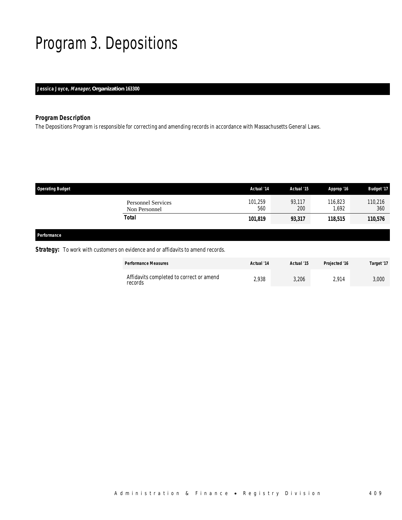### Program 3. Depositions

### *Jessica Joyce, Manager, Organization 163300*

### *Program Description*

The Depositions Program is responsible for correcting and amending records in accordance with Massachusetts General Laws.

| <b>Operating Budget</b> |                                            | Actual '14     | Actual '15    | Approp '16       | <b>Budget '17</b> |
|-------------------------|--------------------------------------------|----------------|---------------|------------------|-------------------|
|                         | <b>Personnel Services</b><br>Non Personnel | 101,259<br>560 | 93,117<br>200 | 116,823<br>1,692 | 110,216<br>360    |
|                         | Total                                      | 101,819        | 93,317        | 118,515          | 110,576           |
| Performance             |                                            |                |               |                  |                   |

### **Strategy:** To work with customers on evidence and or affidavits to amend records.

| <b>Performance Measures</b>                         | Actual '14 | Actual '15 | Projected '16 | Target '17 |
|-----------------------------------------------------|------------|------------|---------------|------------|
| Affidavits completed to correct or amend<br>records | 2,938      | 3,206      | 2.914         | 3,000      |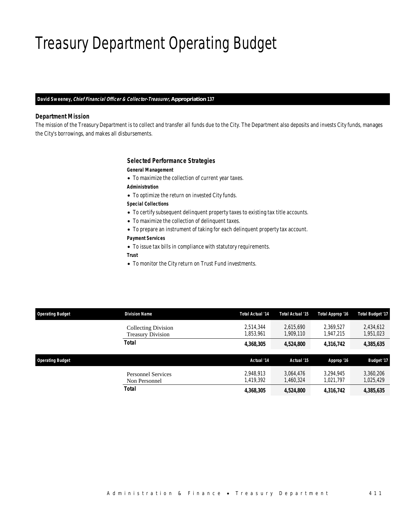### Treasury Department Operating Budget

*David Sweeney, Chief Financial Officer & Collector-Treasurer, Appropriation 137* 

#### *Department Mission*

The mission of the Treasury Department is to collect and transfer all funds due to the City. The Department also deposits and invests City funds, manages the City's borrowings, and makes all disbursements.

#### *Selected Performance Strategies*

#### *General Management*

• To maximize the collection of current year taxes.

*Administration* 

- To optimize the return on invested City funds.
- *Special Collections*
- To certify subsequent delinquent property taxes to existing tax title accounts.
- To maximize the collection of delinquent taxes.
- To prepare an instrument of taking for each delinquent property tax account.

### *Payment Services*

• To issue tax bills in compliance with statutory requirements.

*Trust* 

• To monitor the City return on Trust Fund investments.

| <b>Operating Budget</b> | <b>Division Name</b>                            | <b>Total Actual '14</b> | Total Actual '15       | Total Approp '16       | <b>Total Budget '17</b> |
|-------------------------|-------------------------------------------------|-------------------------|------------------------|------------------------|-------------------------|
|                         | Collecting Division<br><b>Treasury Division</b> | 2.514.344<br>1,853,961  | 2.615.690<br>1,909,110 | 2.369.527<br>1.947.215 | 2,434,612<br>1,951,023  |
|                         | <b>Total</b>                                    | 4,368,305               | 4,524,800              | 4,316,742              | 4,385,635               |
|                         |                                                 |                         |                        |                        |                         |
| <b>Operating Budget</b> |                                                 | Actual '14              | Actual '15             | Approp '16             | <b>Budget '17</b>       |
|                         | <b>Personnel Services</b><br>Non Personnel      | 2.948.913<br>1,419,392  | 3.064.476<br>1,460,324 | 3.294.945<br>1,021,797 | 3,360,206<br>1,025,429  |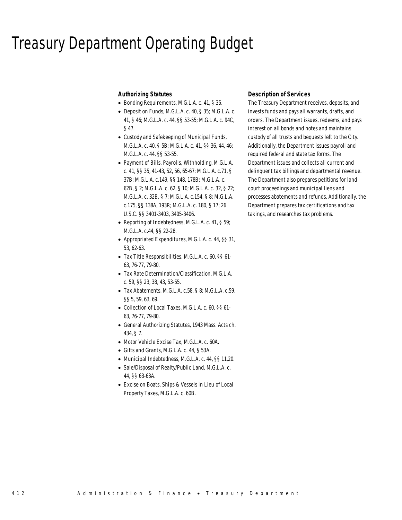### Treasury Department Operating Budget

### *Authorizing Statutes*

- Bonding Requirements, M.G.L.A. c. 41, § 35.
- Deposit on Funds, M.G.L.A. c. 40, § 35; M.G.L.A. c. 41, § 46; M.G.L.A. c. 44, §§ 53-55; M.G.L.A. c. 94C, § 47.
- Custody and Safekeeping of Municipal Funds, M.G.L.A. c. 40, § 5B; M.G.L.A. c. 41, §§ 36, 44, 46; M.G.L.A. c. 44, §§ 53-55.
- Payment of Bills, Payrolls, Withholding, M.G.L.A. c. 41, §§ 35, 41-43, 52, 56, 65-67; M.G.L.A. c.71, § 37B; M.G.L.A. c.149, §§ 148, 178B; M.G.L.A. c. 62B, § 2; M.G.L.A. c. 62, § 10; M.G.L.A. c. 32, § 22; M.G.L.A. c. 32B, § 7; M.G.L.A. c.154, § 8; M.G.L.A. c.175, §§ 138A, 193R; M.G.L.A. c. 180, § 17; 26 U.S.C. §§ 3401-3403, 3405-3406.
- Reporting of Indebtedness, M.G.L.A. c. 41, § 59; M.G.L.A. c.44, §§ 22-28.
- Appropriated Expenditures, M.G.L.A. c. 44, §§ 31, 53, 62-63.
- Tax Title Responsibilities, M.G.L.A. c. 60, §§ 61- 63, 76-77, 79-80.
- Tax Rate Determination/Classification, M.G.L.A. c. 59, §§ 23, 38, 43, 53-55.
- Tax Abatements, M.G.L.A. c.58, § 8; M.G.L.A. c.59, §§ 5, 59, 63, 69.
- Collection of Local Taxes, M.G.L.A. c. 60, §§ 61- 63, 76-77, 79-80.
- General Authorizing Statutes, 1943 Mass. Acts ch. 434, § 7.
- Motor Vehicle Excise Tax, M.G.L.A. c. 60A.
- Gifts and Grants, M.G.L.A. c. 44, § 53A.
- Municipal Indebtedness, M.G.L.A. c. 44, §§ 11,20.
- Sale/Disposal of Realty/Public Land, M.G.L.A. c. 44, §§ 63-63A.
- Excise on Boats, Ships & Vessels in Lieu of Local Property Taxes, M.G.L.A. c. 60B.

### *Description of Services*

The Treasury Department receives, deposits, and invests funds and pays all warrants, drafts, and orders. The Department issues, redeems, and pays interest on all bonds and notes and maintains custody of all trusts and bequests left to the City. Additionally, the Department issues payroll and required federal and state tax forms. The Department issues and collects all current and delinquent tax billings and departmental revenue. The Department also prepares petitions for land court proceedings and municipal liens and processes abatements and refunds. Additionally, the Department prepares tax certifications and tax takings, and researches tax problems.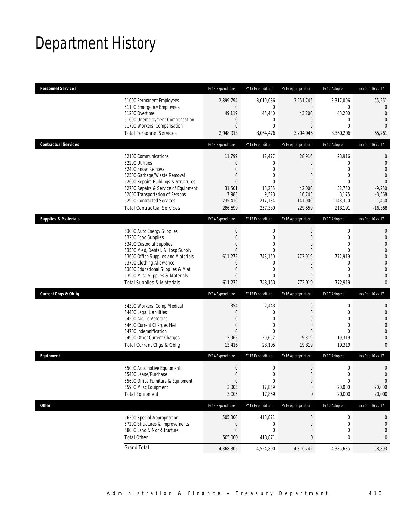### Department History

| <b>Personnel Services</b>       |                                                                                                                                                                                                                                                                                                      | FY14 Expenditure                                                                                                                        | FY15 Expenditure                                                                                 | FY16 Appropriation                                                                                            | FY17 Adopted                                                                                                                | Inc/Dec 16 vs 17                                                                                                                           |
|---------------------------------|------------------------------------------------------------------------------------------------------------------------------------------------------------------------------------------------------------------------------------------------------------------------------------------------------|-----------------------------------------------------------------------------------------------------------------------------------------|--------------------------------------------------------------------------------------------------|---------------------------------------------------------------------------------------------------------------|-----------------------------------------------------------------------------------------------------------------------------|--------------------------------------------------------------------------------------------------------------------------------------------|
|                                 | 51000 Permanent Employees<br>51100 Emergency Employees<br>51200 Overtime<br>51600 Unemployment Compensation<br>51700 Workers' Compensation                                                                                                                                                           | 2,899,794<br>$\mathbf 0$<br>49,119<br>$\mathbf 0$<br>$\overline{0}$                                                                     | 3,019,036<br>0<br>45,440<br>0<br>$\Omega$                                                        | 3,251,745<br>0<br>43,200<br>0<br>0                                                                            | 3,317,006<br>$\mathbf{0}$<br>43,200<br>$\mathbf{0}$<br>$\mathbf{0}$                                                         | 65,261<br>$\mathbf{0}$<br>$\mathbf{0}$<br>$\overline{0}$<br>$\Omega$                                                                       |
|                                 | <b>Total Personnel Services</b>                                                                                                                                                                                                                                                                      | 2,948,913                                                                                                                               | 3,064,476                                                                                        | 3,294,945                                                                                                     | 3,360,206                                                                                                                   | 65,261                                                                                                                                     |
| <b>Contractual Services</b>     |                                                                                                                                                                                                                                                                                                      | FY14 Expenditure                                                                                                                        | FY15 Expenditure                                                                                 | FY16 Appropriation                                                                                            | FY17 Adopted                                                                                                                | Inc/Dec 16 vs 17                                                                                                                           |
|                                 | 52100 Communications<br>52200 Utilities<br>52400 Snow Removal<br>52500 Garbage/Waste Removal<br>52600 Repairs Buildings & Structures<br>52700 Repairs & Service of Equipment<br>52800 Transportation of Persons<br>52900 Contracted Services<br><b>Total Contractual Services</b>                    | 11,799<br>$\mathbf 0$<br>$\overline{0}$<br>0<br>$\overline{0}$<br>31,501<br>7,983<br>235,416<br>286,699                                 | 12,477<br>0<br>0<br>0<br>$\Omega$<br>18,205<br>9,523<br>217,134<br>257,339                       | 28,916<br>$\mathbf{0}$<br>$\mathbf{0}$<br>0<br>0<br>42,000<br>16,743<br>141,900<br>229,559                    | 28,916<br>$\mathbf{0}$<br>$\mathbf{0}$<br>$\mathbf{0}$<br>$\theta$<br>32,750<br>8,175<br>143,350<br>213,191                 | 0<br>$\mathbf 0$<br>$\overline{0}$<br>$\overline{0}$<br>$\overline{0}$<br>$-9,250$<br>$-8,568$<br>1,450<br>$-16,368$                       |
| <b>Supplies &amp; Materials</b> |                                                                                                                                                                                                                                                                                                      | FY14 Expenditure                                                                                                                        | FY15 Expenditure                                                                                 | FY16 Appropriation                                                                                            | FY17 Adopted                                                                                                                | Inc/Dec 16 vs 17                                                                                                                           |
|                                 | 53000 Auto Energy Supplies<br>53200 Food Supplies<br>53400 Custodial Supplies<br>53500 Med, Dental, & Hosp Supply<br>53600 Office Supplies and Materials<br>53700 Clothing Allowance<br>53800 Educational Supplies & Mat<br>53900 Misc Supplies & Materials<br><b>Total Supplies &amp; Materials</b> | $\boldsymbol{0}$<br>$\boldsymbol{0}$<br>$\overline{0}$<br>$\mathbf{0}$<br>611,272<br>0<br>$\boldsymbol{0}$<br>$\overline{0}$<br>611,272 | 0<br>$\overline{0}$<br>0<br>$\overline{0}$<br>743.150<br>0<br>$\mathbf 0$<br>$\Omega$<br>743,150 | 0<br>$\mathbf{0}$<br>0<br>$\overline{0}$<br>772,919<br>$\mathbf 0$<br>$\mathbf{0}$<br>$\mathbf{0}$<br>772,919 | $\boldsymbol{0}$<br>$\mathbf{0}$<br>$\mathbf{0}$<br>$\mathbf{0}$<br>772,919<br>0<br>$\mathbf{0}$<br>$\mathbf{0}$<br>772,919 | 0<br>$\mathbf{0}$<br>$\overline{0}$<br>$\overline{0}$<br>$\mathbf 0$<br>$\overline{0}$<br>$\overline{0}$<br>$\overline{0}$<br>$\mathbf{0}$ |
| <b>Current Chgs &amp; Oblig</b> |                                                                                                                                                                                                                                                                                                      | FY14 Expenditure                                                                                                                        | FY15 Expenditure                                                                                 | FY16 Appropriation                                                                                            | FY17 Adopted                                                                                                                | Inc/Dec 16 vs 17                                                                                                                           |
|                                 | 54300 Workers' Comp Medical<br>54400 Legal Liabilities<br>54500 Aid To Veterans<br>54600 Current Charges H&I<br>54700 Indemnification<br>54900 Other Current Charges<br>Total Current Chgs & Oblig                                                                                                   | 354<br>$\mathbf 0$<br>$\overline{0}$<br>$\boldsymbol{0}$<br>$\mathbf{0}$<br>13,062<br>13,416                                            | 2,443<br>0<br>0<br>0<br>$\Omega$<br>20,662<br>23,105                                             | $\mathbf 0$<br>$\mathbf{0}$<br>0<br>$\overline{0}$<br>0<br>19,319<br>19,319                                   | $\boldsymbol{0}$<br>$\mathbf{0}$<br>$\mathbf{0}$<br>$\mathbf{0}$<br>$\Omega$<br>19,319<br>19,319                            | 0<br>$\mathbf 0$<br>$\overline{0}$<br>$\overline{0}$<br>$\overline{0}$<br>$\overline{0}$<br>$\overline{0}$                                 |
| Equipment                       |                                                                                                                                                                                                                                                                                                      | FY14 Expenditure                                                                                                                        | FY15 Expenditure                                                                                 | FY16 Appropriation                                                                                            | FY17 Adopted                                                                                                                | Inc/Dec 16 vs 17                                                                                                                           |
|                                 | 55000 Automotive Equipment<br>55400 Lease/Purchase<br>55600 Office Furniture & Equipment<br>55900 Misc Equipment<br><b>Total Equipment</b>                                                                                                                                                           | $\boldsymbol{0}$<br>$\boldsymbol{0}$<br>$\boldsymbol{0}$<br>3,005<br>3,005                                                              | 0<br>$\Omega$<br>$\boldsymbol{0}$<br>17,859<br>17,859                                            | $\mathbf 0$<br>$\mathbf{0}$<br>$\boldsymbol{0}$<br>$\mathbf 0$<br>0                                           | $\mathbf 0$<br>$\overline{0}$<br>$\boldsymbol{0}$<br>20,000<br>20,000                                                       | $\mathbf 0$<br>$\overline{0}$<br>$\mathbf 0$<br>20,000<br>20,000                                                                           |
| <b>Other</b>                    |                                                                                                                                                                                                                                                                                                      | FY14 Expenditure                                                                                                                        | FY15 Expenditure                                                                                 | FY16 Appropriation                                                                                            | FY17 Adopted                                                                                                                | Inc/Dec 16 vs 17                                                                                                                           |
|                                 | 56200 Special Appropriation<br>57200 Structures & Improvements<br>58000 Land & Non-Structure<br><b>Total Other</b>                                                                                                                                                                                   | 505,000<br>$\boldsymbol{0}$<br>$\boldsymbol{0}$<br>505,000                                                                              | 418,871<br>0<br>$\overline{0}$<br>418,871                                                        | $\bf{0}$<br>$\mathbf 0$<br>0<br>0                                                                             | $\boldsymbol{0}$<br>0<br>$\mathbf 0$<br>0                                                                                   | 0<br>0<br>0<br>0                                                                                                                           |
|                                 | <b>Grand Total</b>                                                                                                                                                                                                                                                                                   | 4,368,305                                                                                                                               | 4,524,800                                                                                        | 4,316,742                                                                                                     | 4,385,635                                                                                                                   | 68,893                                                                                                                                     |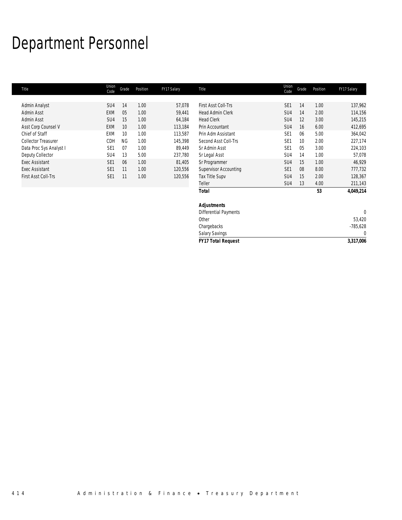### Department Personnel

| Title                      | Union<br>Code   | Grade     | Position | FY17 Salary | Title                        | Union<br>Code   | Grade | Position | FY17 Salary |
|----------------------------|-----------------|-----------|----------|-------------|------------------------------|-----------------|-------|----------|-------------|
|                            |                 |           |          |             |                              |                 |       |          |             |
| Admin Analyst              | SU <sub>4</sub> | 14        | 1.00     | 57,078      | <b>First Asst Coll-Trs</b>   | SE <sub>1</sub> | 14    | 1.00     | 137,962     |
| Admin Asst                 | <b>EXM</b>      | 05        | 1.00     | 59,441      | Head Admin Clerk             | SU <sub>4</sub> | 14    | 2.00     | 114,156     |
| Admin Asst                 | SU <sub>4</sub> | 15        | 1.00     | 64,184      | <b>Head Clerk</b>            | SU <sub>4</sub> | 12    | 3.00     | 145,215     |
| Asst Corp Counsel V        | EXM             | 10        | 1.00     | 113,184     | Prin Accountant              | SU <sub>4</sub> | 16    | 6.00     | 412,695     |
| Chief of Staff             | EXM             | 10        | 1.00     | 113,587     | Prin Adm Assistant           | SE <sub>1</sub> | 06    | 5.00     | 364,042     |
| <b>Collector Treasurer</b> | CDH             | <b>NG</b> | 1.00     | 145,398     | Second Asst Coll-Trs         | SE <sub>1</sub> | 10    | 2.00     | 227,174     |
| Data Proc Sys Analyst I    | SE <sub>1</sub> | 07        | 1.00     | 89,449      | Sr Admin Asst                | SE <sub>1</sub> | 05    | 3.00     | 224,103     |
| Deputy Collector           | SU4             | 13        | 5.00     | 237,780     | Sr Legal Asst                | SU <sub>4</sub> | 14    | 1.00     | 57,078      |
| <b>Exec Assistant</b>      | SE <sub>1</sub> | 06        | 1.00     | 81,405      | Sr Programmer                | SU <sub>4</sub> | 15    | 1.00     | 46,929      |
| <b>Exec Assistant</b>      | SE <sub>1</sub> | 11        | 1.00     | 120,556     | <b>Supervisor Accounting</b> | SE <sub>1</sub> | 08    | 8.00     | 777,732     |
| <b>First Asst Coll-Trs</b> | SE <sub>1</sub> | 11        | 1.00     | 120,556     | <b>Tax Title Supv</b>        | SU <sub>4</sub> | 15    | 2.00     | 128,367     |
|                            |                 |           |          |             | Teller                       | SU <sub>4</sub> | 13    | 4.00     | 211,143     |
|                            |                 |           |          |             | Total                        |                 |       | 53       | 4,049,214   |
|                            |                 |           |          |             |                              |                 |       |          |             |
|                            |                 |           |          |             | <b>Adjustments</b>           |                 |       |          |             |

| <b>FY17 Total Request</b> | 3,317,006 |
|---------------------------|-----------|
| <b>Salary Savings</b>     |           |
| Chargebacks               | -785.628  |
| Other                     | 53.420    |
| Differential Payments     | $\Omega$  |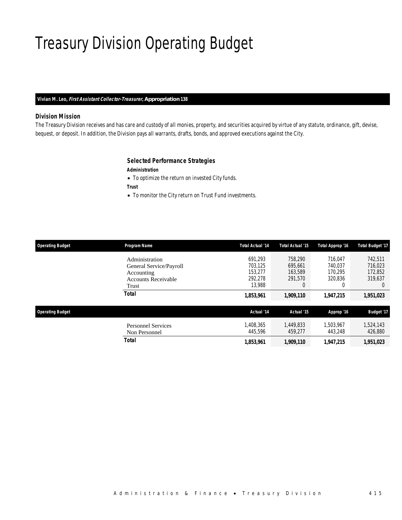# Treasury Division Operating Budget

### *Vivian M. Leo, First Assistant Collector-Treasurer, Appropriation 138*

### *Division Mission*

The Treasury Division receives and has care and custody of all monies, property, and securities acquired by virtue of any statute, ordinance, gift, devise, bequest, or deposit. In addition, the Division pays all warrants, drafts, bonds, and approved executions against the City.

#### *Selected Performance Strategies*

*Administration* 

• To optimize the return on invested City funds.

*Trust* 

• To monitor the City return on Trust Fund investments.

| <b>Operating Budget</b> | Program Name                                                                                   | <b>Total Actual '14</b>                            | <b>Total Actual '15</b>                                    | Total Approp '16                         | <b>Total Budget '17</b>                  |
|-------------------------|------------------------------------------------------------------------------------------------|----------------------------------------------------|------------------------------------------------------------|------------------------------------------|------------------------------------------|
|                         | Administration<br>General Service/Payroll<br>Accounting<br><b>Accounts Receivable</b><br>Trust | 691.293<br>703.125<br>153.277<br>292,278<br>13.988 | 758.290<br>695.661<br>163.589<br>291,570<br>$\overline{0}$ | 716.047<br>740.037<br>170.295<br>320,836 | 742,511<br>716,023<br>172.852<br>319,637 |
|                         | <b>Total</b>                                                                                   | 1,853,961                                          | 1,909,110                                                  | 1.947.215                                | 1,951,023                                |
| <b>Operating Budget</b> |                                                                                                | Actual '14                                         | Actual '15                                                 | Approp '16                               | <b>Budget '17</b>                        |
|                         | <b>Personnel Services</b><br>Non Personnel                                                     | 1.408.365<br>445.596                               | 1,449,833<br>459.277                                       | 1.503.967<br>443.248                     | 1,524,143<br>426,880                     |
|                         | Total                                                                                          | 1,853,961                                          | 1,909,110                                                  | 1,947,215                                | 1,951,023                                |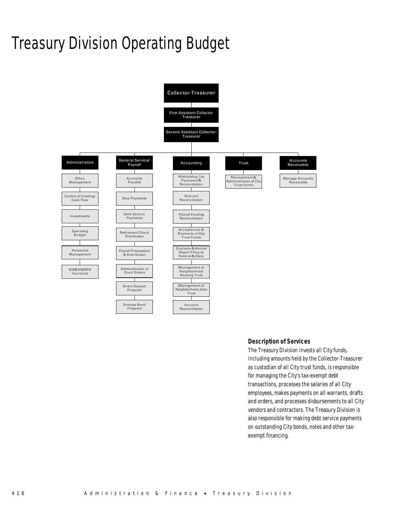# Treasury Division Operating Budget



#### *Description of Services*

The Treasury Division invests all City funds, including amounts held by the Collector-Treasurer as custodian of all City trust funds, is responsible for managing the City's tax-exempt debt transactions, processes the salaries of all City employees, makes payments on all warrants, drafts and orders, and processes disbursements to all City vendors and contractors. The Treasury Division is also responsible for making debt service payments on outstanding City bonds, notes and other taxexempt financing.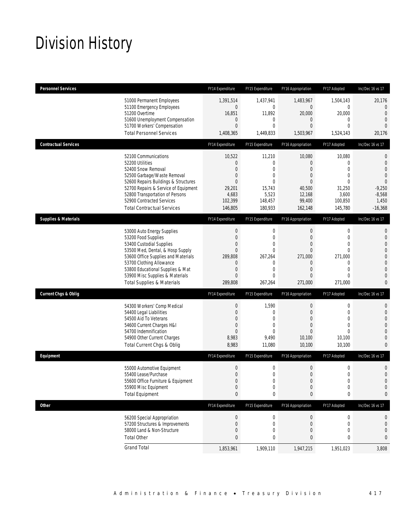## Division History

| <b>Personnel Services</b>       |                                                                                                                                                                                                                                                                                                      | FY14 Expenditure                                                                                                                        | FY15 Expenditure                                                                                                 | FY16 Appropriation                                                                                           | FY17 Adopted                                                                                                | Inc/Dec 16 vs 17                                                                                                                                   |
|---------------------------------|------------------------------------------------------------------------------------------------------------------------------------------------------------------------------------------------------------------------------------------------------------------------------------------------------|-----------------------------------------------------------------------------------------------------------------------------------------|------------------------------------------------------------------------------------------------------------------|--------------------------------------------------------------------------------------------------------------|-------------------------------------------------------------------------------------------------------------|----------------------------------------------------------------------------------------------------------------------------------------------------|
|                                 | 51000 Permanent Employees<br>51100 Emergency Employees<br>51200 Overtime<br>51600 Unemployment Compensation<br>51700 Workers' Compensation<br><b>Total Personnel Services</b>                                                                                                                        | 1,391,514<br>$\overline{0}$<br>16,851<br>0<br>$\overline{0}$<br>1,408,365                                                               | 1,437,941<br>0<br>11,892<br>0<br>0<br>1,449,833                                                                  | 1,483,967<br>$\overline{0}$<br>20,000<br>$\mathbf{0}$<br>0<br>1,503,967                                      | 1,504,143<br>0<br>20,000<br>$\mathbf{0}$<br>$\mathbf{0}$<br>1,524,143                                       | 20,176<br>$\overline{0}$<br>$\overline{0}$<br>$\overline{0}$<br>$\overline{0}$<br>20,176                                                           |
| <b>Contractual Services</b>     |                                                                                                                                                                                                                                                                                                      | FY14 Expenditure                                                                                                                        | FY15 Expenditure                                                                                                 | FY16 Appropriation                                                                                           | FY17 Adopted                                                                                                | Inc/Dec 16 vs 17                                                                                                                                   |
|                                 | 52100 Communications<br>52200 Utilities<br>52400 Snow Removal<br>52500 Garbage/Waste Removal<br>52600 Repairs Buildings & Structures<br>52700 Repairs & Service of Equipment<br>52800 Transportation of Persons<br>52900 Contracted Services<br><b>Total Contractual Services</b>                    | 10,522<br>0<br>$\overline{0}$<br>0<br>$\Omega$<br>29,201<br>4,683<br>102,399<br>146,805                                                 | 11,210<br>0<br>$\overline{0}$<br>$\overline{0}$<br>$\Omega$<br>15,743<br>5,523<br>148,457<br>180,933             | 10,080<br>$\mathbf{0}$<br>0<br>0<br>0<br>40,500<br>12,168<br>99,400<br>162,148                               | 10,080<br>$\mathbf{0}$<br>$\mathbf{0}$<br>$\mathbf{0}$<br>$\theta$<br>31,250<br>3,600<br>100,850<br>145,780 | 0<br>$\mathbf 0$<br>$\overline{0}$<br>$\overline{0}$<br>$\overline{0}$<br>$-9,250$<br>$-8,568$<br>1,450<br>$-16,368$                               |
| <b>Supplies &amp; Materials</b> |                                                                                                                                                                                                                                                                                                      | FY14 Expenditure                                                                                                                        | FY15 Expenditure                                                                                                 | FY16 Appropriation                                                                                           | FY17 Adopted                                                                                                | Inc/Dec 16 vs 17                                                                                                                                   |
|                                 | 53000 Auto Energy Supplies<br>53200 Food Supplies<br>53400 Custodial Supplies<br>53500 Med, Dental, & Hosp Supply<br>53600 Office Supplies and Materials<br>53700 Clothing Allowance<br>53800 Educational Supplies & Mat<br>53900 Misc Supplies & Materials<br><b>Total Supplies &amp; Materials</b> | $\boldsymbol{0}$<br>$\boldsymbol{0}$<br>$\overline{0}$<br>$\mathbf{0}$<br>289,808<br>0<br>$\boldsymbol{0}$<br>$\overline{0}$<br>289,808 | $\mathbf 0$<br>$\mathbf 0$<br>$\mathbf{0}$<br>$\mathbf 0$<br>267,264<br>0<br>$\mathbf{0}$<br>$\Omega$<br>267,264 | $\mathbf 0$<br>$\mathbf{0}$<br>0<br>$\mathbf{0}$<br>271,000<br>$\mathbf 0$<br>$\overline{0}$<br>0<br>271,000 | 0<br>$\mathbf{0}$<br>$\mathbf{0}$<br>$\mathbf 0$<br>271,000<br>0<br>$\mathbf{0}$<br>$\mathbf{0}$<br>271,000 | $\mathbf{0}$<br>$\mathbf 0$<br>$\overline{0}$<br>$\overline{0}$<br>$\mathbf 0$<br>$\overline{0}$<br>$\mathbf{0}$<br>$\overline{0}$<br>$\mathbf{0}$ |
| <b>Current Chgs &amp; Oblig</b> |                                                                                                                                                                                                                                                                                                      | FY14 Expenditure                                                                                                                        | FY15 Expenditure                                                                                                 | FY16 Appropriation                                                                                           | FY17 Adopted                                                                                                | Inc/Dec 16 vs 17                                                                                                                                   |
|                                 | 54300 Workers' Comp Medical<br>54400 Legal Liabilities<br>54500 Aid To Veterans<br>54600 Current Charges H&I<br>54700 Indemnification<br>54900 Other Current Charges<br>Total Current Chgs & Oblig                                                                                                   | $\boldsymbol{0}$<br>0<br>$\overline{0}$<br>$\mathbf 0$<br>$\overline{0}$<br>8,983<br>8,983                                              | 1,590<br>$\boldsymbol{0}$<br>$\mathbf{0}$<br>0<br>$\Omega$<br>9,490<br>11,080                                    | $\mathbf 0$<br>$\mathbf{0}$<br>0<br>0<br>0<br>10,100<br>10,100                                               | 0<br>$\mathbf 0$<br>$\mathbf{0}$<br>$\mathbf{0}$<br>$\theta$<br>10,100<br>10,100                            | $\mathbf 0$<br>$\mathbf 0$<br>$\overline{0}$<br>$\overline{0}$<br>$\overline{0}$<br>$\overline{0}$<br>$\overline{0}$                               |
| Equipment                       |                                                                                                                                                                                                                                                                                                      | FY14 Expenditure                                                                                                                        | FY15 Expenditure                                                                                                 | FY16 Appropriation                                                                                           | FY17 Adopted                                                                                                | Inc/Dec 16 vs 17                                                                                                                                   |
|                                 | 55000 Automotive Equipment<br>55400 Lease/Purchase<br>55600 Office Furniture & Equipment<br>55900 Misc Equipment<br><b>Total Equipment</b>                                                                                                                                                           | $\boldsymbol{0}$<br>$\Omega$<br>$\boldsymbol{0}$<br>0<br>0                                                                              | 0<br>$\mathbf 0$<br>0<br>0<br>0                                                                                  | $\boldsymbol{0}$<br>$\mathbf{0}$<br>$\boldsymbol{0}$<br>$\boldsymbol{0}$<br>0                                | $\boldsymbol{0}$<br>$\mathbf 0$<br>$\boldsymbol{0}$<br>$\boldsymbol{0}$<br>0                                | $\mathbf 0$<br>$\overline{0}$<br>$\mathbf 0$<br>$\mathbf 0$<br>0                                                                                   |
| <b>Other</b>                    |                                                                                                                                                                                                                                                                                                      | FY14 Expenditure                                                                                                                        | FY15 Expenditure                                                                                                 | FY16 Appropriation                                                                                           | FY17 Adopted                                                                                                | Inc/Dec 16 vs 17                                                                                                                                   |
|                                 | 56200 Special Appropriation<br>57200 Structures & Improvements<br>58000 Land & Non-Structure<br><b>Total Other</b>                                                                                                                                                                                   | 0<br>0<br>0<br>0                                                                                                                        | 0<br>0<br>0<br>0                                                                                                 | $\bf{0}$<br>$\mathbf 0$<br>$\boldsymbol{0}$<br>0                                                             | 0<br>0<br>$\mathbf{0}$<br>0                                                                                 | 0<br>$\mathbf 0$<br>$\mathbf 0$<br>0                                                                                                               |
|                                 | <b>Grand Total</b>                                                                                                                                                                                                                                                                                   | 1,853,961                                                                                                                               | 1,909,110                                                                                                        | 1,947,215                                                                                                    | 1,951,023                                                                                                   | 3,808                                                                                                                                              |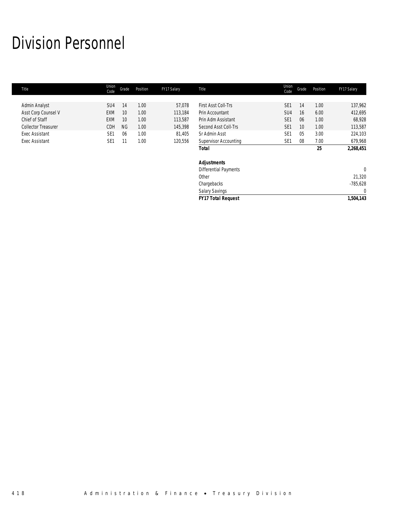### Division Personnel

| Title                      | Union<br>Code   | Grade     | Position | FY17 Salary | Title                        | Union<br>Code   | Grade           | Position | FY17 Salary |
|----------------------------|-----------------|-----------|----------|-------------|------------------------------|-----------------|-----------------|----------|-------------|
|                            |                 |           |          |             |                              |                 |                 |          |             |
| Admin Analyst              | SU <sub>4</sub> | 14        | 1.00     | 57,078      | <b>First Asst Coll-Trs</b>   | SE <sub>1</sub> | 14              | 1.00     | 137,962     |
| Asst Corp Counsel V        | <b>EXM</b>      | 10        | 1.00     | 113,184     | Prin Accountant              | SU4             | 16              | 6.00     | 412,695     |
| Chief of Staff             | <b>EXM</b>      | 10        | 1.00     | 113,587     | Prin Adm Assistant           | SE <sub>1</sub> | 06              | 1.00     | 68,928      |
| <b>Collector Treasurer</b> | <b>CDH</b>      | <b>NG</b> | 1.00     | 145,398     | Second Asst Coll-Trs         | SE <sub>1</sub> | 10 <sup>°</sup> | 1.00     | 113,587     |
| <b>Exec Assistant</b>      | SE <sub>1</sub> | 06        | 1.00     | 81,405      | Sr Admin Asst                | SE <sub>1</sub> | 05              | 3.00     | 224,103     |
| <b>Exec Assistant</b>      | SE <sub>1</sub> | 11        | 1.00     | 120,556     | <b>Supervisor Accounting</b> | SE <sub>1</sub> | 08              | 7.00     | 679,968     |
|                            |                 |           |          |             | <b>Total</b>                 |                 |                 | 25       | 2,268,451   |
|                            |                 |           |          |             | <b>Adjustments</b>           |                 |                 |          |             |
|                            |                 |           |          |             | <b>Differential Payments</b> |                 |                 |          | $\theta$    |
|                            |                 |           |          |             | Other                        |                 |                 |          | 21,320      |
|                            |                 |           |          |             | Chargebacks                  |                 |                 |          | $-785,628$  |
|                            |                 |           |          |             | <b>Salary Savings</b>        |                 |                 |          | 0           |
|                            |                 |           |          |             | <b>FY17 Total Request</b>    |                 |                 |          | 1,504,143   |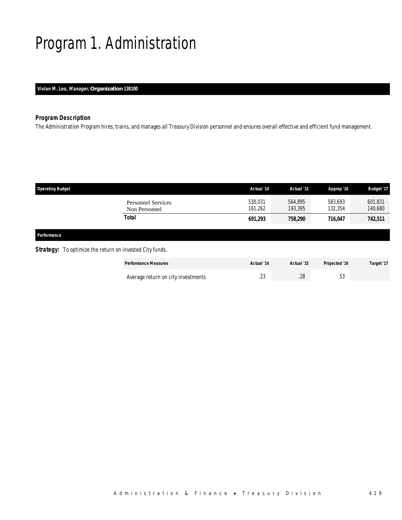## Program 1. Administration

### *Vivian M. Leo, Manager, Organization 138100*

### *Program Description*

The Administration Program hires, trains, and manages all Treasury Division personnel and ensures overall effective and efficient fund management.

| <b>Operating Budget</b> |                                                                 | Actual '14         | Actual '15         | Approp '16         | <b>Budget '17</b>  |
|-------------------------|-----------------------------------------------------------------|--------------------|--------------------|--------------------|--------------------|
|                         | <b>Personnel Services</b><br>Non Personnel                      | 530.031<br>161,262 | 564.895<br>193,395 | 583,693<br>132,354 | 601,831<br>140,680 |
|                         | Total                                                           | 691,293            | 758,290            | 716,047            | 742,511            |
| Performance             |                                                                 |                    |                    |                    |                    |
|                         | <b>Strategy:</b> To optimize the return on invested City funds. |                    |                    |                    |                    |

| <b>Performance Measures</b>        | Actual '14     | Actual '15 | <b>Projected '16</b> | Target '17 |
|------------------------------------|----------------|------------|----------------------|------------|
| Average return on city investments | $\sim$<br>ں ے، | ററ<br>.Zõ  | につ<br>ن ن .          |            |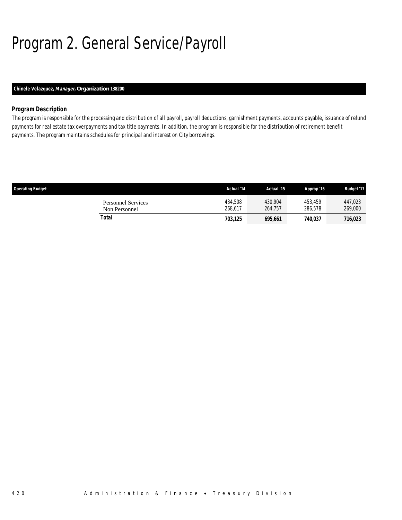# Program 2. General Service/Payroll

### *Chinele Velazquez, Manager, Organization 138200*

### *Program Description*

The program is responsible for the processing and distribution of all payroll, payroll deductions, garnishment payments, accounts payable, issuance of refund payments for real estate tax overpayments and tax title payments. In addition, the program is responsible for the distribution of retirement benefit payments. The program maintains schedules for principal and interest on City borrowings.

| <b>Operating Budget</b>                    | Actual '14         | Actual '15         | Approp '16         | <b>Budget '17</b>  |
|--------------------------------------------|--------------------|--------------------|--------------------|--------------------|
| <b>Personnel Services</b><br>Non Personnel | 434,508<br>268.617 | 430.904<br>264.757 | 453.459<br>286.578 | 447.023<br>269,000 |
| Total                                      | 703,125            | 695.661            | 740.037            | 716,023            |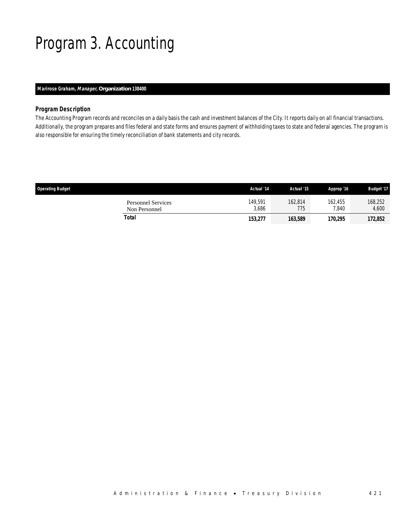## Program 3. Accounting

### *Marirose Graham, Manager, Organization 138400*

### *Program Description*

The Accounting Program records and reconciles on a daily basis the cash and investment balances of the City. It reports daily on all financial transactions. Additionally, the program prepares and files federal and state forms and ensures payment of withholding taxes to state and federal agencies. The program is also responsible for ensuring the timely reconciliation of bank statements and city records.

| <b>Operating Budget</b>                    | Actual '14       | Actual '15     | Approp '16       | <b>Budget '17</b> |
|--------------------------------------------|------------------|----------------|------------------|-------------------|
| <b>Personnel Services</b><br>Non Personnel | 149,591<br>3.686 | 162,814<br>775 | 162,455<br>7.840 | 168,252<br>4,600  |
| Total                                      | 153,277          | 163,589        | 170.295          | 172,852           |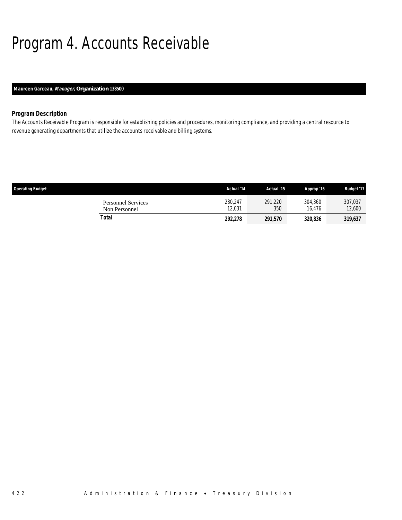## Program 4. Accounts Receivable

### *Maureen Garceau, Manager, Organization 138500*

### *Program Description*

The Accounts Receivable Program is responsible for establishing policies and procedures, monitoring compliance, and providing a central resource to revenue generating departments that utilize the accounts receivable and billing systems.

| <b>Operating Budget</b> |                                            | Actual '14        | Actual '15     | Approp '16        | <b>Budget '17</b> |
|-------------------------|--------------------------------------------|-------------------|----------------|-------------------|-------------------|
|                         | <b>Personnel Services</b><br>Non Personnel | 280,247<br>12.031 | 291.220<br>350 | 304,360<br>16.476 | 307,037<br>12,600 |
|                         | Total                                      | 292,278           | 291,570        | 320,836           | 319,637           |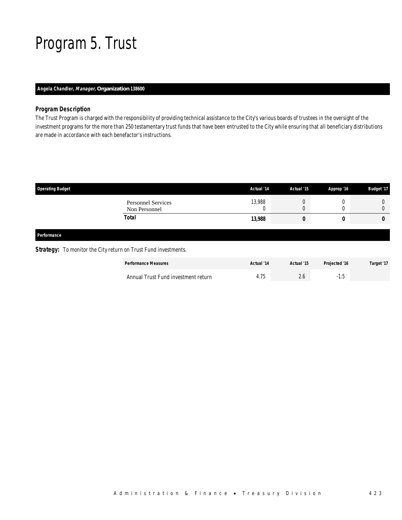### Program 5. Trust

### *Angela Chandler, Manager, Organization 138600*

### *Program Description*

The Trust Program is charged with the responsibility of providing technical assistance to the City's various boards of trustees in the oversight of the investment programs for the more than 250 testamentary trust funds that have been entrusted to the City while ensuring that all beneficiary distributions are made in accordance with each benefactor's instructions.

| <b>Operating Budget</b>             | Actual '14 | Actual '15 | Approp '16 | <b>Budget '17</b> |
|-------------------------------------|------------|------------|------------|-------------------|
| Personnel Services<br>Non Personnel | 13,988     |            |            |                   |
| <b>Total</b>                        | 13,988     |            |            | O                 |
| Performance                         |            |            |            |                   |

#### **Strategy:** To monitor the City return on Trust Fund investments.

| <b>Performance Measures</b>         | Actual '14 | Actual '15 | Projected '16 | Target '17 |
|-------------------------------------|------------|------------|---------------|------------|
| Annual Trust Fund investment return |            |            |               |            |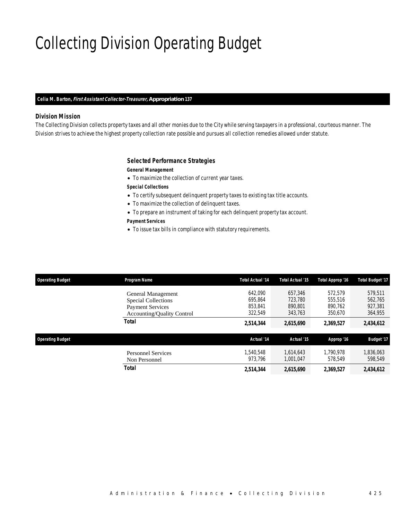# Collecting Division Operating Budget

#### *Celia M. Barton, First Assistant Collector-Treasurer, Appropriation 137*

#### *Division Mission*

The Collecting Division collects property taxes and all other monies due to the City while serving taxpayers in a professional, courteous manner. The Division strives to achieve the highest property collection rate possible and pursues all collection remedies allowed under statute.

#### *Selected Performance Strategies*

#### *General Management*

• To maximize the collection of current year taxes.

*Special Collections* 

- To certify subsequent delinquent property taxes to existing tax title accounts.
- To maximize the collection of delinquent taxes.
- To prepare an instrument of taking for each delinquent property tax account.

#### *Payment Services*

• To issue tax bills in compliance with statutory requirements.

| <b>Operating Budget</b> | <b>Program Name</b>                                                                                       | <b>Total Actual '14</b>                  | Total Actual '15                         | Total Approp '16                         | <b>Total Budget '17</b>                  |
|-------------------------|-----------------------------------------------------------------------------------------------------------|------------------------------------------|------------------------------------------|------------------------------------------|------------------------------------------|
|                         | General Management<br>Special Collections<br><b>Payment Services</b><br><b>Accounting/Quality Control</b> | 642.090<br>695.864<br>853,841<br>322,549 | 657.346<br>723,780<br>890.801<br>343.763 | 572.579<br>555,516<br>890.762<br>350.670 | 579.511<br>562,765<br>927,381<br>364,955 |
|                         | <b>Total</b>                                                                                              | 2,514,344                                | 2,615,690                                | 2,369,527                                | 2,434,612                                |
| <b>Operating Budget</b> |                                                                                                           | Actual '14                               | Actual '15                               | Approp '16                               | Budget '17                               |
|                         | <b>Personnel Services</b><br>Non Personnel                                                                | 1.540.548<br>973.796                     | 1.614.643<br>1.001.047                   | 1.790.978<br>578.549                     | 836,063<br>598,549                       |
|                         | Total                                                                                                     | 2,514,344                                | 2,615,690                                | 2,369,527                                | 2,434,612                                |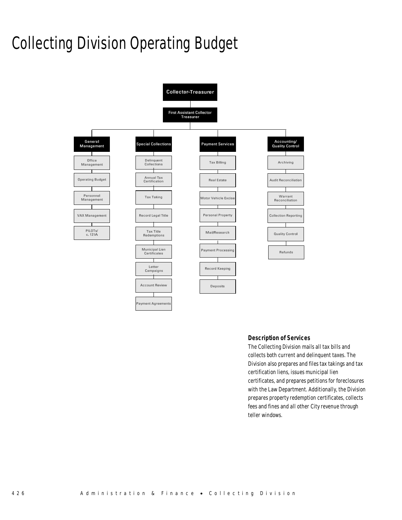# Collecting Division Operating Budget



#### *Description of Services*

The Collecting Division mails all tax bills and collects both current and delinquent taxes. The Division also prepares and files tax takings and tax certification liens, issues municipal lien certificates, and prepares petitions for foreclosures with the Law Department. Additionally, the Division prepares property redemption certificates, collects fees and fines and all other City revenue through teller windows.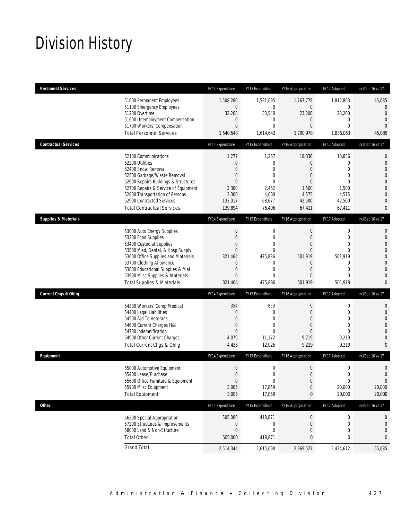### Division History

| <b>Personnel Services</b>       |                                                                                                                                                                                                                                                                                                      | FY14 Expenditure                                                                                                                     | FY15 Expenditure                                                                            | FY16 Appropriation                                                                                       | FY17 Adopted                                                                                                 | Inc/Dec 16 vs 17                                                                                                                           |
|---------------------------------|------------------------------------------------------------------------------------------------------------------------------------------------------------------------------------------------------------------------------------------------------------------------------------------------------|--------------------------------------------------------------------------------------------------------------------------------------|---------------------------------------------------------------------------------------------|----------------------------------------------------------------------------------------------------------|--------------------------------------------------------------------------------------------------------------|--------------------------------------------------------------------------------------------------------------------------------------------|
|                                 | 51000 Permanent Employees<br>51100 Emergency Employees<br>51200 Overtime<br>51600 Unemployment Compensation<br>51700 Workers' Compensation<br><b>Total Personnel Services</b>                                                                                                                        | 1,508,280<br>$\overline{0}$<br>32,268<br>$\mathbf 0$<br>$\overline{0}$<br>1,540,548                                                  | 1,581,095<br>0<br>33,548<br>0<br>0<br>1,614,643                                             | 1,767,778<br>0<br>23,200<br>0<br>0<br>1,790,978                                                          | 1,812,863<br>$\mathbf{0}$<br>23,200<br>0<br>$\mathbf{0}$<br>1,836,063                                        | 45,085<br>$\mathbf{0}$<br>$\mathbf{0}$<br>$\mathbf{0}$<br>$\overline{0}$<br>45,085                                                         |
| <b>Contractual Services</b>     |                                                                                                                                                                                                                                                                                                      | FY14 Expenditure                                                                                                                     | FY15 Expenditure                                                                            | FY16 Appropriation                                                                                       | FY17 Adopted                                                                                                 | Inc/Dec 16 vs 17                                                                                                                           |
|                                 | 52100 Communications<br>52200 Utilities<br>52400 Snow Removal<br>52500 Garbage/Waste Removal<br>52600 Repairs Buildings & Structures<br>52700 Repairs & Service of Equipment<br>52800 Transportation of Persons<br>52900 Contracted Services<br><b>Total Contractual Services</b>                    | 1,277<br>$\mathbf 0$<br>$\overline{0}$<br>$\overline{0}$<br>$\mathbf{0}$<br>2,300<br>3,300<br>133,017<br>139,894                     | 1,267<br>$\boldsymbol{0}$<br>0<br>0<br>$\overline{0}$<br>2,462<br>4,000<br>68,677<br>76,406 | 18,836<br>$\mathbf{0}$<br>0<br>$\overline{0}$<br>$\overline{0}$<br>1,500<br>4,575<br>42,500<br>67,411    | 18,836<br>$\mathbf{0}$<br>$\mathbf{0}$<br>$\mathbf{0}$<br>$\mathbf{0}$<br>1,500<br>4,575<br>42,500<br>67,411 | 0<br>$\mathbf{0}$<br>$\overline{0}$<br>$\overline{0}$<br>$\mathbf 0$<br>$\overline{0}$<br>$\mathbf{0}$<br>$\overline{0}$<br>0              |
| <b>Supplies &amp; Materials</b> |                                                                                                                                                                                                                                                                                                      | FY14 Expenditure                                                                                                                     | FY15 Expenditure                                                                            | FY16 Appropriation                                                                                       | FY17 Adopted                                                                                                 | Inc/Dec 16 vs 17                                                                                                                           |
|                                 | 53000 Auto Energy Supplies<br>53200 Food Supplies<br>53400 Custodial Supplies<br>53500 Med, Dental, & Hosp Supply<br>53600 Office Supplies and Materials<br>53700 Clothing Allowance<br>53800 Educational Supplies & Mat<br>53900 Misc Supplies & Materials<br><b>Total Supplies &amp; Materials</b> | $\boldsymbol{0}$<br>$\boldsymbol{0}$<br>0<br>$\mathbf{0}$<br>321,464<br>$\mathbf 0$<br>$\boldsymbol{0}$<br>$\overline{0}$<br>321,464 | 0<br>$\mathbf 0$<br>0<br>$\overline{0}$<br>475,886<br>0<br>$\mathbf 0$<br>0<br>475,886      | $\mathbf 0$<br>$\boldsymbol{0}$<br>0<br>$\mathbf{0}$<br>501,919<br>0<br>$\boldsymbol{0}$<br>0<br>501,919 | 0<br>$\mathbf 0$<br>$\mathbf{0}$<br>$\mathbf{0}$<br>501,919<br>0<br>$\mathbf 0$<br>$\mathbf{0}$<br>501,919   | 0<br>$\mathbf{0}$<br>$\overline{0}$<br>$\overline{0}$<br>$\mathbf 0$<br>$\overline{0}$<br>$\overline{0}$<br>$\overline{0}$<br>$\mathbf{0}$ |
| <b>Current Chgs &amp; Oblig</b> |                                                                                                                                                                                                                                                                                                      | FY14 Expenditure                                                                                                                     | FY15 Expenditure                                                                            | FY16 Appropriation                                                                                       | FY17 Adopted                                                                                                 | Inc/Dec 16 vs 17                                                                                                                           |
|                                 | 54300 Workers' Comp Medical<br>54400 Legal Liabilities<br>54500 Aid To Veterans<br>54600 Current Charges H&I<br>54700 Indemnification<br>54900 Other Current Charges<br>Total Current Chgs & Oblig                                                                                                   | 354<br>$\mathbf 0$<br>$\boldsymbol{0}$<br>$\mathbf 0$<br>$\mathbf{0}$<br>4,079<br>4,433                                              | 853<br>$\mathbf 0$<br>$\overline{0}$<br>0<br>$\Omega$<br>11,172<br>12,025                   | $\boldsymbol{0}$<br>0<br>$\overline{0}$<br>$\mathbf{0}$<br>0<br>9,219<br>9,219                           | $\mathbf 0$<br>$\mathbf{0}$<br>$\mathbf{0}$<br>$\mathbf{0}$<br>$\mathbf{0}$<br>9,219<br>9,219                | 0<br>$\mathbf 0$<br>$\overline{0}$<br>$\overline{0}$<br>$\overline{0}$<br>$\overline{0}$<br>$\mathbf{0}$                                   |
| Equipment                       |                                                                                                                                                                                                                                                                                                      | FY14 Expenditure                                                                                                                     | FY15 Expenditure                                                                            | FY16 Appropriation                                                                                       | FY17 Adopted                                                                                                 | Inc/Dec 16 vs 17                                                                                                                           |
|                                 | 55000 Automotive Equipment<br>55400 Lease/Purchase<br>55600 Office Furniture & Equipment<br>55900 Misc Equipment<br><b>Total Equipment</b>                                                                                                                                                           | $\boldsymbol{0}$<br>$\Omega$<br>$\boldsymbol{0}$<br>3,005<br>3,005                                                                   | 0<br>$\Omega$<br>0<br>17,859<br>17,859                                                      | $\boldsymbol{0}$<br>$\mathbf 0$<br>0<br>$\mathbf{0}$<br>0                                                | $\mathbf 0$<br>$\mathbf 0$<br>$\boldsymbol{0}$<br>20,000<br>20,000                                           | $\mathbf 0$<br>$\mathbf 0$<br>$\boldsymbol{0}$<br>20,000<br>20,000                                                                         |
| <b>Other</b>                    |                                                                                                                                                                                                                                                                                                      | FY14 Expenditure                                                                                                                     | FY15 Expenditure                                                                            | FY16 Appropriation                                                                                       | FY17 Adopted                                                                                                 | Inc/Dec 16 vs 17                                                                                                                           |
|                                 | 56200 Special Appropriation<br>57200 Structures & Improvements<br>58000 Land & Non-Structure<br><b>Total Other</b>                                                                                                                                                                                   | 505,000<br>$\boldsymbol{0}$<br>$\boldsymbol{0}$<br>505,000                                                                           | 418,871<br>0<br>$\overline{0}$<br>418,871                                                   | $\mathbf 0$<br>$\mathbf 0$<br>$\mathbf 0$<br>0                                                           | $\boldsymbol{0}$<br>$\boldsymbol{0}$<br>0<br>0                                                               | 0<br>$\mathbf 0$<br>$\mathbf 0$<br>0                                                                                                       |
|                                 | <b>Grand Total</b>                                                                                                                                                                                                                                                                                   | 2,514,344                                                                                                                            | 2,615,690                                                                                   | 2,369,527                                                                                                | 2,434,612                                                                                                    | 65,085                                                                                                                                     |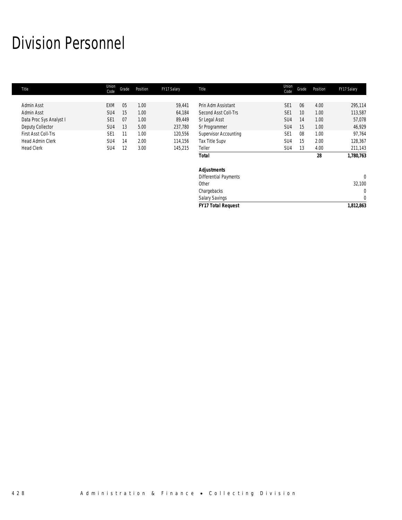### Division Personnel

| Title                   | Union<br>Code   | Grade | Position | FY17 Salary | Title                        | Union<br>Code   | Grade | Position | FY17 Salary  |
|-------------------------|-----------------|-------|----------|-------------|------------------------------|-----------------|-------|----------|--------------|
|                         |                 |       |          |             |                              |                 |       |          |              |
| Admin Asst              | EXM             | 05    | 1.00     | 59,441      | Prin Adm Assistant           | SE <sub>1</sub> | 06    | 4.00     | 295,114      |
| Admin Asst              | SU <sub>4</sub> | 15    | 1.00     | 64,184      | Second Asst Coll-Trs         | SE <sub>1</sub> | 10    | 1.00     | 113,587      |
| Data Proc Sys Analyst I | SE <sub>1</sub> | 07    | 1.00     | 89,449      | Sr Legal Asst                | SU4             | 14    | 1.00     | 57,078       |
| Deputy Collector        | SU <sub>4</sub> | 13    | 5.00     | 237,780     | Sr Programmer                | SU4             | 15    | 1.00     | 46,929       |
| First Asst Coll-Trs     | SE <sub>1</sub> | 11    | 1.00     | 120,556     | <b>Supervisor Accounting</b> | SE <sub>1</sub> | 08    | 1.00     | 97,764       |
| <b>Head Admin Clerk</b> | SU <sub>4</sub> | 14    | 2.00     | 114,156     | Tax Title Supv               | SU4             | 15    | 2.00     | 128,367      |
| <b>Head Clerk</b>       | SU <sub>4</sub> | 12    | 3.00     | 145,215     | Teller                       | SU <sub>4</sub> | 13    | 4.00     | 211,143      |
|                         |                 |       |          |             | <b>Total</b>                 |                 |       | 28       | 1,780,763    |
|                         |                 |       |          |             | <b>Adjustments</b>           |                 |       |          |              |
|                         |                 |       |          |             | Differential Payments        |                 |       |          | $\mathbf{0}$ |
|                         |                 |       |          |             | Other                        |                 |       |          | 32,100       |
|                         |                 |       |          |             | Chargebacks                  |                 |       |          | $\mathbf 0$  |
|                         |                 |       |          |             | <b>Salary Savings</b>        |                 |       |          | $\mathbf 0$  |
|                         |                 |       |          |             | <b>FY17 Total Request</b>    |                 |       |          | 1,812,863    |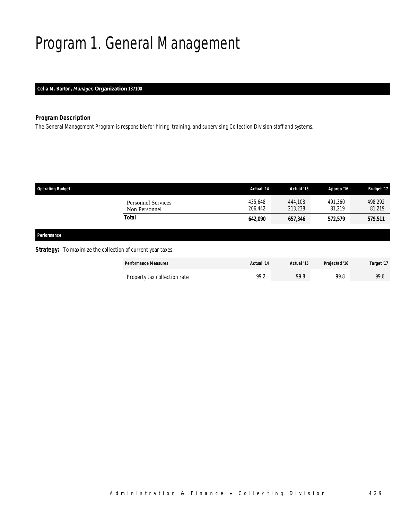# Program 1. General Management

### *Celia M. Barton, Manager, Organization 137100*

### *Program Description*

The General Management Program is responsible for hiring, training, and supervising Collection Division staff and systems.

| Actual '14         | Actual '15         | Approp '16        | <b>Budget '17</b> |
|--------------------|--------------------|-------------------|-------------------|
| 435,648<br>206,442 | 444,108<br>213,238 | 491,360<br>81,219 | 498,292<br>81,219 |
|                    |                    |                   | 579,511           |
|                    |                    |                   |                   |
|                    | 642,090            | 657,346           | 572,579           |

### **Strategy:** To maximize the collection of current year taxes.

| <b>Performance Measures</b>  | Actual '14 | Actual '15 | Projected '16 | Target '17 |
|------------------------------|------------|------------|---------------|------------|
| Property tax collection rate | 99.2       | 99.8       | 99.8          | 99.8       |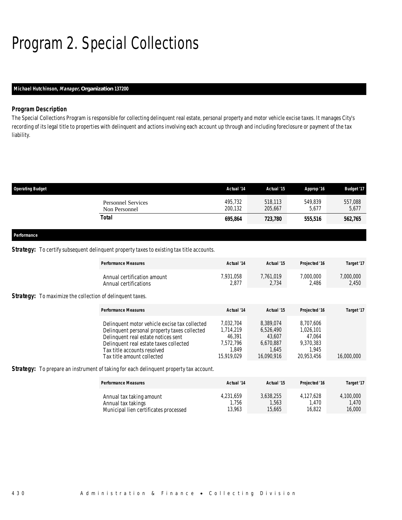## Program 2. Special Collections

### *Michael Hutchinson, Manager, Organization 137200*

### *Program Description*

The Special Collections Program is responsible for collecting delinquent real estate, personal property and motor vehicle excise taxes. It manages City's recording of its legal title to properties with delinquent and actions involving each account up through and including foreclosure or payment of the tax liability.

| <b>Operating Budget</b>                    | Actual '14         | Actual '15         | Approp '16       | <b>Budget '17</b> |
|--------------------------------------------|--------------------|--------------------|------------------|-------------------|
| <b>Personnel Services</b><br>Non Personnel | 495.732<br>200,132 | 518.113<br>205,667 | 549,839<br>5.677 | 557,088<br>5,677  |
| Total                                      | 695,864            | 723,780            | 555,516          | 562,765           |
| Performance                                |                    |                    |                  |                   |

### **Strategy:** To certify subsequent delinquent property taxes to existing tax title accounts.

|                                                                  | <b>Performance Measures</b>                                                                                                                                                                                                                 | Actual '14                                                           | Actual '15                                                           | Projected '16                                                        | Target '17         |
|------------------------------------------------------------------|---------------------------------------------------------------------------------------------------------------------------------------------------------------------------------------------------------------------------------------------|----------------------------------------------------------------------|----------------------------------------------------------------------|----------------------------------------------------------------------|--------------------|
|                                                                  | Annual certification amount<br>Annual certifications                                                                                                                                                                                        | 7.931.058<br>2.877                                                   | 7.761.019<br>2.734                                                   | 7.000.000<br>2.486                                                   | 7,000,000<br>2,450 |
| <b>Strategy:</b> To maximize the collection of delinquent taxes. |                                                                                                                                                                                                                                             |                                                                      |                                                                      |                                                                      |                    |
|                                                                  | <b>Performance Measures</b>                                                                                                                                                                                                                 | Actual '14                                                           | Actual '15                                                           | Projected '16                                                        | Target '17         |
|                                                                  | Delinquent motor vehicle excise tax collected<br>Delinquent personal property taxes collected<br>Delinquent real estate notices sent<br>Delinquent real estate taxes collected<br>Tax title accounts resolved<br>Tax title amount collected | 7.032.704<br>1.714.219<br>46.391<br>7.572.796<br>1.849<br>15.919.029 | 8,389,074<br>6.526.490<br>43.607<br>6.670.887<br>1.645<br>16,090,916 | 8.707.606<br>1.026.101<br>47.064<br>9.370.383<br>1.945<br>20.953.456 | 16,000,000         |

#### **Strategy:** To prepare an instrument of taking for each delinquent property tax account.

| <b>Performance Measures</b>           | Actual '14 | Actual '15 | Projected '16 | Target '17 |
|---------------------------------------|------------|------------|---------------|------------|
| Annual tax taking amount              | 4.231.659  | 3.638.255  | 4.127.628     | 4,100,000  |
| Annual tax takings                    | 1,756      | 1,563      | .470          | 1,470      |
| Municipal lien certificates processed | 13,963     | 15.665     | 16.822        | 16,000     |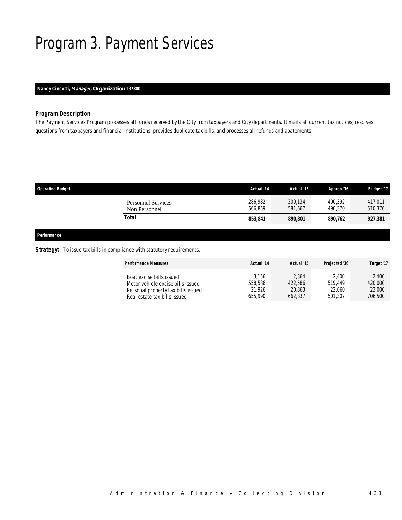### Program 3. Payment Services

### *Nancy Cincotti, Manager, Organization 137300*

### *Program Description*

The Payment Services Program processes all funds received by the City from taxpayers and City departments. It mails all current tax notices, resolves questions from taxpayers and financial institutions, provides duplicate tax bills, and processes all refunds and abatements.

| <b>Operating Budget</b>                    | Actual '14         | Actual '15         | Approp '16         | <b>Budget '17</b>  |
|--------------------------------------------|--------------------|--------------------|--------------------|--------------------|
| <b>Personnel Services</b><br>Non Personnel | 286.982<br>566.859 | 309,134<br>581.667 | 400.392<br>490.370 | 417,011<br>510,370 |
| Total                                      | 853,841            | 890,801            | 890.762            | 927,381            |
|                                            |                    |                    |                    |                    |

*Performance* 

#### **Strategy:** To issue tax bills in compliance with statutory requirements.

| <b>Performance Measures</b>        | Actual '14 | Actual '15 | Projected '16 | Target '17 |
|------------------------------------|------------|------------|---------------|------------|
| Boat excise bills issued           | 3.156      | 2,364      | 2.400         | 2.400      |
| Motor vehicle excise bills issued  | 558,586    | 422.586    | 519.449       | 420,000    |
| Personal property tax bills issued | 21.926     | 20.863     | 22.060        | 23,000     |
| Real estate tax bills issued       | 655,990    | 662.837    | 501.307       | 706.500    |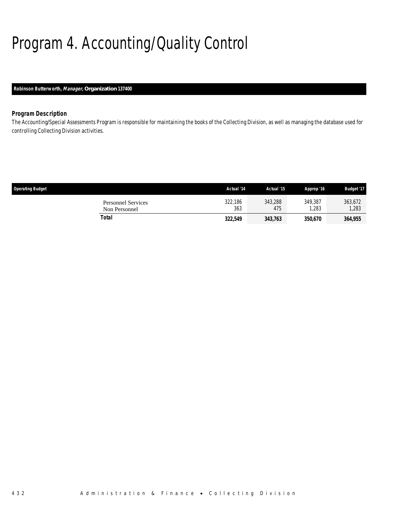# Program 4. Accounting/Quality Control

### *Robinson Butterworth, Manager, Organization 137400*

### *Program Description*

The Accounting/Special Assessments Program is responsible for maintaining the books of the Collecting Division, as well as managing the database used for controlling Collecting Division activities.

| <b>Operating Budget</b>                    | Actual '14     | Actual '15     | Approp '16            | <b>Budget '17</b> |
|--------------------------------------------|----------------|----------------|-----------------------|-------------------|
| <b>Personnel Services</b><br>Non Personnel | 322,186<br>363 | 343,288<br>475 | 349,387<br>',283      | 363,672<br>1,283  |
| Total                                      | 322,549        | 343,763        | <i><b>350,670</b></i> | 364,955           |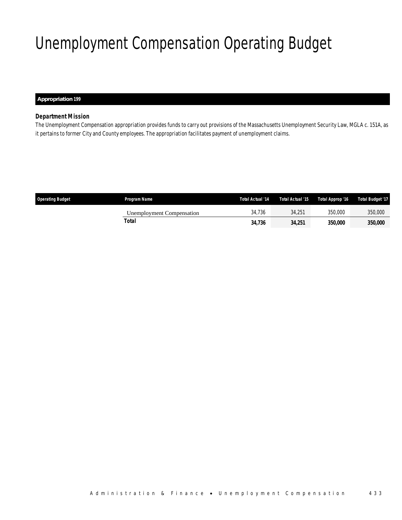# Unemployment Compensation Operating Budget

*Appropriation 199* 

#### *Department Mission*

The Unemployment Compensation appropriation provides funds to carry out provisions of the Massachusetts Unemployment Security Law, MGLA c. 151A, as it pertains to former City and County employees. The appropriation facilitates payment of unemployment claims.

| <b>Operating Budget</b> | Program Name              | Total Actual '14 | <b>Total Actual '15</b> | Total Approp '16      | Total Budget '17 |
|-------------------------|---------------------------|------------------|-------------------------|-----------------------|------------------|
|                         | Unemployment Compensation | 34.736           | 34.251                  | 350,000               | 350,000          |
|                         | Total                     | 34,736           | 34,251                  | <i><b>350.000</b></i> | <i>350,000</i>   |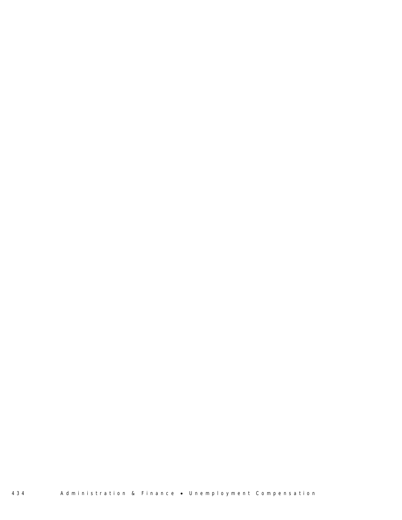434 Administration & Finance • Unemployment Compensation